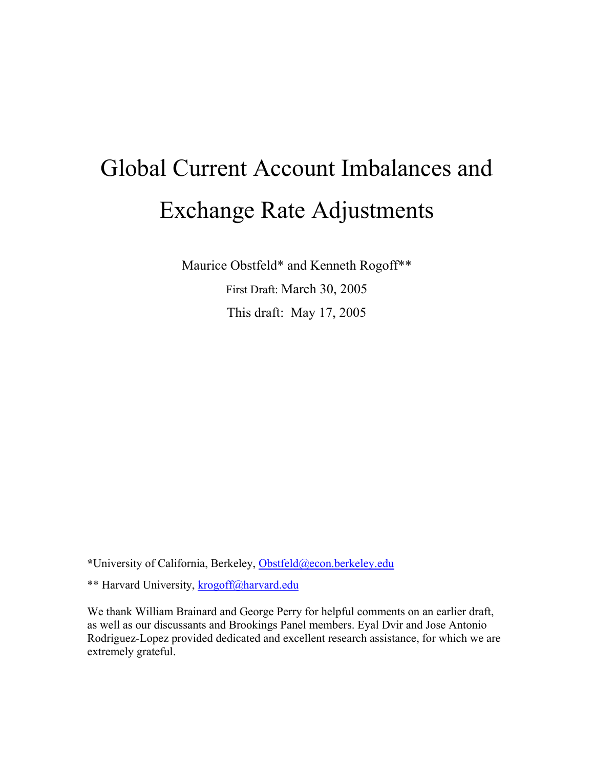# Global Current Account Imbalances and Exchange Rate Adjustments

Maurice Obstfeld\* and Kenneth Rogoff\*\* First Draft: March 30, 2005 This draft: May 17, 2005

**\***University of California, Berkeley, Obstfeld@econ.berkeley.edu

\*\* Harvard University, krogoff@harvard.edu

We thank William Brainard and George Perry for helpful comments on an earlier draft, as well as our discussants and Brookings Panel members. Eyal Dvir and Jose Antonio Rodriguez-Lopez provided dedicated and excellent research assistance, for which we are extremely grateful.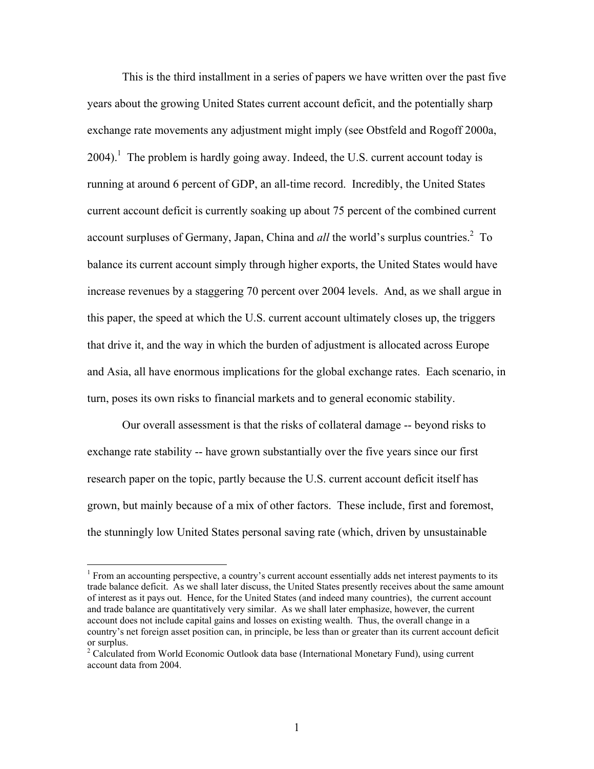This is the third installment in a series of papers we have written over the past five years about the growing United States current account deficit, and the potentially sharp exchange rate movements any adjustment might imply (see Obstfeld and Rogoff 2000a,  $2004$ ).<sup>1</sup> The problem is hardly going away. Indeed, the U.S. current account today is running at around 6 percent of GDP, an all-time record. Incredibly, the United States current account deficit is currently soaking up about 75 percent of the combined current account surpluses of Germany, Japan, China and  $all$  the world's surplus countries.<sup>2</sup> To balance its current account simply through higher exports, the United States would have increase revenues by a staggering 70 percent over 2004 levels. And, as we shall argue in this paper, the speed at which the U.S. current account ultimately closes up, the triggers that drive it, and the way in which the burden of adjustment is allocated across Europe and Asia, all have enormous implications for the global exchange rates. Each scenario, in turn, poses its own risks to financial markets and to general economic stability.

Our overall assessment is that the risks of collateral damage -- beyond risks to exchange rate stability -- have grown substantially over the five years since our first research paper on the topic, partly because the U.S. current account deficit itself has grown, but mainly because of a mix of other factors. These include, first and foremost, the stunningly low United States personal saving rate (which, driven by unsustainable

 $\overline{a}$ 

<sup>&</sup>lt;sup>1</sup> From an accounting perspective, a country's current account essentially adds net interest payments to its trade balance deficit. As we shall later discuss, the United States presently receives about the same amount of interest as it pays out. Hence, for the United States (and indeed many countries), the current account and trade balance are quantitatively very similar. As we shall later emphasize, however, the current account does not include capital gains and losses on existing wealth. Thus, the overall change in a country's net foreign asset position can, in principle, be less than or greater than its current account deficit or surplus.

<sup>&</sup>lt;sup>2</sup> Calculated from World Economic Outlook data base (International Monetary Fund), using current account data from 2004.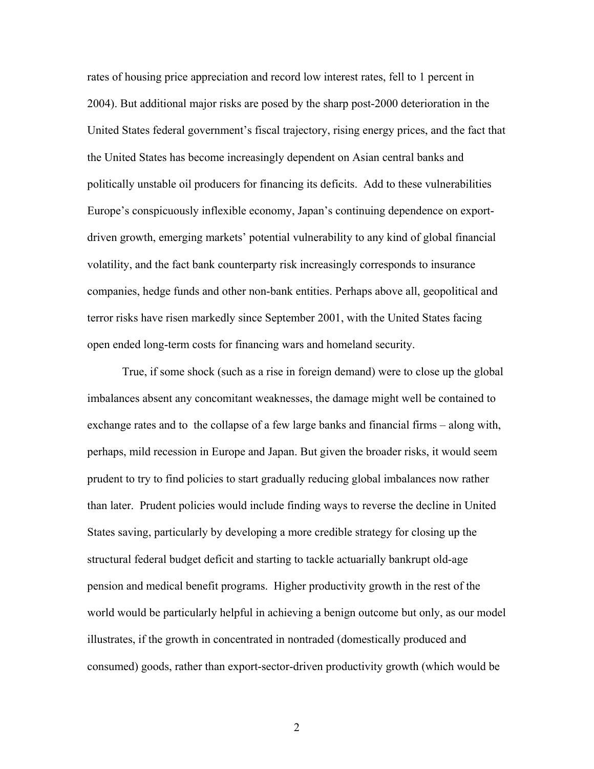rates of housing price appreciation and record low interest rates, fell to 1 percent in 2004). But additional major risks are posed by the sharp post-2000 deterioration in the United States federal government's fiscal trajectory, rising energy prices, and the fact that the United States has become increasingly dependent on Asian central banks and politically unstable oil producers for financing its deficits. Add to these vulnerabilities Europe's conspicuously inflexible economy, Japan's continuing dependence on exportdriven growth, emerging markets' potential vulnerability to any kind of global financial volatility, and the fact bank counterparty risk increasingly corresponds to insurance companies, hedge funds and other non-bank entities. Perhaps above all, geopolitical and terror risks have risen markedly since September 2001, with the United States facing open ended long-term costs for financing wars and homeland security.

True, if some shock (such as a rise in foreign demand) were to close up the global imbalances absent any concomitant weaknesses, the damage might well be contained to exchange rates and to the collapse of a few large banks and financial firms – along with, perhaps, mild recession in Europe and Japan. But given the broader risks, it would seem prudent to try to find policies to start gradually reducing global imbalances now rather than later. Prudent policies would include finding ways to reverse the decline in United States saving, particularly by developing a more credible strategy for closing up the structural federal budget deficit and starting to tackle actuarially bankrupt old-age pension and medical benefit programs. Higher productivity growth in the rest of the world would be particularly helpful in achieving a benign outcome but only, as our model illustrates, if the growth in concentrated in nontraded (domestically produced and consumed) goods, rather than export-sector-driven productivity growth (which would be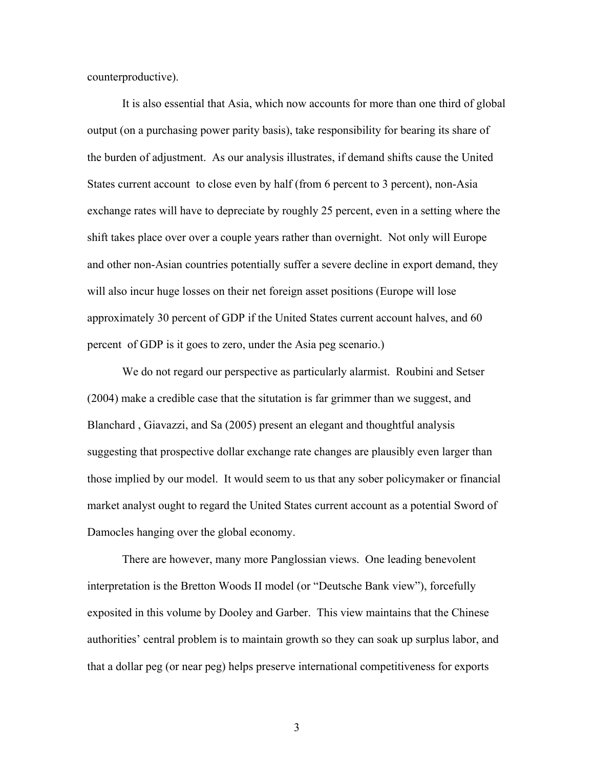counterproductive).

It is also essential that Asia, which now accounts for more than one third of global output (on a purchasing power parity basis), take responsibility for bearing its share of the burden of adjustment. As our analysis illustrates, if demand shifts cause the United States current account to close even by half (from 6 percent to 3 percent), non-Asia exchange rates will have to depreciate by roughly 25 percent, even in a setting where the shift takes place over over a couple years rather than overnight. Not only will Europe and other non-Asian countries potentially suffer a severe decline in export demand, they will also incur huge losses on their net foreign asset positions (Europe will lose approximately 30 percent of GDP if the United States current account halves, and 60 percent of GDP is it goes to zero, under the Asia peg scenario.)

We do not regard our perspective as particularly alarmist. Roubini and Setser (2004) make a credible case that the situtation is far grimmer than we suggest, and Blanchard , Giavazzi, and Sa (2005) present an elegant and thoughtful analysis suggesting that prospective dollar exchange rate changes are plausibly even larger than those implied by our model. It would seem to us that any sober policymaker or financial market analyst ought to regard the United States current account as a potential Sword of Damocles hanging over the global economy.

There are however, many more Panglossian views. One leading benevolent interpretation is the Bretton Woods II model (or "Deutsche Bank view"), forcefully exposited in this volume by Dooley and Garber. This view maintains that the Chinese authorities' central problem is to maintain growth so they can soak up surplus labor, and that a dollar peg (or near peg) helps preserve international competitiveness for exports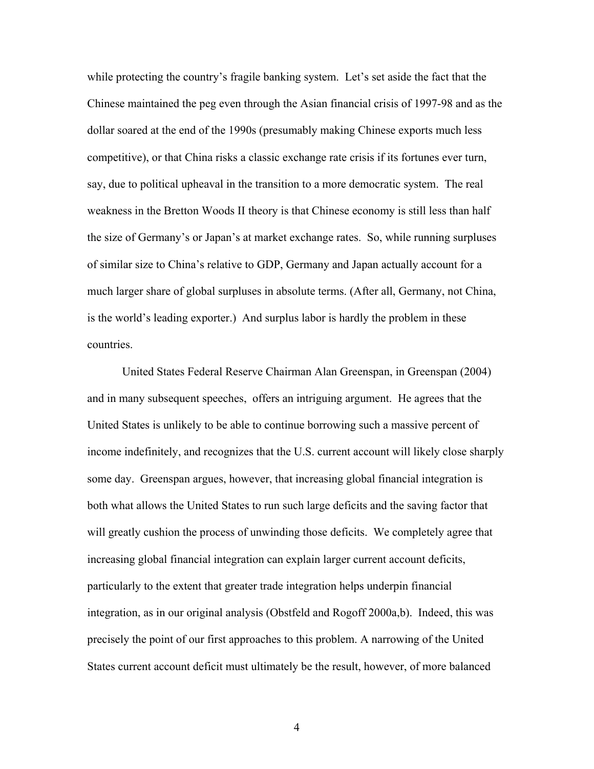while protecting the country's fragile banking system. Let's set aside the fact that the Chinese maintained the peg even through the Asian financial crisis of 1997-98 and as the dollar soared at the end of the 1990s (presumably making Chinese exports much less competitive), or that China risks a classic exchange rate crisis if its fortunes ever turn, say, due to political upheaval in the transition to a more democratic system. The real weakness in the Bretton Woods II theory is that Chinese economy is still less than half the size of Germany's or Japan's at market exchange rates. So, while running surpluses of similar size to China's relative to GDP, Germany and Japan actually account for a much larger share of global surpluses in absolute terms. (After all, Germany, not China, is the world's leading exporter.) And surplus labor is hardly the problem in these countries.

United States Federal Reserve Chairman Alan Greenspan, in Greenspan (2004) and in many subsequent speeches, offers an intriguing argument. He agrees that the United States is unlikely to be able to continue borrowing such a massive percent of income indefinitely, and recognizes that the U.S. current account will likely close sharply some day. Greenspan argues, however, that increasing global financial integration is both what allows the United States to run such large deficits and the saving factor that will greatly cushion the process of unwinding those deficits. We completely agree that increasing global financial integration can explain larger current account deficits, particularly to the extent that greater trade integration helps underpin financial integration, as in our original analysis (Obstfeld and Rogoff 2000a,b). Indeed, this was precisely the point of our first approaches to this problem. A narrowing of the United States current account deficit must ultimately be the result, however, of more balanced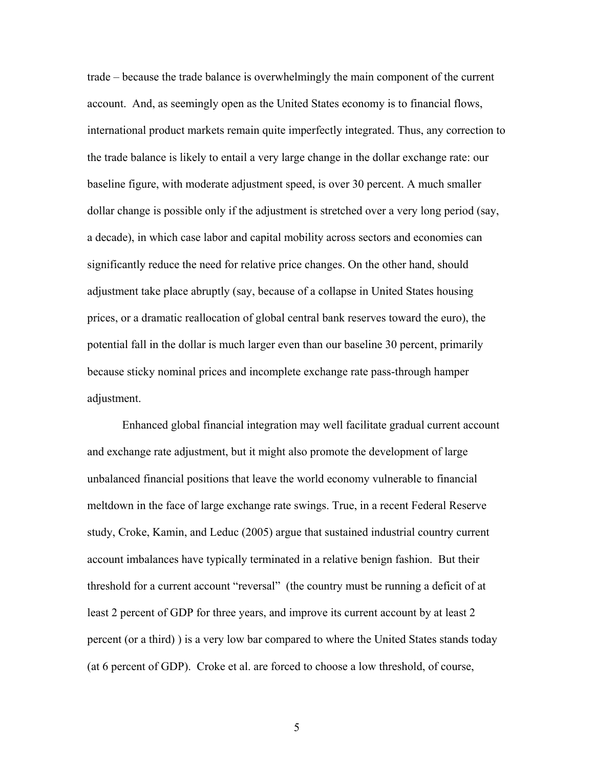trade – because the trade balance is overwhelmingly the main component of the current account. And, as seemingly open as the United States economy is to financial flows, international product markets remain quite imperfectly integrated. Thus, any correction to the trade balance is likely to entail a very large change in the dollar exchange rate: our baseline figure, with moderate adjustment speed, is over 30 percent. A much smaller dollar change is possible only if the adjustment is stretched over a very long period (say, a decade), in which case labor and capital mobility across sectors and economies can significantly reduce the need for relative price changes. On the other hand, should adjustment take place abruptly (say, because of a collapse in United States housing prices, or a dramatic reallocation of global central bank reserves toward the euro), the potential fall in the dollar is much larger even than our baseline 30 percent, primarily because sticky nominal prices and incomplete exchange rate pass-through hamper adjustment.

Enhanced global financial integration may well facilitate gradual current account and exchange rate adjustment, but it might also promote the development of large unbalanced financial positions that leave the world economy vulnerable to financial meltdown in the face of large exchange rate swings. True, in a recent Federal Reserve study, Croke, Kamin, and Leduc (2005) argue that sustained industrial country current account imbalances have typically terminated in a relative benign fashion. But their threshold for a current account "reversal" (the country must be running a deficit of at least 2 percent of GDP for three years, and improve its current account by at least 2 percent (or a third) ) is a very low bar compared to where the United States stands today (at 6 percent of GDP). Croke et al. are forced to choose a low threshold, of course,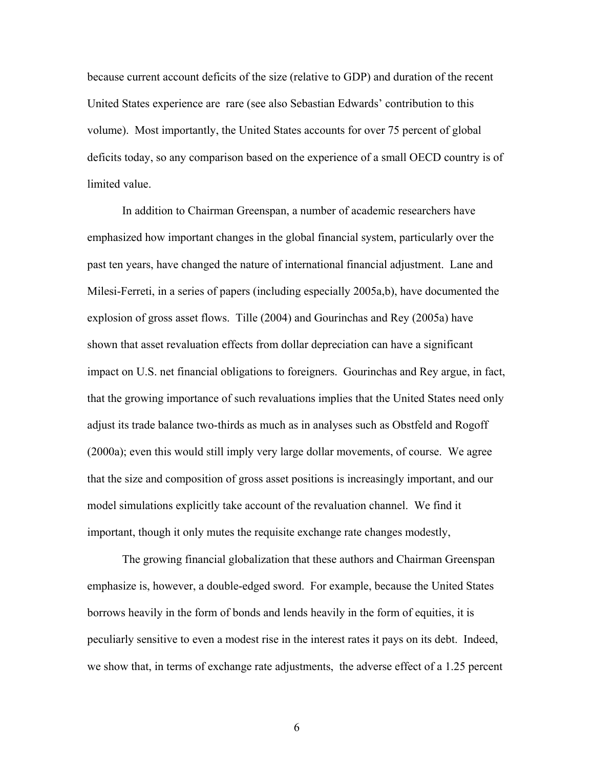because current account deficits of the size (relative to GDP) and duration of the recent United States experience are rare (see also Sebastian Edwards' contribution to this volume). Most importantly, the United States accounts for over 75 percent of global deficits today, so any comparison based on the experience of a small OECD country is of limited value.

In addition to Chairman Greenspan, a number of academic researchers have emphasized how important changes in the global financial system, particularly over the past ten years, have changed the nature of international financial adjustment. Lane and Milesi-Ferreti, in a series of papers (including especially 2005a,b), have documented the explosion of gross asset flows. Tille (2004) and Gourinchas and Rey (2005a) have shown that asset revaluation effects from dollar depreciation can have a significant impact on U.S. net financial obligations to foreigners. Gourinchas and Rey argue, in fact, that the growing importance of such revaluations implies that the United States need only adjust its trade balance two-thirds as much as in analyses such as Obstfeld and Rogoff (2000a); even this would still imply very large dollar movements, of course. We agree that the size and composition of gross asset positions is increasingly important, and our model simulations explicitly take account of the revaluation channel. We find it important, though it only mutes the requisite exchange rate changes modestly,

The growing financial globalization that these authors and Chairman Greenspan emphasize is, however, a double-edged sword. For example, because the United States borrows heavily in the form of bonds and lends heavily in the form of equities, it is peculiarly sensitive to even a modest rise in the interest rates it pays on its debt. Indeed, we show that, in terms of exchange rate adjustments, the adverse effect of a 1.25 percent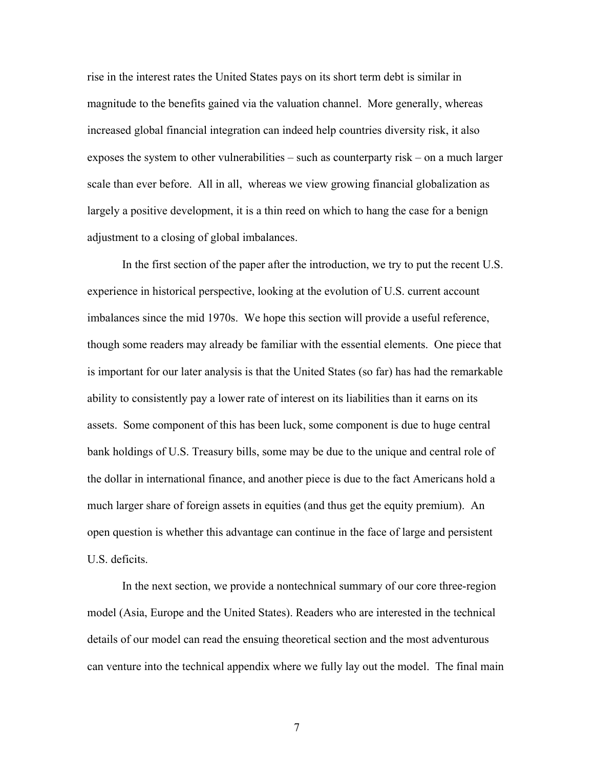rise in the interest rates the United States pays on its short term debt is similar in magnitude to the benefits gained via the valuation channel. More generally, whereas increased global financial integration can indeed help countries diversity risk, it also exposes the system to other vulnerabilities – such as counterparty risk – on a much larger scale than ever before. All in all, whereas we view growing financial globalization as largely a positive development, it is a thin reed on which to hang the case for a benign adjustment to a closing of global imbalances.

In the first section of the paper after the introduction, we try to put the recent U.S. experience in historical perspective, looking at the evolution of U.S. current account imbalances since the mid 1970s. We hope this section will provide a useful reference, though some readers may already be familiar with the essential elements. One piece that is important for our later analysis is that the United States (so far) has had the remarkable ability to consistently pay a lower rate of interest on its liabilities than it earns on its assets. Some component of this has been luck, some component is due to huge central bank holdings of U.S. Treasury bills, some may be due to the unique and central role of the dollar in international finance, and another piece is due to the fact Americans hold a much larger share of foreign assets in equities (and thus get the equity premium). An open question is whether this advantage can continue in the face of large and persistent U.S. deficits.

In the next section, we provide a nontechnical summary of our core three-region model (Asia, Europe and the United States). Readers who are interested in the technical details of our model can read the ensuing theoretical section and the most adventurous can venture into the technical appendix where we fully lay out the model. The final main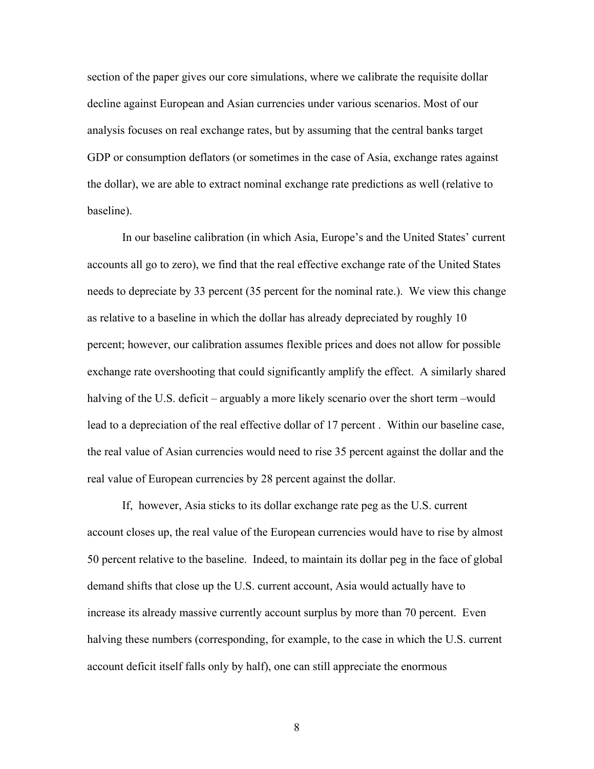section of the paper gives our core simulations, where we calibrate the requisite dollar decline against European and Asian currencies under various scenarios. Most of our analysis focuses on real exchange rates, but by assuming that the central banks target GDP or consumption deflators (or sometimes in the case of Asia, exchange rates against the dollar), we are able to extract nominal exchange rate predictions as well (relative to baseline).

In our baseline calibration (in which Asia, Europe's and the United States' current accounts all go to zero), we find that the real effective exchange rate of the United States needs to depreciate by 33 percent (35 percent for the nominal rate.). We view this change as relative to a baseline in which the dollar has already depreciated by roughly 10 percent; however, our calibration assumes flexible prices and does not allow for possible exchange rate overshooting that could significantly amplify the effect. A similarly shared halving of the U.S. deficit – arguably a more likely scenario over the short term –would lead to a depreciation of the real effective dollar of 17 percent . Within our baseline case, the real value of Asian currencies would need to rise 35 percent against the dollar and the real value of European currencies by 28 percent against the dollar.

If, however, Asia sticks to its dollar exchange rate peg as the U.S. current account closes up, the real value of the European currencies would have to rise by almost 50 percent relative to the baseline. Indeed, to maintain its dollar peg in the face of global demand shifts that close up the U.S. current account, Asia would actually have to increase its already massive currently account surplus by more than 70 percent. Even halving these numbers (corresponding, for example, to the case in which the U.S. current account deficit itself falls only by half), one can still appreciate the enormous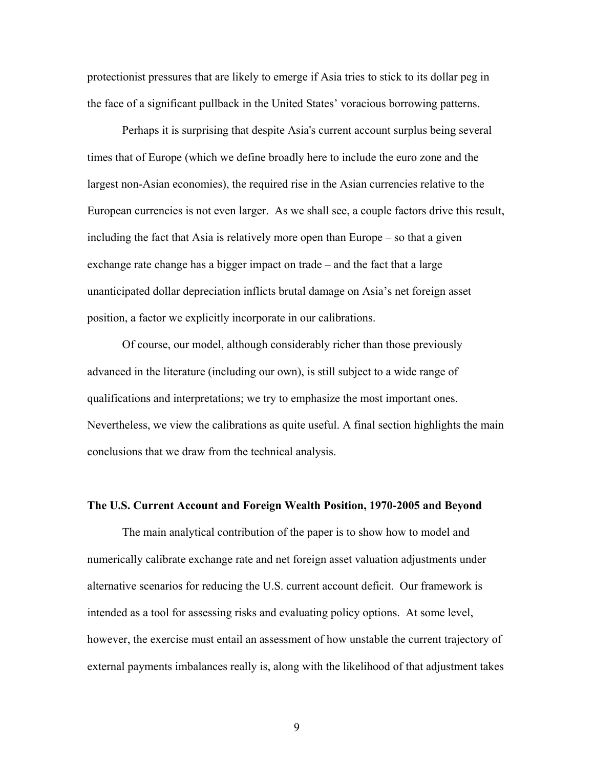protectionist pressures that are likely to emerge if Asia tries to stick to its dollar peg in the face of a significant pullback in the United States' voracious borrowing patterns.

Perhaps it is surprising that despite Asia's current account surplus being several times that of Europe (which we define broadly here to include the euro zone and the largest non-Asian economies), the required rise in the Asian currencies relative to the European currencies is not even larger. As we shall see, a couple factors drive this result, including the fact that Asia is relatively more open than Europe – so that a given exchange rate change has a bigger impact on trade – and the fact that a large unanticipated dollar depreciation inflicts brutal damage on Asia's net foreign asset position, a factor we explicitly incorporate in our calibrations.

Of course, our model, although considerably richer than those previously advanced in the literature (including our own), is still subject to a wide range of qualifications and interpretations; we try to emphasize the most important ones. Nevertheless, we view the calibrations as quite useful. A final section highlights the main conclusions that we draw from the technical analysis.

## **The U.S. Current Account and Foreign Wealth Position, 1970-2005 and Beyond**

 The main analytical contribution of the paper is to show how to model and numerically calibrate exchange rate and net foreign asset valuation adjustments under alternative scenarios for reducing the U.S. current account deficit. Our framework is intended as a tool for assessing risks and evaluating policy options. At some level, however, the exercise must entail an assessment of how unstable the current trajectory of external payments imbalances really is, along with the likelihood of that adjustment takes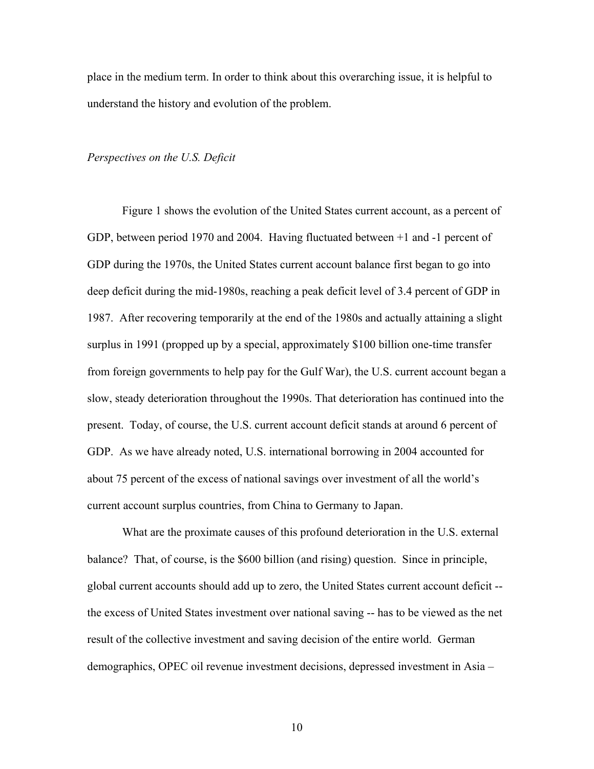place in the medium term. In order to think about this overarching issue, it is helpful to understand the history and evolution of the problem.

## *Perspectives on the U.S. Deficit*

Figure 1 shows the evolution of the United States current account, as a percent of GDP, between period 1970 and 2004. Having fluctuated between +1 and -1 percent of GDP during the 1970s, the United States current account balance first began to go into deep deficit during the mid-1980s, reaching a peak deficit level of 3.4 percent of GDP in 1987. After recovering temporarily at the end of the 1980s and actually attaining a slight surplus in 1991 (propped up by a special, approximately \$100 billion one-time transfer from foreign governments to help pay for the Gulf War), the U.S. current account began a slow, steady deterioration throughout the 1990s. That deterioration has continued into the present. Today, of course, the U.S. current account deficit stands at around 6 percent of GDP. As we have already noted, U.S. international borrowing in 2004 accounted for about 75 percent of the excess of national savings over investment of all the world's current account surplus countries, from China to Germany to Japan.

What are the proximate causes of this profound deterioration in the U.S. external balance? That, of course, is the \$600 billion (and rising) question. Since in principle, global current accounts should add up to zero, the United States current account deficit - the excess of United States investment over national saving -- has to be viewed as the net result of the collective investment and saving decision of the entire world. German demographics, OPEC oil revenue investment decisions, depressed investment in Asia –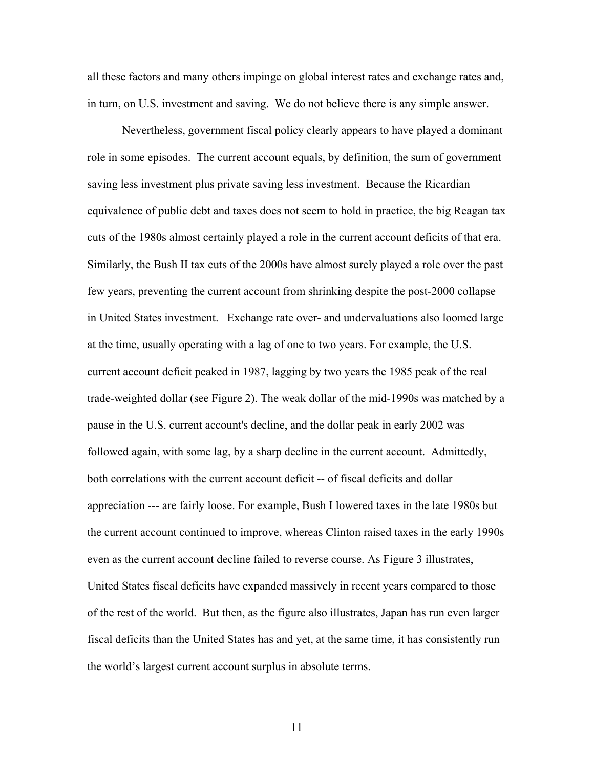all these factors and many others impinge on global interest rates and exchange rates and, in turn, on U.S. investment and saving. We do not believe there is any simple answer.

Nevertheless, government fiscal policy clearly appears to have played a dominant role in some episodes. The current account equals, by definition, the sum of government saving less investment plus private saving less investment. Because the Ricardian equivalence of public debt and taxes does not seem to hold in practice, the big Reagan tax cuts of the 1980s almost certainly played a role in the current account deficits of that era. Similarly, the Bush II tax cuts of the 2000s have almost surely played a role over the past few years, preventing the current account from shrinking despite the post-2000 collapse in United States investment. Exchange rate over- and undervaluations also loomed large at the time, usually operating with a lag of one to two years. For example, the U.S. current account deficit peaked in 1987, lagging by two years the 1985 peak of the real trade-weighted dollar (see Figure 2). The weak dollar of the mid-1990s was matched by a pause in the U.S. current account's decline, and the dollar peak in early 2002 was followed again, with some lag, by a sharp decline in the current account. Admittedly, both correlations with the current account deficit -- of fiscal deficits and dollar appreciation --- are fairly loose. For example, Bush I lowered taxes in the late 1980s but the current account continued to improve, whereas Clinton raised taxes in the early 1990s even as the current account decline failed to reverse course. As Figure 3 illustrates, United States fiscal deficits have expanded massively in recent years compared to those of the rest of the world. But then, as the figure also illustrates, Japan has run even larger fiscal deficits than the United States has and yet, at the same time, it has consistently run the world's largest current account surplus in absolute terms.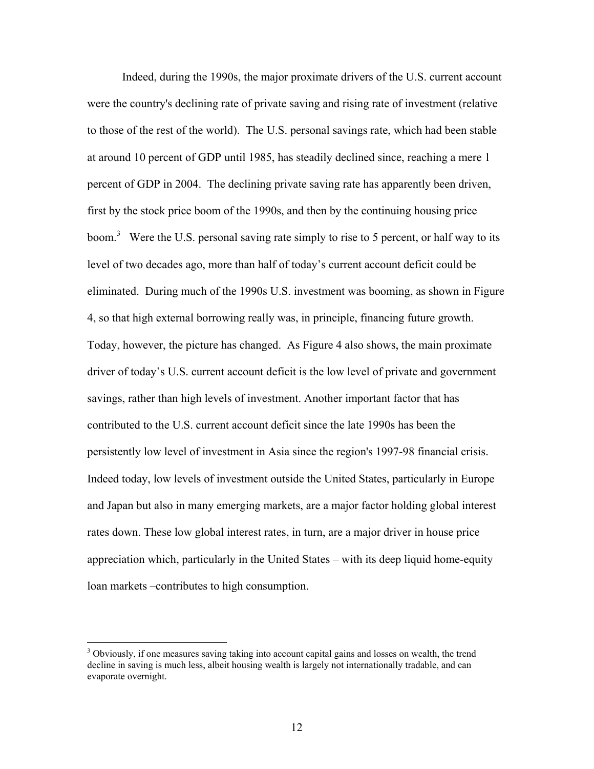Indeed, during the 1990s, the major proximate drivers of the U.S. current account were the country's declining rate of private saving and rising rate of investment (relative to those of the rest of the world). The U.S. personal savings rate, which had been stable at around 10 percent of GDP until 1985, has steadily declined since, reaching a mere 1 percent of GDP in 2004. The declining private saving rate has apparently been driven, first by the stock price boom of the 1990s, and then by the continuing housing price boom.<sup>3</sup> Were the U.S. personal saving rate simply to rise to 5 percent, or half way to its level of two decades ago, more than half of today's current account deficit could be eliminated. During much of the 1990s U.S. investment was booming, as shown in Figure 4, so that high external borrowing really was, in principle, financing future growth. Today, however, the picture has changed. As Figure 4 also shows, the main proximate driver of today's U.S. current account deficit is the low level of private and government savings, rather than high levels of investment. Another important factor that has contributed to the U.S. current account deficit since the late 1990s has been the persistently low level of investment in Asia since the region's 1997-98 financial crisis. Indeed today, low levels of investment outside the United States, particularly in Europe and Japan but also in many emerging markets, are a major factor holding global interest rates down. These low global interest rates, in turn, are a major driver in house price appreciation which, particularly in the United States – with its deep liquid home-equity loan markets –contributes to high consumption.

<sup>&</sup>lt;sup>3</sup> Obviously, if one measures saving taking into account capital gains and losses on wealth, the trend decline in saving is much less, albeit housing wealth is largely not internationally tradable, and can evaporate overnight.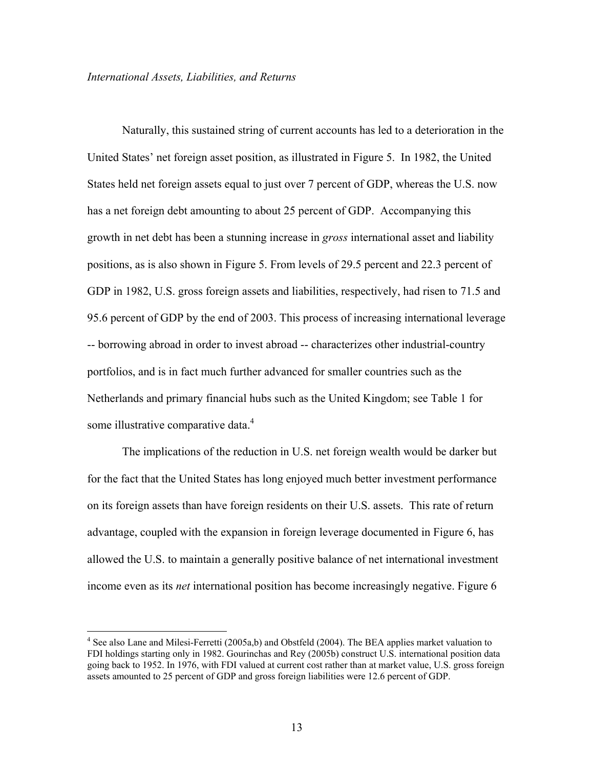Naturally, this sustained string of current accounts has led to a deterioration in the United States' net foreign asset position, as illustrated in Figure 5. In 1982, the United States held net foreign assets equal to just over 7 percent of GDP, whereas the U.S. now has a net foreign debt amounting to about 25 percent of GDP. Accompanying this growth in net debt has been a stunning increase in *gross* international asset and liability positions, as is also shown in Figure 5. From levels of 29.5 percent and 22.3 percent of GDP in 1982, U.S. gross foreign assets and liabilities, respectively, had risen to 71.5 and 95.6 percent of GDP by the end of 2003. This process of increasing international leverage -- borrowing abroad in order to invest abroad -- characterizes other industrial-country portfolios, and is in fact much further advanced for smaller countries such as the Netherlands and primary financial hubs such as the United Kingdom; see Table 1 for some illustrative comparative data.<sup>4</sup>

The implications of the reduction in U.S. net foreign wealth would be darker but for the fact that the United States has long enjoyed much better investment performance on its foreign assets than have foreign residents on their U.S. assets. This rate of return advantage, coupled with the expansion in foreign leverage documented in Figure 6, has allowed the U.S. to maintain a generally positive balance of net international investment income even as its *net* international position has become increasingly negative. Figure 6

 $\overline{a}$ 

<sup>&</sup>lt;sup>4</sup> See also Lane and Milesi-Ferretti (2005a,b) and Obstfeld (2004). The BEA applies market valuation to FDI holdings starting only in 1982. Gourinchas and Rey (2005b) construct U.S. international position data going back to 1952. In 1976, with FDI valued at current cost rather than at market value, U.S. gross foreign assets amounted to 25 percent of GDP and gross foreign liabilities were 12.6 percent of GDP.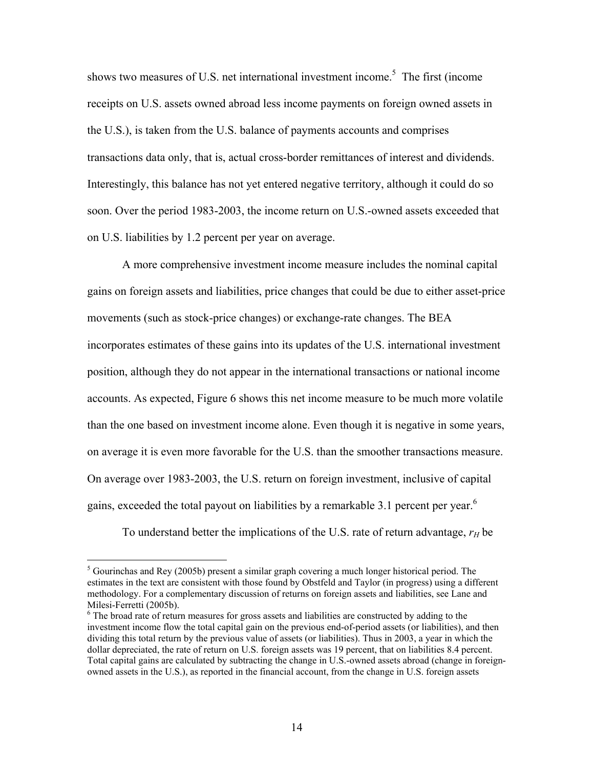shows two measures of U.S. net international investment income.<sup>5</sup> The first (income receipts on U.S. assets owned abroad less income payments on foreign owned assets in the U.S.), is taken from the U.S. balance of payments accounts and comprises transactions data only, that is, actual cross-border remittances of interest and dividends. Interestingly, this balance has not yet entered negative territory, although it could do so soon. Over the period 1983-2003, the income return on U.S.-owned assets exceeded that on U.S. liabilities by 1.2 percent per year on average.

A more comprehensive investment income measure includes the nominal capital gains on foreign assets and liabilities, price changes that could be due to either asset-price movements (such as stock-price changes) or exchange-rate changes. The BEA incorporates estimates of these gains into its updates of the U.S. international investment position, although they do not appear in the international transactions or national income accounts. As expected, Figure 6 shows this net income measure to be much more volatile than the one based on investment income alone. Even though it is negative in some years, on average it is even more favorable for the U.S. than the smoother transactions measure. On average over 1983-2003, the U.S. return on foreign investment, inclusive of capital gains, exceeded the total payout on liabilities by a remarkable 3.1 percent per year.<sup>6</sup>

To understand better the implications of the U.S. rate of return advantage,  $r_H$  be

 $<sup>5</sup>$  Gourinchas and Rey (2005b) present a similar graph covering a much longer historical period. The</sup> estimates in the text are consistent with those found by Obstfeld and Taylor (in progress) using a different methodology. For a complementary discussion of returns on foreign assets and liabilities, see Lane and Milesi-Ferretti (2005b).

<sup>&</sup>lt;sup>6</sup> The broad rate of return measures for gross assets and liabilities are constructed by adding to the investment income flow the total capital gain on the previous end-of-period assets (or liabilities), and then dividing this total return by the previous value of assets (or liabilities). Thus in 2003, a year in which the dollar depreciated, the rate of return on U.S. foreign assets was 19 percent, that on liabilities 8.4 percent. Total capital gains are calculated by subtracting the change in U.S.-owned assets abroad (change in foreignowned assets in the U.S.), as reported in the financial account, from the change in U.S. foreign assets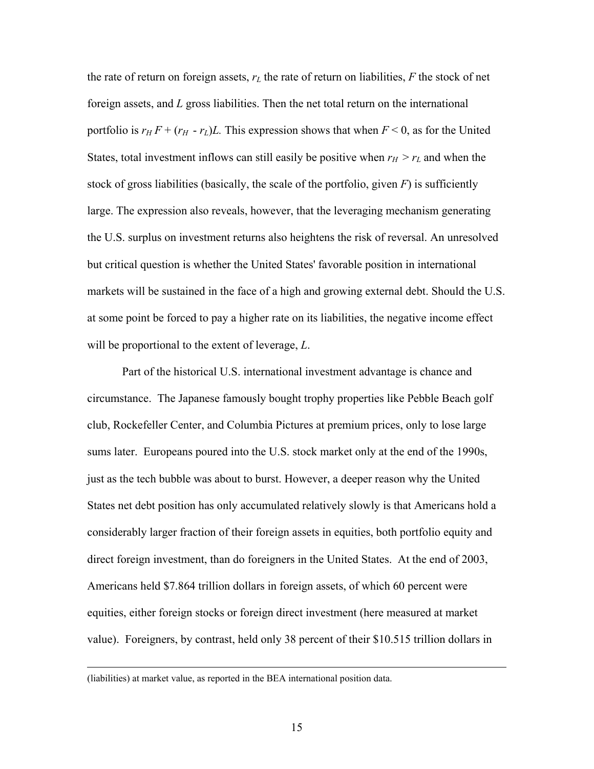the rate of return on foreign assets,  $r<sub>L</sub>$  the rate of return on liabilities,  $F$  the stock of net foreign assets, and *L* gross liabilities. Then the net total return on the international portfolio is  $r_H F + (r_H - r_L)L$ . This expression shows that when  $F < 0$ , as for the United States, total investment inflows can still easily be positive when  $r_H > r_L$  and when the stock of gross liabilities (basically, the scale of the portfolio, given  $F$ ) is sufficiently large. The expression also reveals, however, that the leveraging mechanism generating the U.S. surplus on investment returns also heightens the risk of reversal. An unresolved but critical question is whether the United States' favorable position in international markets will be sustained in the face of a high and growing external debt. Should the U.S. at some point be forced to pay a higher rate on its liabilities, the negative income effect will be proportional to the extent of leverage, *L*.

Part of the historical U.S. international investment advantage is chance and circumstance. The Japanese famously bought trophy properties like Pebble Beach golf club, Rockefeller Center, and Columbia Pictures at premium prices, only to lose large sums later. Europeans poured into the U.S. stock market only at the end of the 1990s, just as the tech bubble was about to burst. However, a deeper reason why the United States net debt position has only accumulated relatively slowly is that Americans hold a considerably larger fraction of their foreign assets in equities, both portfolio equity and direct foreign investment, than do foreigners in the United States. At the end of 2003, Americans held \$7.864 trillion dollars in foreign assets, of which 60 percent were equities, either foreign stocks or foreign direct investment (here measured at market value). Foreigners, by contrast, held only 38 percent of their \$10.515 trillion dollars in

 <sup>(</sup>liabilities) at market value, as reported in the BEA international position data.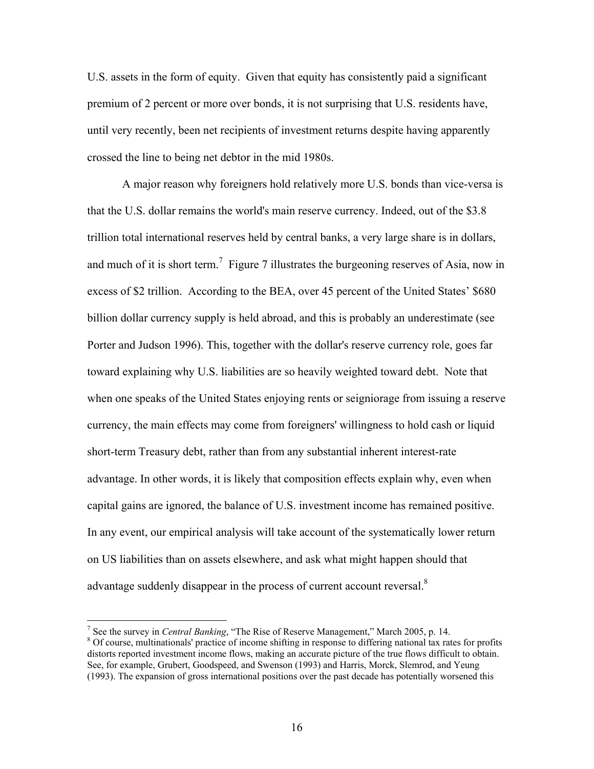U.S. assets in the form of equity. Given that equity has consistently paid a significant premium of 2 percent or more over bonds, it is not surprising that U.S. residents have, until very recently, been net recipients of investment returns despite having apparently crossed the line to being net debtor in the mid 1980s.

A major reason why foreigners hold relatively more U.S. bonds than vice-versa is that the U.S. dollar remains the world's main reserve currency. Indeed, out of the \$3.8 trillion total international reserves held by central banks, a very large share is in dollars, and much of it is short term.<sup>7</sup> Figure 7 illustrates the burgeoning reserves of Asia, now in excess of \$2 trillion. According to the BEA, over 45 percent of the United States' \$680 billion dollar currency supply is held abroad, and this is probably an underestimate (see Porter and Judson 1996). This, together with the dollar's reserve currency role, goes far toward explaining why U.S. liabilities are so heavily weighted toward debt. Note that when one speaks of the United States enjoying rents or seigniorage from issuing a reserve currency, the main effects may come from foreigners' willingness to hold cash or liquid short-term Treasury debt, rather than from any substantial inherent interest-rate advantage. In other words, it is likely that composition effects explain why, even when capital gains are ignored, the balance of U.S. investment income has remained positive. In any event, our empirical analysis will take account of the systematically lower return on US liabilities than on assets elsewhere, and ask what might happen should that advantage suddenly disappear in the process of current account reversal. $8$ 

 $\overline{a}$ 

<sup>&</sup>lt;sup>7</sup> See the survey in *Central Banking*, "The Rise of Reserve Management," March 2005, p. 14.  $\frac{8}{3}$  Of course, multinationals' protice of income shifting in response to differing patienal to ret <sup>8</sup> Of course, multinationals' practice of income shifting in response to differing national tax rates for profits distorts reported investment income flows, making an accurate picture of the true flows difficult to obtain. See, for example, Grubert, Goodspeed, and Swenson (1993) and Harris, Morck, Slemrod, and Yeung (1993). The expansion of gross international positions over the past decade has potentially worsened this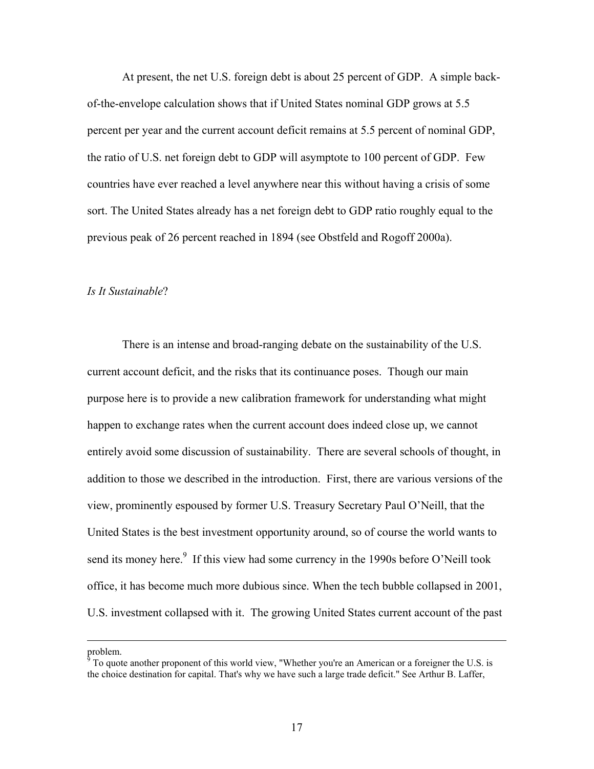At present, the net U.S. foreign debt is about 25 percent of GDP. A simple backof-the-envelope calculation shows that if United States nominal GDP grows at 5.5 percent per year and the current account deficit remains at 5.5 percent of nominal GDP, the ratio of U.S. net foreign debt to GDP will asymptote to 100 percent of GDP. Few countries have ever reached a level anywhere near this without having a crisis of some sort. The United States already has a net foreign debt to GDP ratio roughly equal to the previous peak of 26 percent reached in 1894 (see Obstfeld and Rogoff 2000a).

#### *Is It Sustainable*?

 There is an intense and broad-ranging debate on the sustainability of the U.S. current account deficit, and the risks that its continuance poses. Though our main purpose here is to provide a new calibration framework for understanding what might happen to exchange rates when the current account does indeed close up, we cannot entirely avoid some discussion of sustainability. There are several schools of thought, in addition to those we described in the introduction. First, there are various versions of the view, prominently espoused by former U.S. Treasury Secretary Paul O'Neill, that the United States is the best investment opportunity around, so of course the world wants to send its money here. $9$  If this view had some currency in the 1990s before O'Neill took office, it has become much more dubious since. When the tech bubble collapsed in 2001, U.S. investment collapsed with it. The growing United States current account of the past

problem.

 $9^9$  To quote another proponent of this world view, "Whether you're an American or a foreigner the U.S. is the choice destination for capital. That's why we have such a large trade deficit." See Arthur B. Laffer,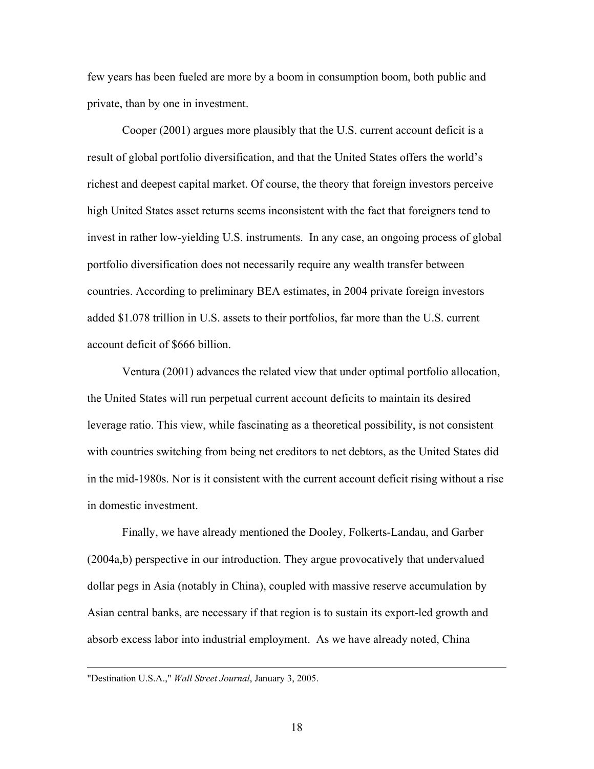few years has been fueled are more by a boom in consumption boom, both public and private, than by one in investment.

Cooper (2001) argues more plausibly that the U.S. current account deficit is a result of global portfolio diversification, and that the United States offers the world's richest and deepest capital market. Of course, the theory that foreign investors perceive high United States asset returns seems inconsistent with the fact that foreigners tend to invest in rather low-yielding U.S. instruments. In any case, an ongoing process of global portfolio diversification does not necessarily require any wealth transfer between countries. According to preliminary BEA estimates, in 2004 private foreign investors added \$1.078 trillion in U.S. assets to their portfolios, far more than the U.S. current account deficit of \$666 billion.

Ventura (2001) advances the related view that under optimal portfolio allocation, the United States will run perpetual current account deficits to maintain its desired leverage ratio. This view, while fascinating as a theoretical possibility, is not consistent with countries switching from being net creditors to net debtors, as the United States did in the mid-1980s. Nor is it consistent with the current account deficit rising without a rise in domestic investment.

 Finally, we have already mentioned the Dooley, Folkerts-Landau, and Garber (2004a,b) perspective in our introduction. They argue provocatively that undervalued dollar pegs in Asia (notably in China), coupled with massive reserve accumulation by Asian central banks, are necessary if that region is to sustain its export-led growth and absorb excess labor into industrial employment. As we have already noted, China

 <sup>&</sup>quot;Destination U.S.A.," *Wall Street Journal*, January 3, 2005.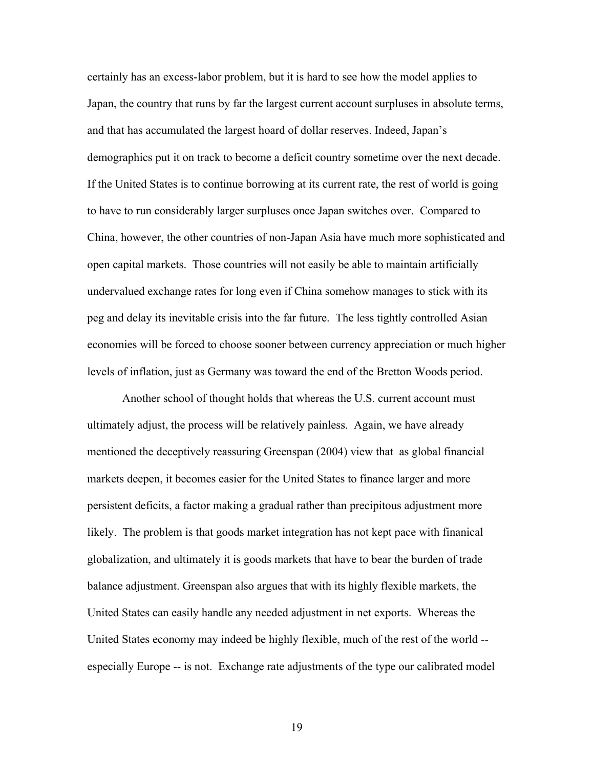certainly has an excess-labor problem, but it is hard to see how the model applies to Japan, the country that runs by far the largest current account surpluses in absolute terms, and that has accumulated the largest hoard of dollar reserves. Indeed, Japan's demographics put it on track to become a deficit country sometime over the next decade. If the United States is to continue borrowing at its current rate, the rest of world is going to have to run considerably larger surpluses once Japan switches over. Compared to China, however, the other countries of non-Japan Asia have much more sophisticated and open capital markets. Those countries will not easily be able to maintain artificially undervalued exchange rates for long even if China somehow manages to stick with its peg and delay its inevitable crisis into the far future. The less tightly controlled Asian economies will be forced to choose sooner between currency appreciation or much higher levels of inflation, just as Germany was toward the end of the Bretton Woods period.

 Another school of thought holds that whereas the U.S. current account must ultimately adjust, the process will be relatively painless. Again, we have already mentioned the deceptively reassuring Greenspan (2004) view that as global financial markets deepen, it becomes easier for the United States to finance larger and more persistent deficits, a factor making a gradual rather than precipitous adjustment more likely. The problem is that goods market integration has not kept pace with finanical globalization, and ultimately it is goods markets that have to bear the burden of trade balance adjustment. Greenspan also argues that with its highly flexible markets, the United States can easily handle any needed adjustment in net exports. Whereas the United States economy may indeed be highly flexible, much of the rest of the world - especially Europe -- is not. Exchange rate adjustments of the type our calibrated model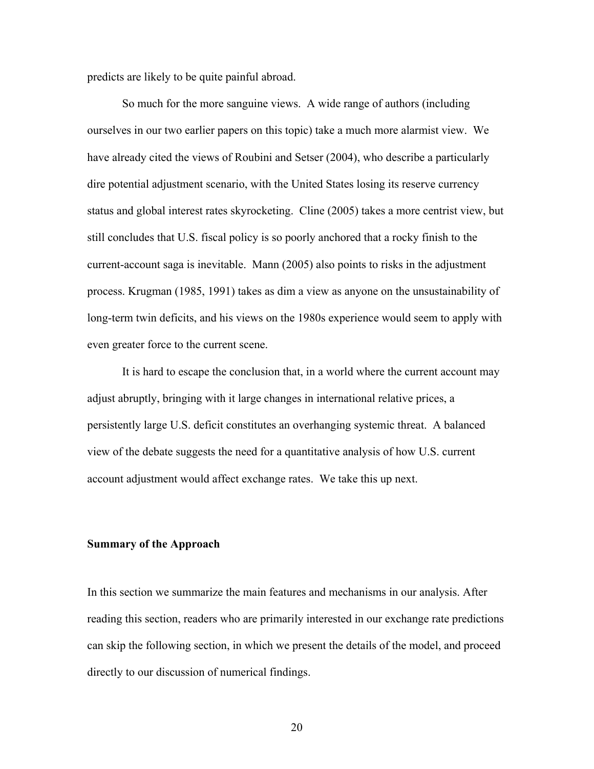predicts are likely to be quite painful abroad.

So much for the more sanguine views. A wide range of authors (including ourselves in our two earlier papers on this topic) take a much more alarmist view. We have already cited the views of Roubini and Setser (2004), who describe a particularly dire potential adjustment scenario, with the United States losing its reserve currency status and global interest rates skyrocketing. Cline (2005) takes a more centrist view, but still concludes that U.S. fiscal policy is so poorly anchored that a rocky finish to the current-account saga is inevitable. Mann (2005) also points to risks in the adjustment process. Krugman (1985, 1991) takes as dim a view as anyone on the unsustainability of long-term twin deficits, and his views on the 1980s experience would seem to apply with even greater force to the current scene.

It is hard to escape the conclusion that, in a world where the current account may adjust abruptly, bringing with it large changes in international relative prices, a persistently large U.S. deficit constitutes an overhanging systemic threat. A balanced view of the debate suggests the need for a quantitative analysis of how U.S. current account adjustment would affect exchange rates. We take this up next.

## **Summary of the Approach**

In this section we summarize the main features and mechanisms in our analysis. After reading this section, readers who are primarily interested in our exchange rate predictions can skip the following section, in which we present the details of the model, and proceed directly to our discussion of numerical findings.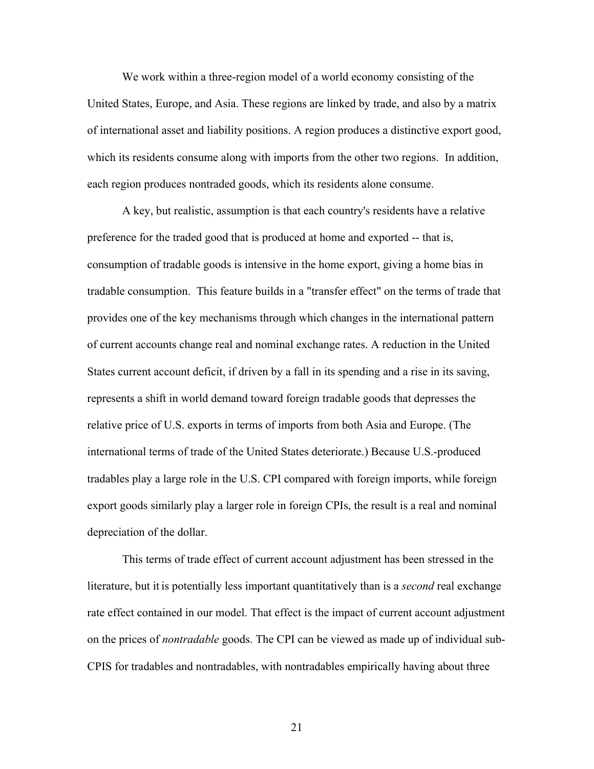We work within a three-region model of a world economy consisting of the United States, Europe, and Asia. These regions are linked by trade, and also by a matrix of international asset and liability positions. A region produces a distinctive export good, which its residents consume along with imports from the other two regions. In addition, each region produces nontraded goods, which its residents alone consume.

A key, but realistic, assumption is that each country's residents have a relative preference for the traded good that is produced at home and exported -- that is, consumption of tradable goods is intensive in the home export, giving a home bias in tradable consumption. This feature builds in a "transfer effect" on the terms of trade that provides one of the key mechanisms through which changes in the international pattern of current accounts change real and nominal exchange rates. A reduction in the United States current account deficit, if driven by a fall in its spending and a rise in its saving, represents a shift in world demand toward foreign tradable goods that depresses the relative price of U.S. exports in terms of imports from both Asia and Europe. (The international terms of trade of the United States deteriorate.) Because U.S.-produced tradables play a large role in the U.S. CPI compared with foreign imports, while foreign export goods similarly play a larger role in foreign CPIs, the result is a real and nominal depreciation of the dollar.

This terms of trade effect of current account adjustment has been stressed in the literature, but it is potentially less important quantitatively than is a *second* real exchange rate effect contained in our model. That effect is the impact of current account adjustment on the prices of *nontradable* goods. The CPI can be viewed as made up of individual sub-CPIS for tradables and nontradables, with nontradables empirically having about three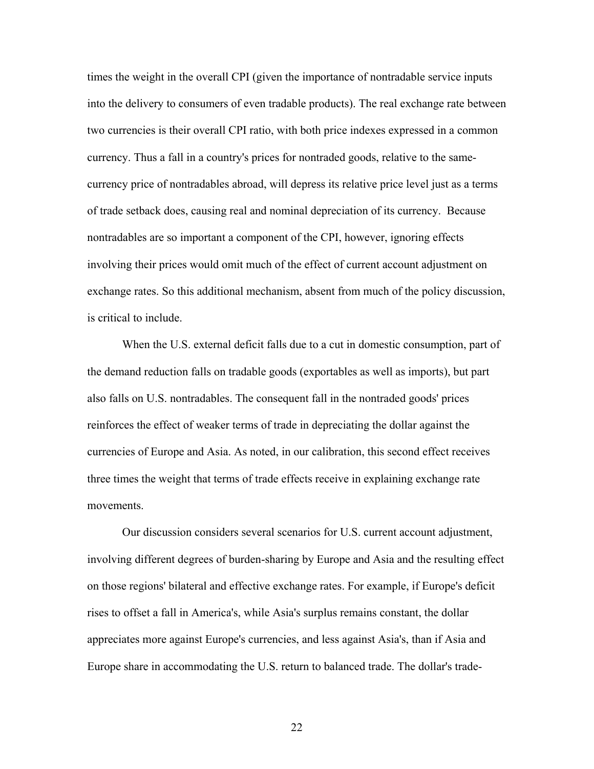times the weight in the overall CPI (given the importance of nontradable service inputs into the delivery to consumers of even tradable products). The real exchange rate between two currencies is their overall CPI ratio, with both price indexes expressed in a common currency. Thus a fall in a country's prices for nontraded goods, relative to the samecurrency price of nontradables abroad, will depress its relative price level just as a terms of trade setback does, causing real and nominal depreciation of its currency. Because nontradables are so important a component of the CPI, however, ignoring effects involving their prices would omit much of the effect of current account adjustment on exchange rates. So this additional mechanism, absent from much of the policy discussion, is critical to include.

When the U.S. external deficit falls due to a cut in domestic consumption, part of the demand reduction falls on tradable goods (exportables as well as imports), but part also falls on U.S. nontradables. The consequent fall in the nontraded goods' prices reinforces the effect of weaker terms of trade in depreciating the dollar against the currencies of Europe and Asia. As noted, in our calibration, this second effect receives three times the weight that terms of trade effects receive in explaining exchange rate movements.

Our discussion considers several scenarios for U.S. current account adjustment, involving different degrees of burden-sharing by Europe and Asia and the resulting effect on those regions' bilateral and effective exchange rates. For example, if Europe's deficit rises to offset a fall in America's, while Asia's surplus remains constant, the dollar appreciates more against Europe's currencies, and less against Asia's, than if Asia and Europe share in accommodating the U.S. return to balanced trade. The dollar's trade-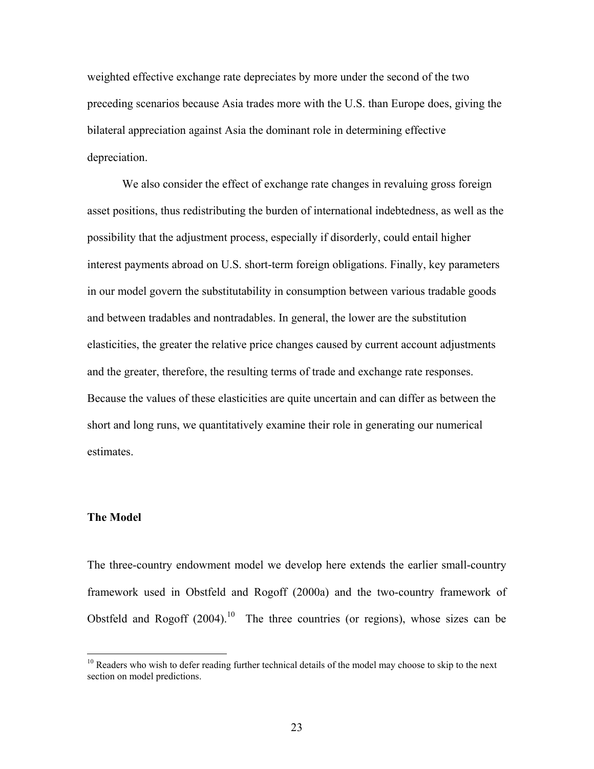weighted effective exchange rate depreciates by more under the second of the two preceding scenarios because Asia trades more with the U.S. than Europe does, giving the bilateral appreciation against Asia the dominant role in determining effective depreciation.

We also consider the effect of exchange rate changes in revaluing gross foreign asset positions, thus redistributing the burden of international indebtedness, as well as the possibility that the adjustment process, especially if disorderly, could entail higher interest payments abroad on U.S. short-term foreign obligations. Finally, key parameters in our model govern the substitutability in consumption between various tradable goods and between tradables and nontradables. In general, the lower are the substitution elasticities, the greater the relative price changes caused by current account adjustments and the greater, therefore, the resulting terms of trade and exchange rate responses. Because the values of these elasticities are quite uncertain and can differ as between the short and long runs, we quantitatively examine their role in generating our numerical estimates.

## **The Model**

 $\overline{a}$ 

The three-country endowment model we develop here extends the earlier small-country framework used in Obstfeld and Rogoff (2000a) and the two-country framework of Obstfeld and Rogoff  $(2004)$ <sup>10</sup> The three countries (or regions), whose sizes can be

<sup>&</sup>lt;sup>10</sup> Readers who wish to defer reading further technical details of the model may choose to skip to the next section on model predictions.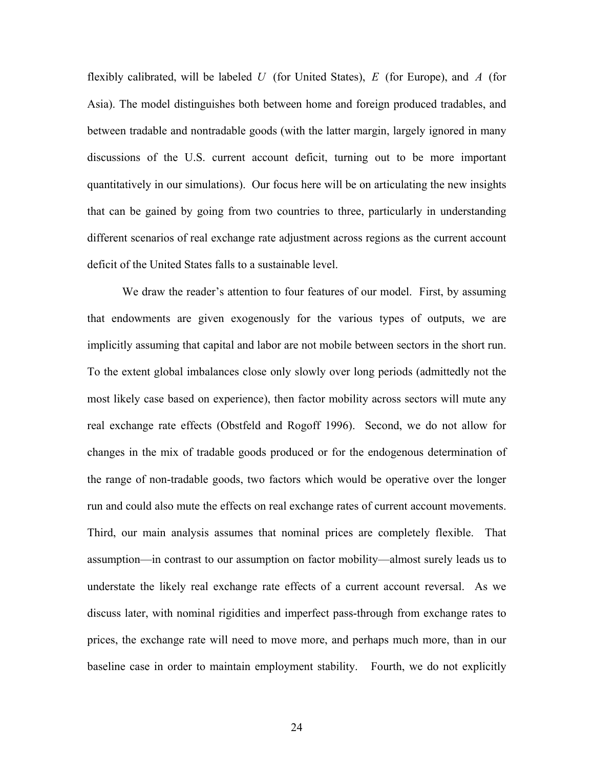flexibly calibrated, will be labeled *U* (for United States), *E* (for Europe), and *A* (for Asia). The model distinguishes both between home and foreign produced tradables, and between tradable and nontradable goods (with the latter margin, largely ignored in many discussions of the U.S. current account deficit, turning out to be more important quantitatively in our simulations). Our focus here will be on articulating the new insights that can be gained by going from two countries to three, particularly in understanding different scenarios of real exchange rate adjustment across regions as the current account deficit of the United States falls to a sustainable level.

 We draw the reader's attention to four features of our model. First, by assuming that endowments are given exogenously for the various types of outputs, we are implicitly assuming that capital and labor are not mobile between sectors in the short run. To the extent global imbalances close only slowly over long periods (admittedly not the most likely case based on experience), then factor mobility across sectors will mute any real exchange rate effects (Obstfeld and Rogoff 1996). Second, we do not allow for changes in the mix of tradable goods produced or for the endogenous determination of the range of non-tradable goods, two factors which would be operative over the longer run and could also mute the effects on real exchange rates of current account movements. Third, our main analysis assumes that nominal prices are completely flexible. That assumption—in contrast to our assumption on factor mobility—almost surely leads us to understate the likely real exchange rate effects of a current account reversal. As we discuss later, with nominal rigidities and imperfect pass-through from exchange rates to prices, the exchange rate will need to move more, and perhaps much more, than in our baseline case in order to maintain employment stability. Fourth, we do not explicitly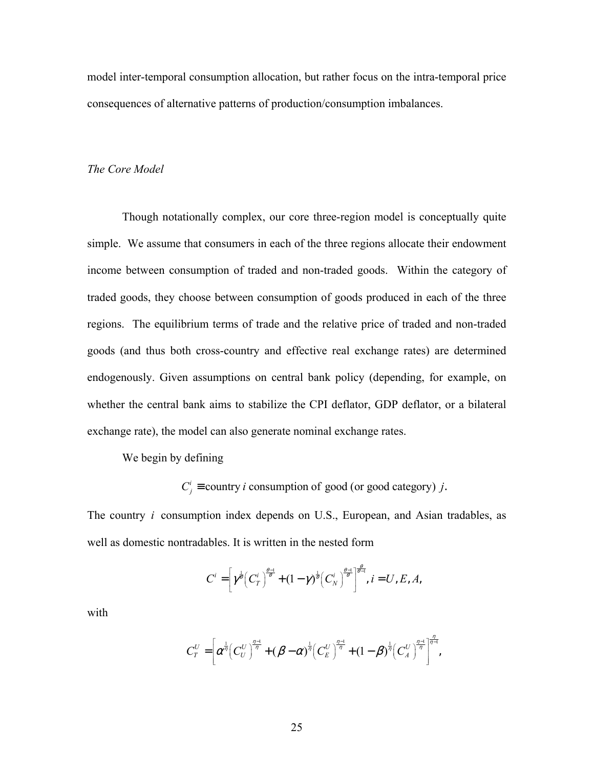model inter-temporal consumption allocation, but rather focus on the intra-temporal price consequences of alternative patterns of production/consumption imbalances.

## *The Core Model*

Though notationally complex, our core three-region model is conceptually quite simple. We assume that consumers in each of the three regions allocate their endowment income between consumption of traded and non-traded goods. Within the category of traded goods, they choose between consumption of goods produced in each of the three regions. The equilibrium terms of trade and the relative price of traded and non-traded goods (and thus both cross-country and effective real exchange rates) are determined endogenously. Given assumptions on central bank policy (depending, for example, on whether the central bank aims to stabilize the CPI deflator, GDP deflator, or a bilateral exchange rate), the model can also generate nominal exchange rates.

We begin by defining

 $C_i^i$  ≡ country *i* consumption of good (or good category) *j*.

The country *i* consumption index depends on U.S., European, and Asian tradables, as well as domestic nontradables. It is written in the nested form

$$
C^i = \left[ \gamma^{\frac{1}{\theta}} \left( C^i_T \right)^{\frac{\theta-1}{\theta}} + (1-\gamma)^{\frac{1}{\theta}} \left( C^i_N \right)^{\frac{\theta-1}{\theta}} \right]^{\frac{\theta}{\theta-1}}, i = U, E, A,
$$

with

$$
C_T^U = \left[\alpha^{\frac{1}{\eta}} \left(C_U^U\right)^{\frac{\eta-1}{\eta}} + (\beta - \alpha)^{\frac{1}{\eta}} \left(C_E^U\right)^{\frac{\eta-1}{\eta}} + (1 - \beta)^{\frac{1}{\eta}} \left(C_A^U\right)^{\frac{\eta-1}{\eta}}\right]^{\frac{\eta}{\eta-1}},
$$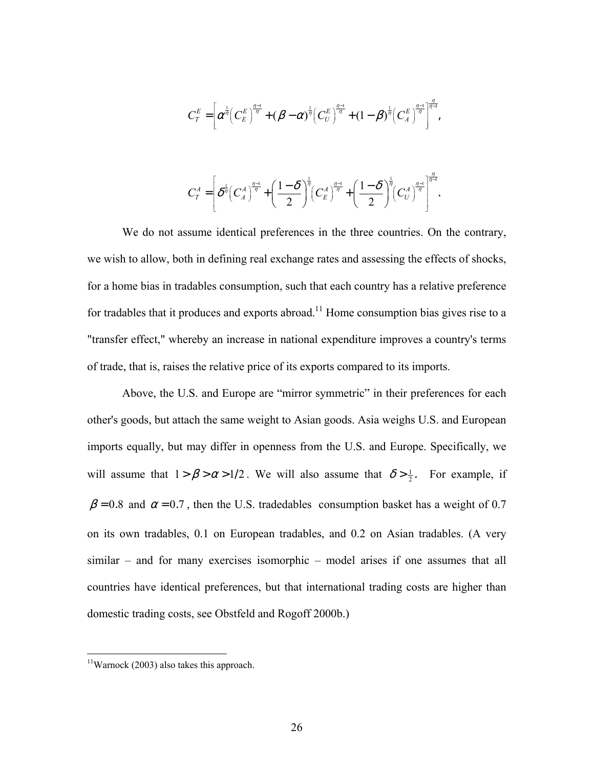$$
C_T^E = \left[ \alpha^{\frac{1}{\eta}} \left( C_E^E \right)^{\frac{\eta-1}{\eta}} + (\beta - \alpha)^{\frac{1}{\eta}} \left( C_U^E \right)^{\frac{\eta-1}{\eta}} + (1 - \beta)^{\frac{1}{\eta}} \left( C_A^E \right)^{\frac{\eta-1}{\eta}} \right]^{\frac{\eta}{\eta-1}},
$$

$$
C_T^A = \left[ \delta^{\frac{1}{\eta}} \left( C_A^A \right)^{\frac{\eta-1}{\eta}} + \left( \frac{1-\delta}{2} \right)^{\frac{1}{\eta}} \left( C_E^A \right)^{\frac{\eta-1}{\eta}} + \left( \frac{1-\delta}{2} \right)^{\frac{1}{\eta}} \left( C_U^A \right)^{\frac{\eta-1}{\eta}} \right]^{\frac{\eta}{\eta-1}}.
$$

We do not assume identical preferences in the three countries. On the contrary, we wish to allow, both in defining real exchange rates and assessing the effects of shocks, for a home bias in tradables consumption, such that each country has a relative preference for tradables that it produces and exports abroad.<sup>11</sup> Home consumption bias gives rise to a "transfer effect," whereby an increase in national expenditure improves a country's terms of trade, that is, raises the relative price of its exports compared to its imports.

Above, the U.S. and Europe are "mirror symmetric" in their preferences for each other's goods, but attach the same weight to Asian goods. Asia weighs U.S. and European imports equally, but may differ in openness from the U.S. and Europe. Specifically, we will assume that  $1 > \beta > \alpha > 1/2$ . We will also assume that  $\delta > \frac{1}{2}$ . For example, if  $\beta = 0.8$  and  $\alpha = 0.7$ , then the U.S. tradedables consumption basket has a weight of 0.7 on its own tradables, 0.1 on European tradables, and 0.2 on Asian tradables. (A very similar – and for many exercises isomorphic – model arises if one assumes that all countries have identical preferences, but that international trading costs are higher than domestic trading costs, see Obstfeld and Rogoff 2000b.)

 $\overline{a}$ 

 $11$ Warnock (2003) also takes this approach.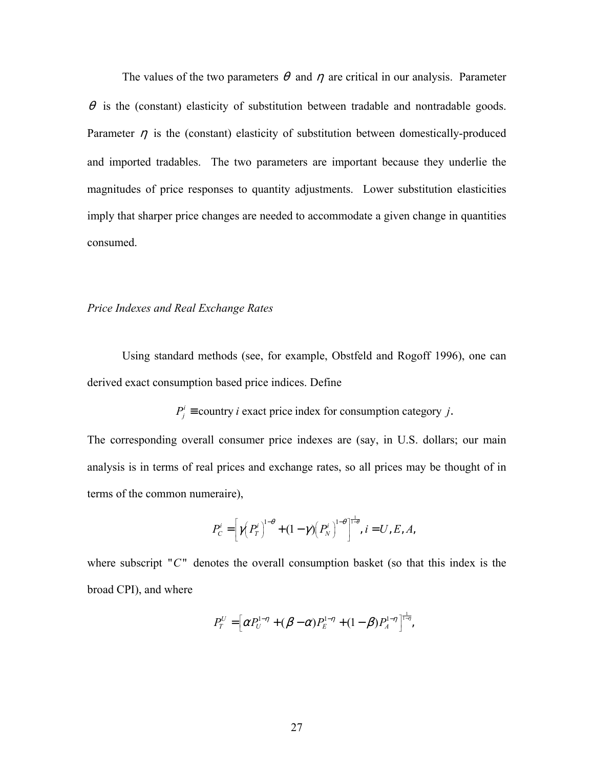The values of the two parameters  $\theta$  and  $\eta$  are critical in our analysis. Parameter  $\theta$  is the (constant) elasticity of substitution between tradable and nontradable goods. Parameter  $\eta$  is the (constant) elasticity of substitution between domestically-produced and imported tradables. The two parameters are important because they underlie the magnitudes of price responses to quantity adjustments. Lower substitution elasticities imply that sharper price changes are needed to accommodate a given change in quantities consumed.

## *Price Indexes and Real Exchange Rates*

 Using standard methods (see, for example, Obstfeld and Rogoff 1996), one can derived exact consumption based price indices. Define

 $P_i^i$  ≡ country *i* exact price index for consumption category *j*.

The corresponding overall consumer price indexes are (say, in U.S. dollars; our main analysis is in terms of real prices and exchange rates, so all prices may be thought of in terms of the common numeraire),

$$
P_C^i = \left[\gamma \left(P_T^i\right)^{1-\theta} + (1-\gamma)\left(P_N^i\right)^{1-\theta}\right]^{1-\theta}, i = U, E, A,
$$

where subscript " $C$ " denotes the overall consumption basket (so that this index is the broad CPI), and where

$$
P_T^U = \left[ \alpha P_U^{1-\eta} + (\beta - \alpha) P_E^{1-\eta} + (1 - \beta) P_A^{1-\eta} \right]_{-\eta}^{\frac{1}{1-\eta}},
$$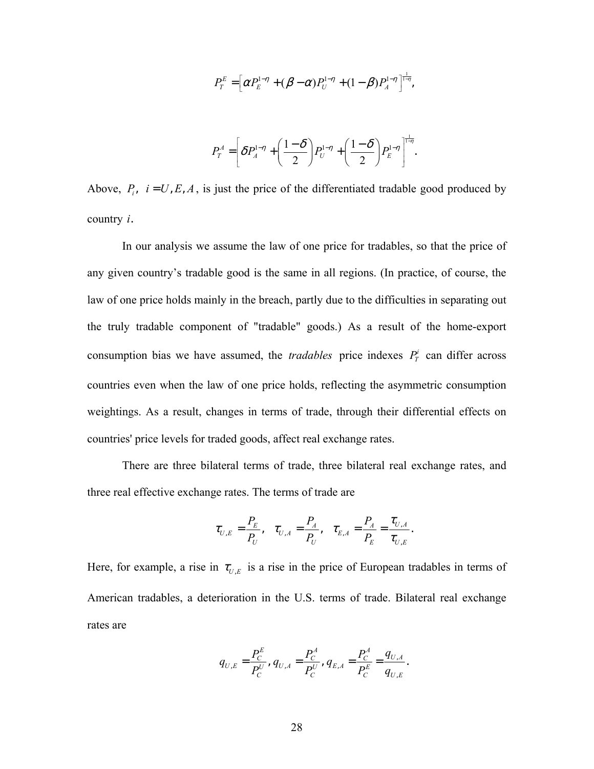$$
P_T^E = \left[ \alpha P_E^{1-\eta} + (\beta - \alpha) P_U^{1-\eta} + (1 - \beta) P_A^{1-\eta} \right]_{-\eta}^{\frac{1}{1-\eta}},
$$

$$
P_T^A = \left[\delta P_A^{1-\eta} + \left(\frac{1-\delta}{2}\right) P_U^{1-\eta} + \left(\frac{1-\delta}{2}\right) P_E^{1-\eta} \right]_{\tilde{t}}^{\frac{1}{1-\eta}}.
$$

Above,  $P_i$ ,  $i = U, E, A$ , is just the price of the differentiated tradable good produced by country *i*.

In our analysis we assume the law of one price for tradables, so that the price of any given country's tradable good is the same in all regions. (In practice, of course, the law of one price holds mainly in the breach, partly due to the difficulties in separating out the truly tradable component of "tradable" goods.) As a result of the home-export consumption bias we have assumed, the *tradables* price indexes  $P_T^i$  can differ across countries even when the law of one price holds, reflecting the asymmetric consumption weightings. As a result, changes in terms of trade, through their differential effects on countries' price levels for traded goods, affect real exchange rates.

 There are three bilateral terms of trade, three bilateral real exchange rates, and three real effective exchange rates. The terms of trade are

$$
\tau_{U,E} = \frac{P_E}{P_U}, \quad \tau_{U,A} = \frac{P_A}{P_U}, \quad \tau_{E,A} = \frac{P_A}{P_E} = \frac{\tau_{U,A}}{\tau_{U,E}}.
$$

Here, for example, a rise in  $\tau_{U,E}$  is a rise in the price of European tradables in terms of American tradables, a deterioration in the U.S. terms of trade. Bilateral real exchange rates are

$$
q_{U,E} = \frac{P_C^E}{P_C^U}, q_{U,A} = \frac{P_C^A}{P_C^U}, q_{E,A} = \frac{P_C^A}{P_C^E} = \frac{q_{U,A}}{q_{U,E}}.
$$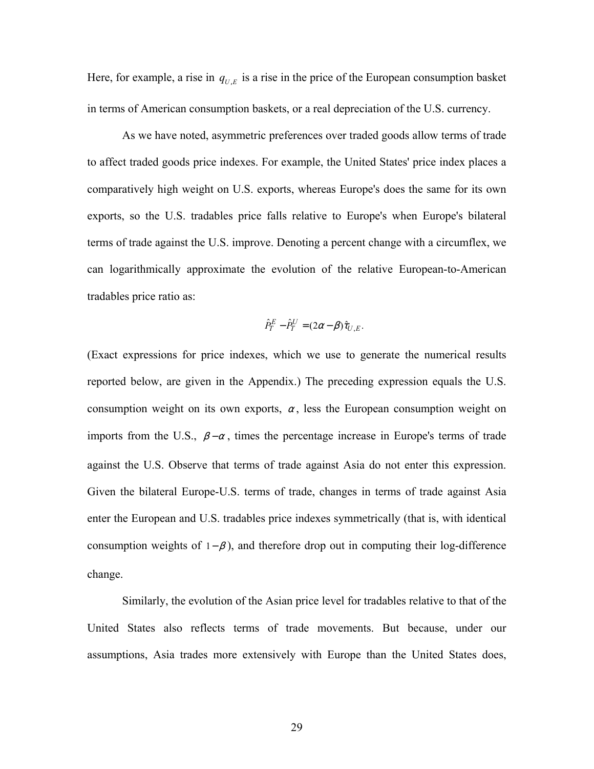Here, for example, a rise in  $q_{U,E}$  is a rise in the price of the European consumption basket in terms of American consumption baskets, or a real depreciation of the U.S. currency.

As we have noted, asymmetric preferences over traded goods allow terms of trade to affect traded goods price indexes. For example, the United States' price index places a comparatively high weight on U.S. exports, whereas Europe's does the same for its own exports, so the U.S. tradables price falls relative to Europe's when Europe's bilateral terms of trade against the U.S. improve. Denoting a percent change with a circumflex, we can logarithmically approximate the evolution of the relative European-to-American tradables price ratio as:

$$
\hat{P}_T^E - \hat{P}_T^U = (2\alpha - \beta)\hat{\tau}_{U,E}.
$$

(Exact expressions for price indexes, which we use to generate the numerical results reported below, are given in the Appendix.) The preceding expression equals the U.S. consumption weight on its own exports,  $\alpha$ , less the European consumption weight on imports from the U.S.,  $\beta - \alpha$ , times the percentage increase in Europe's terms of trade against the U.S. Observe that terms of trade against Asia do not enter this expression. Given the bilateral Europe-U.S. terms of trade, changes in terms of trade against Asia enter the European and U.S. tradables price indexes symmetrically (that is, with identical consumption weights of  $1-\beta$ ), and therefore drop out in computing their log-difference change.

Similarly, the evolution of the Asian price level for tradables relative to that of the United States also reflects terms of trade movements. But because, under our assumptions, Asia trades more extensively with Europe than the United States does,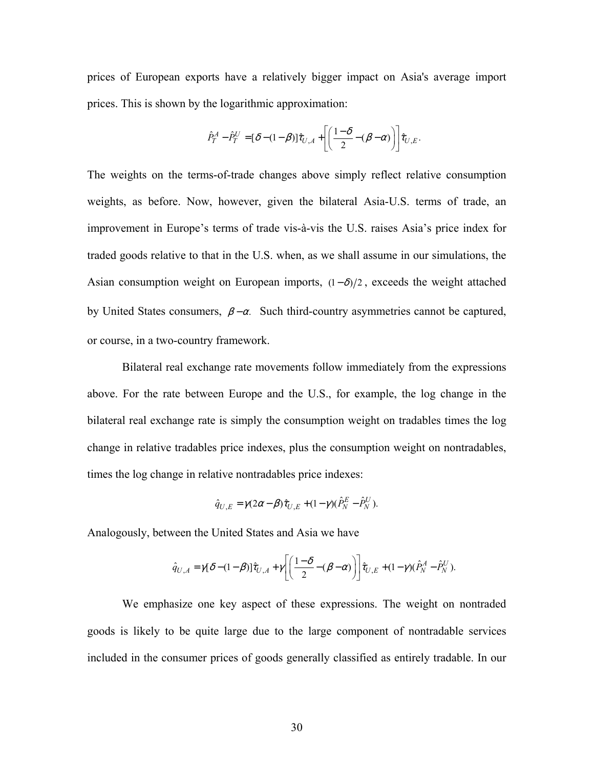prices of European exports have a relatively bigger impact on Asia's average import prices. This is shown by the logarithmic approximation:

$$
\hat{P}_T^A - \hat{P}_T^U = [\delta - (1 - \beta)]\hat{\tau}_{U,A} + \left[ \left( \frac{1 - \delta}{2} - (\beta - \alpha) \right) \right] \hat{\tau}_{U,E}.
$$

The weights on the terms-of-trade changes above simply reflect relative consumption weights, as before. Now, however, given the bilateral Asia-U.S. terms of trade, an improvement in Europe's terms of trade vis-à-vis the U.S. raises Asia's price index for traded goods relative to that in the U.S. when, as we shall assume in our simulations, the Asian consumption weight on European imports,  $(1 - \delta)/2$ , exceeds the weight attached by United States consumers,  $\beta - \alpha$ . Such third-country asymmetries cannot be captured, or course, in a two-country framework.

 Bilateral real exchange rate movements follow immediately from the expressions above. For the rate between Europe and the U.S., for example, the log change in the bilateral real exchange rate is simply the consumption weight on tradables times the log change in relative tradables price indexes, plus the consumption weight on nontradables, times the log change in relative nontradables price indexes:

$$
\hat{q}_{U,E} = \gamma (2\alpha - \beta) \hat{\tau}_{U,E} + (1 - \gamma) (\hat{P}_N^E - \hat{P}_N^U).
$$

Analogously, between the United States and Asia we have

$$
\hat{q}_{U,A} = \gamma[\delta - (1-\beta)]\hat{\tau}_{U,A} + \gamma \left[ \left( \frac{1-\delta}{2} - (\beta - \alpha) \right) \right] \hat{\tau}_{U,E} + (1-\gamma)(\hat{P}_N^A - \hat{P}_N^U).
$$

We emphasize one key aspect of these expressions. The weight on nontraded goods is likely to be quite large due to the large component of nontradable services included in the consumer prices of goods generally classified as entirely tradable. In our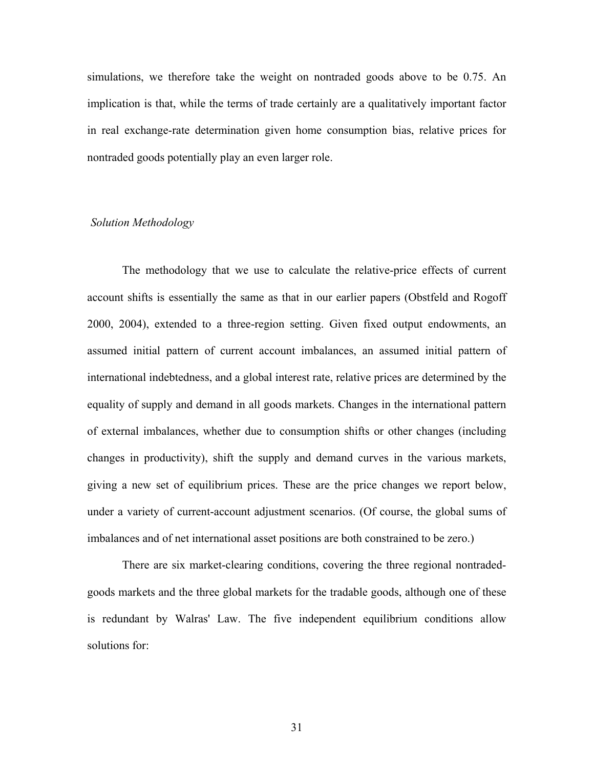simulations, we therefore take the weight on nontraded goods above to be 0.75. An implication is that, while the terms of trade certainly are a qualitatively important factor in real exchange-rate determination given home consumption bias, relative prices for nontraded goods potentially play an even larger role.

#### *Solution Methodology*

 The methodology that we use to calculate the relative-price effects of current account shifts is essentially the same as that in our earlier papers (Obstfeld and Rogoff 2000, 2004), extended to a three-region setting. Given fixed output endowments, an assumed initial pattern of current account imbalances, an assumed initial pattern of international indebtedness, and a global interest rate, relative prices are determined by the equality of supply and demand in all goods markets. Changes in the international pattern of external imbalances, whether due to consumption shifts or other changes (including changes in productivity), shift the supply and demand curves in the various markets, giving a new set of equilibrium prices. These are the price changes we report below, under a variety of current-account adjustment scenarios. (Of course, the global sums of imbalances and of net international asset positions are both constrained to be zero.)

There are six market-clearing conditions, covering the three regional nontradedgoods markets and the three global markets for the tradable goods, although one of these is redundant by Walras' Law. The five independent equilibrium conditions allow solutions for: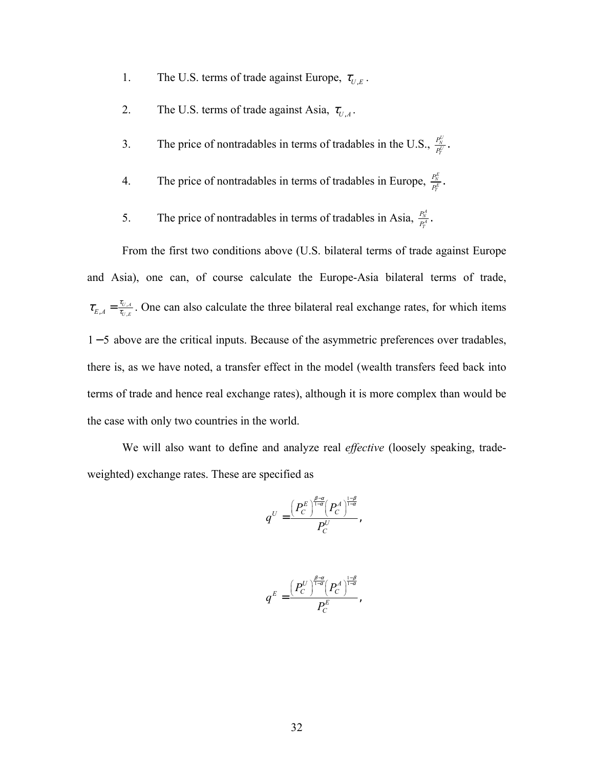- 1. The U.S. terms of trade against Europe,  $\tau_{U,E}$ .
- 2. The U.S. terms of trade against Asia,  $\tau_{U,A}$ .
- 3. The price of nontradables in terms of tradables in the U.S.,  $\frac{P_N^{(1)}}{P_T^{(1)}}$  $\frac{P_N^U}{P_T^U}$  .
- 4. The price of nontradables in terms of tradables in Europe,  $\frac{P_N^E}{P_T^E}$  $\frac{P_N^E}{P_T^E}$  .
- 5. The price of nontradables in terms of tradables in Asia,  $\frac{P_N^A}{P_I^A}$  $\frac{P_N^A}{P_T^A}$  .

 From the first two conditions above (U.S. bilateral terms of trade against Europe and Asia), one can, of course calculate the Europe-Asia bilateral terms of trade,  $\tau_{E,A} = \frac{\tau_{U,A}}{\tau_{U,E}}$ . One can also calculate the three bilateral real exchange rates, for which items 1 − 5 above are the critical inputs. Because of the asymmetric preferences over tradables, there is, as we have noted, a transfer effect in the model (wealth transfers feed back into terms of trade and hence real exchange rates), although it is more complex than would be the case with only two countries in the world.

 We will also want to define and analyze real *effective* (loosely speaking, tradeweighted) exchange rates. These are specified as

$$
q^U=\frac{\left(P_C^E\right)^{\frac{\beta-\alpha}{1-\alpha}}\left(P_C^A\right)^{\frac{1-\beta}{1-\alpha}}}{P_C^U},\,
$$

$$
q^E = \frac{\left(P_C^U\right)^{\frac{\beta-\alpha}{1-\alpha}}\left(P_C^A\right)^{\frac{1-\beta}{1-\alpha}}}{P_C^E},
$$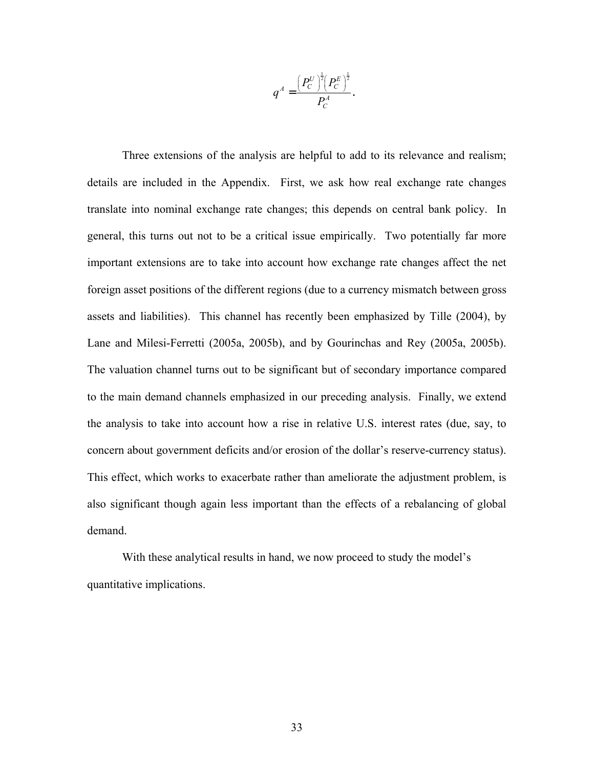$$
q^A = \frac{\left(P_C^U\right)^{\frac{1}{2}}\left(P_C^E\right)^{\frac{1}{2}}}{P_C^A}.
$$

Three extensions of the analysis are helpful to add to its relevance and realism; details are included in the Appendix. First, we ask how real exchange rate changes translate into nominal exchange rate changes; this depends on central bank policy. In general, this turns out not to be a critical issue empirically. Two potentially far more important extensions are to take into account how exchange rate changes affect the net foreign asset positions of the different regions (due to a currency mismatch between gross assets and liabilities). This channel has recently been emphasized by Tille (2004), by Lane and Milesi-Ferretti (2005a, 2005b), and by Gourinchas and Rey (2005a, 2005b). The valuation channel turns out to be significant but of secondary importance compared to the main demand channels emphasized in our preceding analysis. Finally, we extend the analysis to take into account how a rise in relative U.S. interest rates (due, say, to concern about government deficits and/or erosion of the dollar's reserve-currency status). This effect, which works to exacerbate rather than ameliorate the adjustment problem, is also significant though again less important than the effects of a rebalancing of global demand.

 With these analytical results in hand, we now proceed to study the model's quantitative implications.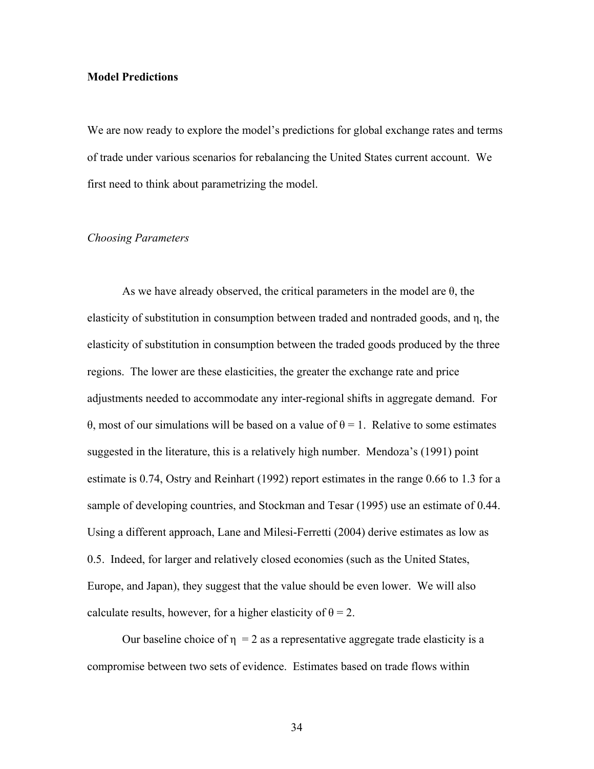## **Model Predictions**

We are now ready to explore the model's predictions for global exchange rates and terms of trade under various scenarios for rebalancing the United States current account. We first need to think about parametrizing the model.

## *Choosing Parameters*

As we have already observed, the critical parameters in the model are  $\theta$ , the elasticity of substitution in consumption between traded and nontraded goods, and η, the elasticity of substitution in consumption between the traded goods produced by the three regions. The lower are these elasticities, the greater the exchange rate and price adjustments needed to accommodate any inter-regional shifts in aggregate demand. For θ, most of our simulations will be based on a value of θ = 1. Relative to some estimates suggested in the literature, this is a relatively high number. Mendoza's (1991) point estimate is 0.74, Ostry and Reinhart (1992) report estimates in the range 0.66 to 1.3 for a sample of developing countries, and Stockman and Tesar (1995) use an estimate of 0.44. Using a different approach, Lane and Milesi-Ferretti (2004) derive estimates as low as 0.5. Indeed, for larger and relatively closed economies (such as the United States, Europe, and Japan), they suggest that the value should be even lower. We will also calculate results, however, for a higher elasticity of  $\theta = 2$ .

Our baseline choice of  $\eta = 2$  as a representative aggregate trade elasticity is a compromise between two sets of evidence. Estimates based on trade flows within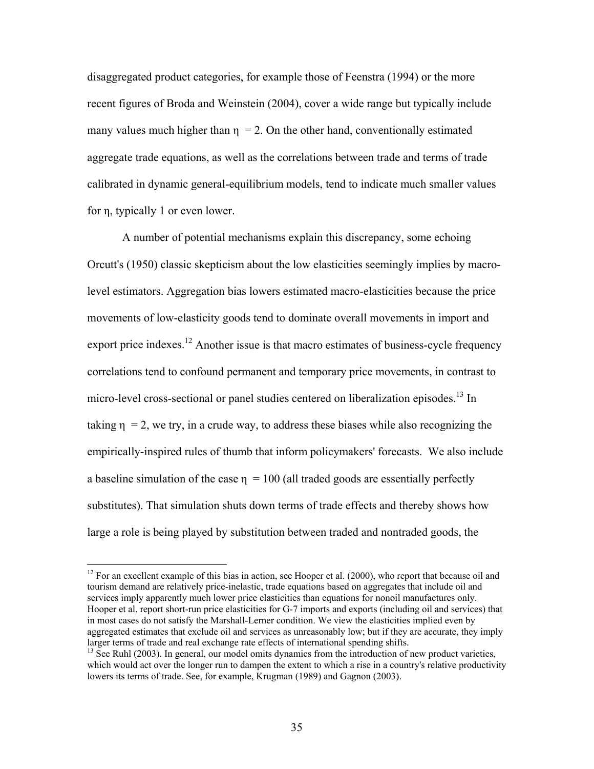disaggregated product categories, for example those of Feenstra (1994) or the more recent figures of Broda and Weinstein (2004), cover a wide range but typically include many values much higher than  $\eta$  = 2. On the other hand, conventionally estimated aggregate trade equations, as well as the correlations between trade and terms of trade calibrated in dynamic general-equilibrium models, tend to indicate much smaller values for η, typically 1 or even lower.

A number of potential mechanisms explain this discrepancy, some echoing Orcutt's (1950) classic skepticism about the low elasticities seemingly implies by macrolevel estimators. Aggregation bias lowers estimated macro-elasticities because the price movements of low-elasticity goods tend to dominate overall movements in import and export price indexes.<sup>12</sup> Another issue is that macro estimates of business-cycle frequency correlations tend to confound permanent and temporary price movements, in contrast to micro-level cross-sectional or panel studies centered on liberalization episodes.<sup>13</sup> In taking  $\eta = 2$ , we try, in a crude way, to address these biases while also recognizing the empirically-inspired rules of thumb that inform policymakers' forecasts. We also include a baseline simulation of the case  $\eta = 100$  (all traded goods are essentially perfectly substitutes). That simulation shuts down terms of trade effects and thereby shows how large a role is being played by substitution between traded and nontraded goods, the

 $12$  For an excellent example of this bias in action, see Hooper et al. (2000), who report that because oil and tourism demand are relatively price-inelastic, trade equations based on aggregates that include oil and services imply apparently much lower price elasticities than equations for nonoil manufactures only. Hooper et al. report short-run price elasticities for G-7 imports and exports (including oil and services) that in most cases do not satisfy the Marshall-Lerner condition. We view the elasticities implied even by aggregated estimates that exclude oil and services as unreasonably low; but if they are accurate, they imply larger terms of trade and real exchange rate effects of international spending shifts.

 $^{13}$  See Ruhl (2003). In general, our model omits dynamics from the introduction of new product varieties, which would act over the longer run to dampen the extent to which a rise in a country's relative productivity lowers its terms of trade. See, for example, Krugman (1989) and Gagnon (2003).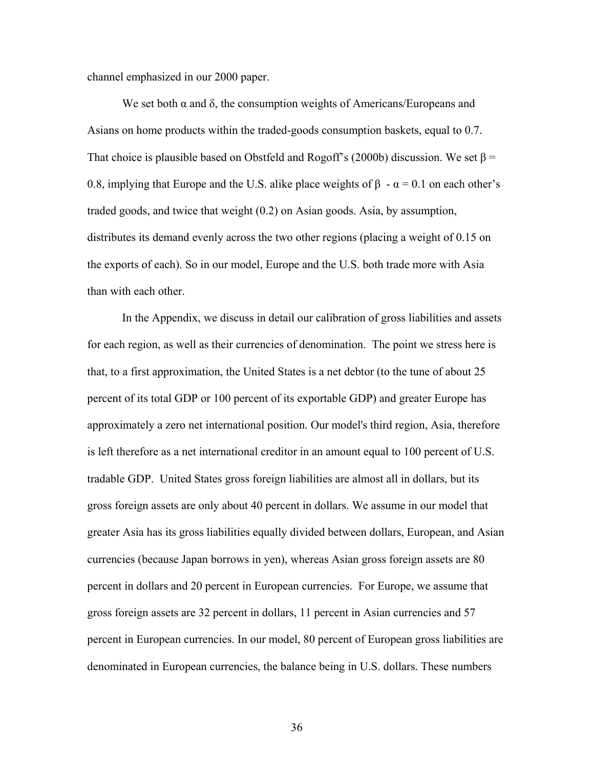channel emphasized in our 2000 paper.

We set both  $\alpha$  and  $\delta$ , the consumption weights of Americans/Europeans and Asians on home products within the traded-goods consumption baskets, equal to 0.7. That choice is plausible based on Obstfeld and Rogoff's (2000b) discussion. We set  $\beta$  = 0.8, implying that Europe and the U.S. alike place weights of  $\beta - \alpha = 0.1$  on each other's traded goods, and twice that weight (0.2) on Asian goods. Asia, by assumption, distributes its demand evenly across the two other regions (placing a weight of 0.15 on the exports of each). So in our model, Europe and the U.S. both trade more with Asia than with each other.

In the Appendix, we discuss in detail our calibration of gross liabilities and assets for each region, as well as their currencies of denomination. The point we stress here is that, to a first approximation, the United States is a net debtor (to the tune of about 25 percent of its total GDP or 100 percent of its exportable GDP) and greater Europe has approximately a zero net international position. Our model's third region, Asia, therefore is left therefore as a net international creditor in an amount equal to 100 percent of U.S. tradable GDP. United States gross foreign liabilities are almost all in dollars, but its gross foreign assets are only about 40 percent in dollars. We assume in our model that greater Asia has its gross liabilities equally divided between dollars, European, and Asian currencies (because Japan borrows in yen), whereas Asian gross foreign assets are 80 percent in dollars and 20 percent in European currencies. For Europe, we assume that gross foreign assets are 32 percent in dollars, 11 percent in Asian currencies and 57 percent in European currencies. In our model, 80 percent of European gross liabilities are denominated in European currencies, the balance being in U.S. dollars. These numbers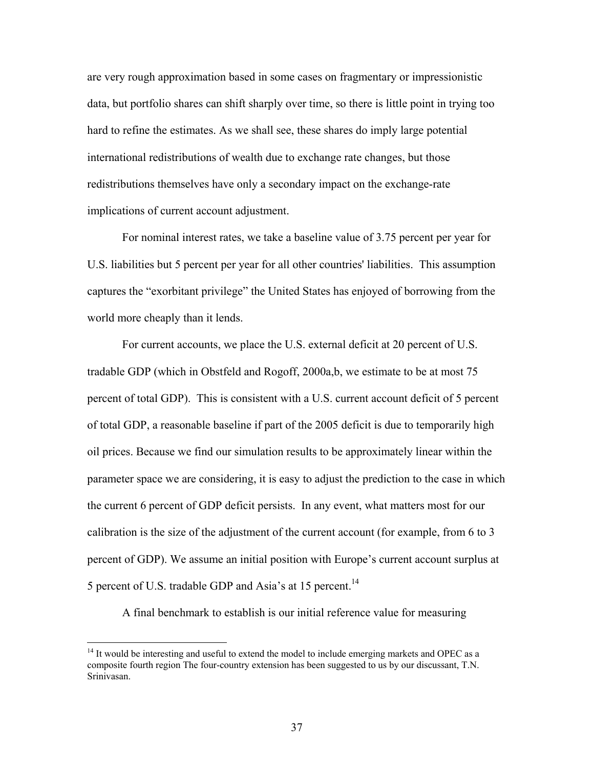are very rough approximation based in some cases on fragmentary or impressionistic data, but portfolio shares can shift sharply over time, so there is little point in trying too hard to refine the estimates. As we shall see, these shares do imply large potential international redistributions of wealth due to exchange rate changes, but those redistributions themselves have only a secondary impact on the exchange-rate implications of current account adjustment.

For nominal interest rates, we take a baseline value of 3.75 percent per year for U.S. liabilities but 5 percent per year for all other countries' liabilities. This assumption captures the "exorbitant privilege" the United States has enjoyed of borrowing from the world more cheaply than it lends.

For current accounts, we place the U.S. external deficit at 20 percent of U.S. tradable GDP (which in Obstfeld and Rogoff, 2000a,b, we estimate to be at most 75 percent of total GDP). This is consistent with a U.S. current account deficit of 5 percent of total GDP, a reasonable baseline if part of the 2005 deficit is due to temporarily high oil prices. Because we find our simulation results to be approximately linear within the parameter space we are considering, it is easy to adjust the prediction to the case in which the current 6 percent of GDP deficit persists. In any event, what matters most for our calibration is the size of the adjustment of the current account (for example, from 6 to 3 percent of GDP). We assume an initial position with Europe's current account surplus at 5 percent of U.S. tradable GDP and Asia's at 15 percent.<sup>14</sup>

A final benchmark to establish is our initial reference value for measuring

 $\overline{a}$ 

<sup>&</sup>lt;sup>14</sup> It would be interesting and useful to extend the model to include emerging markets and OPEC as a composite fourth region The four-country extension has been suggested to us by our discussant, T.N. Srinivasan.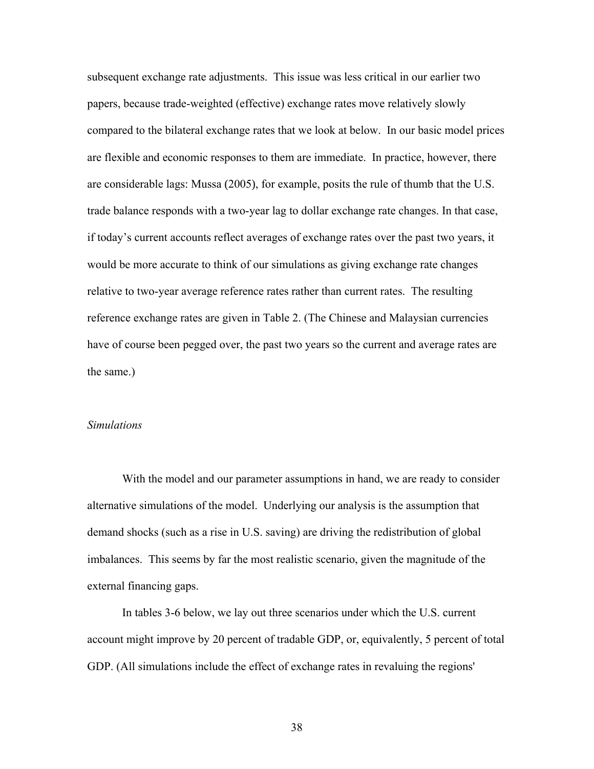subsequent exchange rate adjustments. This issue was less critical in our earlier two papers, because trade-weighted (effective) exchange rates move relatively slowly compared to the bilateral exchange rates that we look at below. In our basic model prices are flexible and economic responses to them are immediate. In practice, however, there are considerable lags: Mussa (2005), for example, posits the rule of thumb that the U.S. trade balance responds with a two-year lag to dollar exchange rate changes. In that case, if today's current accounts reflect averages of exchange rates over the past two years, it would be more accurate to think of our simulations as giving exchange rate changes relative to two-year average reference rates rather than current rates. The resulting reference exchange rates are given in Table 2. (The Chinese and Malaysian currencies have of course been pegged over, the past two years so the current and average rates are the same.)

### *Simulations*

 With the model and our parameter assumptions in hand, we are ready to consider alternative simulations of the model. Underlying our analysis is the assumption that demand shocks (such as a rise in U.S. saving) are driving the redistribution of global imbalances. This seems by far the most realistic scenario, given the magnitude of the external financing gaps.

 In tables 3-6 below, we lay out three scenarios under which the U.S. current account might improve by 20 percent of tradable GDP, or, equivalently, 5 percent of total GDP. (All simulations include the effect of exchange rates in revaluing the regions'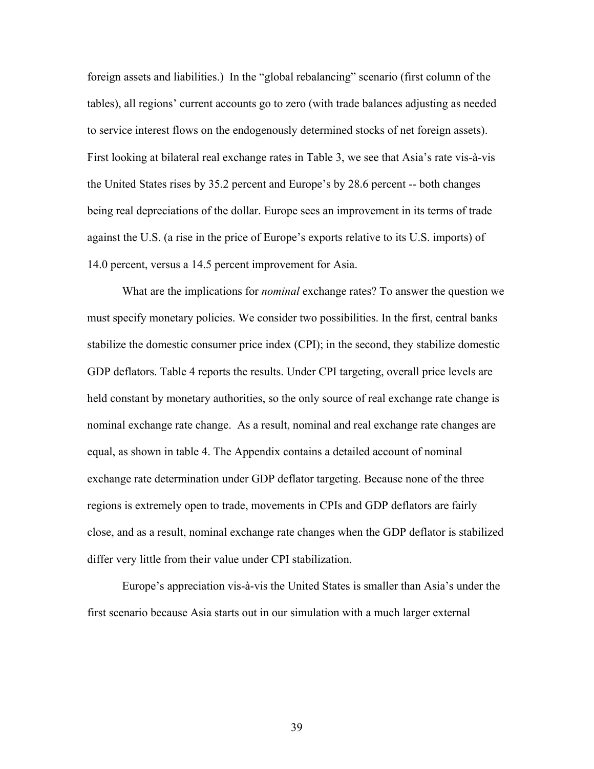foreign assets and liabilities.) In the "global rebalancing" scenario (first column of the tables), all regions' current accounts go to zero (with trade balances adjusting as needed to service interest flows on the endogenously determined stocks of net foreign assets). First looking at bilateral real exchange rates in Table 3, we see that Asia's rate vis-à-vis the United States rises by 35.2 percent and Europe's by 28.6 percent -- both changes being real depreciations of the dollar. Europe sees an improvement in its terms of trade against the U.S. (a rise in the price of Europe's exports relative to its U.S. imports) of 14.0 percent, versus a 14.5 percent improvement for Asia.

 What are the implications for *nominal* exchange rates? To answer the question we must specify monetary policies. We consider two possibilities. In the first, central banks stabilize the domestic consumer price index (CPI); in the second, they stabilize domestic GDP deflators. Table 4 reports the results. Under CPI targeting, overall price levels are held constant by monetary authorities, so the only source of real exchange rate change is nominal exchange rate change. As a result, nominal and real exchange rate changes are equal, as shown in table 4. The Appendix contains a detailed account of nominal exchange rate determination under GDP deflator targeting. Because none of the three regions is extremely open to trade, movements in CPIs and GDP deflators are fairly close, and as a result, nominal exchange rate changes when the GDP deflator is stabilized differ very little from their value under CPI stabilization.

Europe's appreciation vis-à-vis the United States is smaller than Asia's under the first scenario because Asia starts out in our simulation with a much larger external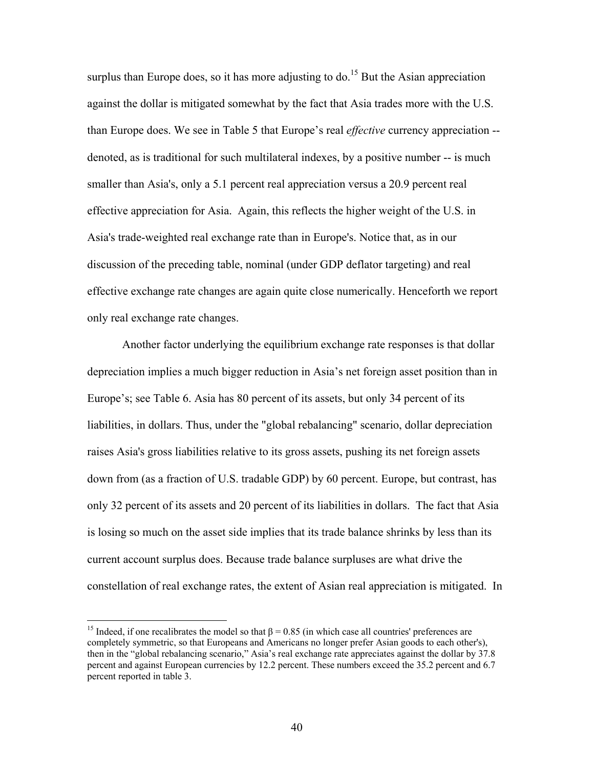surplus than Europe does, so it has more adjusting to do.<sup>15</sup> But the Asian appreciation against the dollar is mitigated somewhat by the fact that Asia trades more with the U.S. than Europe does. We see in Table 5 that Europe's real *effective* currency appreciation - denoted, as is traditional for such multilateral indexes, by a positive number -- is much smaller than Asia's, only a 5.1 percent real appreciation versus a 20.9 percent real effective appreciation for Asia. Again, this reflects the higher weight of the U.S. in Asia's trade-weighted real exchange rate than in Europe's. Notice that, as in our discussion of the preceding table, nominal (under GDP deflator targeting) and real effective exchange rate changes are again quite close numerically. Henceforth we report only real exchange rate changes.

Another factor underlying the equilibrium exchange rate responses is that dollar depreciation implies a much bigger reduction in Asia's net foreign asset position than in Europe's; see Table 6. Asia has 80 percent of its assets, but only 34 percent of its liabilities, in dollars. Thus, under the "global rebalancing" scenario, dollar depreciation raises Asia's gross liabilities relative to its gross assets, pushing its net foreign assets down from (as a fraction of U.S. tradable GDP) by 60 percent. Europe, but contrast, has only 32 percent of its assets and 20 percent of its liabilities in dollars. The fact that Asia is losing so much on the asset side implies that its trade balance shrinks by less than its current account surplus does. Because trade balance surpluses are what drive the constellation of real exchange rates, the extent of Asian real appreciation is mitigated. In

 $\overline{a}$ 

<sup>&</sup>lt;sup>15</sup> Indeed, if one recalibrates the model so that  $\beta$  = 0.85 (in which case all countries' preferences are completely symmetric, so that Europeans and Americans no longer prefer Asian goods to each other's), then in the "global rebalancing scenario," Asia's real exchange rate appreciates against the dollar by 37.8 percent and against European currencies by 12.2 percent. These numbers exceed the 35.2 percent and 6.7 percent reported in table 3.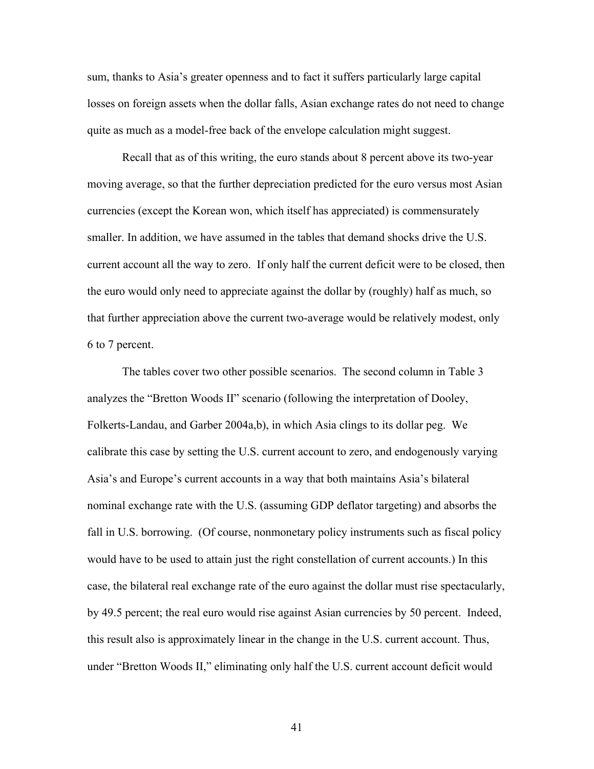sum, thanks to Asia's greater openness and to fact it suffers particularly large capital losses on foreign assets when the dollar falls, Asian exchange rates do not need to change quite as much as a model-free back of the envelope calculation might suggest.

Recall that as of this writing, the euro stands about 8 percent above its two-year moving average, so that the further depreciation predicted for the euro versus most Asian currencies (except the Korean won, which itself has appreciated) is commensurately smaller. In addition, we have assumed in the tables that demand shocks drive the U.S. current account all the way to zero. If only half the current deficit were to be closed, then the euro would only need to appreciate against the dollar by (roughly) half as much, so that further appreciation above the current two-average would be relatively modest, only 6 to 7 percent.

The tables cover two other possible scenarios. The second column in Table 3 analyzes the "Bretton Woods II" scenario (following the interpretation of Dooley, Folkerts-Landau, and Garber 2004a,b), in which Asia clings to its dollar peg. We calibrate this case by setting the U.S. current account to zero, and endogenously varying Asia's and Europe's current accounts in a way that both maintains Asia's bilateral nominal exchange rate with the U.S. (assuming GDP deflator targeting) and absorbs the fall in U.S. borrowing. (Of course, nonmonetary policy instruments such as fiscal policy would have to be used to attain just the right constellation of current accounts.) In this case, the bilateral real exchange rate of the euro against the dollar must rise spectacularly, by 49.5 percent; the real euro would rise against Asian currencies by 50 percent. Indeed, this result also is approximately linear in the change in the U.S. current account. Thus, under "Bretton Woods II," eliminating only half the U.S. current account deficit would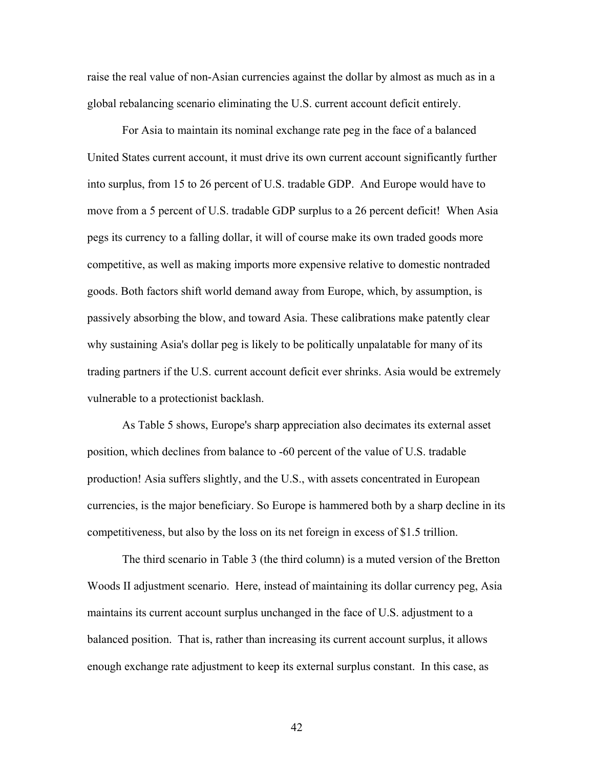raise the real value of non-Asian currencies against the dollar by almost as much as in a global rebalancing scenario eliminating the U.S. current account deficit entirely.

For Asia to maintain its nominal exchange rate peg in the face of a balanced United States current account, it must drive its own current account significantly further into surplus, from 15 to 26 percent of U.S. tradable GDP. And Europe would have to move from a 5 percent of U.S. tradable GDP surplus to a 26 percent deficit! When Asia pegs its currency to a falling dollar, it will of course make its own traded goods more competitive, as well as making imports more expensive relative to domestic nontraded goods. Both factors shift world demand away from Europe, which, by assumption, is passively absorbing the blow, and toward Asia. These calibrations make patently clear why sustaining Asia's dollar peg is likely to be politically unpalatable for many of its trading partners if the U.S. current account deficit ever shrinks. Asia would be extremely vulnerable to a protectionist backlash.

As Table 5 shows, Europe's sharp appreciation also decimates its external asset position, which declines from balance to -60 percent of the value of U.S. tradable production! Asia suffers slightly, and the U.S., with assets concentrated in European currencies, is the major beneficiary. So Europe is hammered both by a sharp decline in its competitiveness, but also by the loss on its net foreign in excess of \$1.5 trillion.

The third scenario in Table 3 (the third column) is a muted version of the Bretton Woods II adjustment scenario. Here, instead of maintaining its dollar currency peg, Asia maintains its current account surplus unchanged in the face of U.S. adjustment to a balanced position. That is, rather than increasing its current account surplus, it allows enough exchange rate adjustment to keep its external surplus constant. In this case, as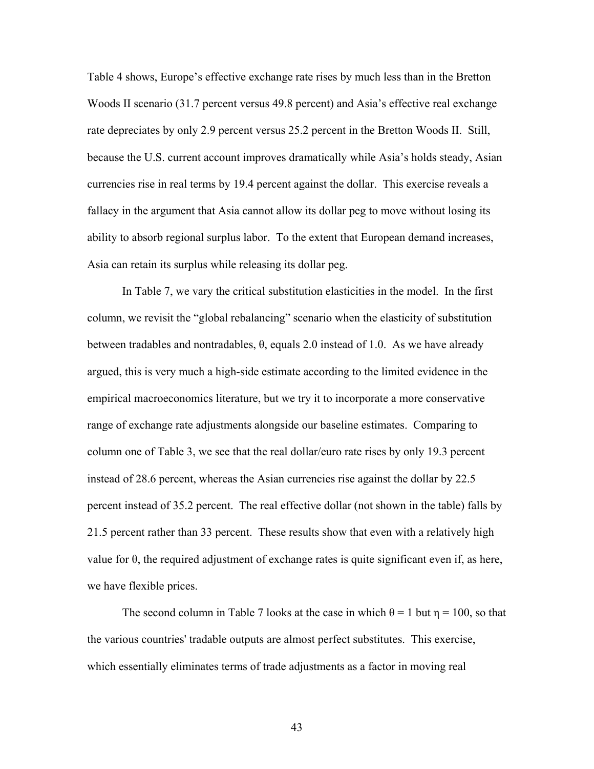Table 4 shows, Europe's effective exchange rate rises by much less than in the Bretton Woods II scenario (31.7 percent versus 49.8 percent) and Asia's effective real exchange rate depreciates by only 2.9 percent versus 25.2 percent in the Bretton Woods II. Still, because the U.S. current account improves dramatically while Asia's holds steady, Asian currencies rise in real terms by 19.4 percent against the dollar. This exercise reveals a fallacy in the argument that Asia cannot allow its dollar peg to move without losing its ability to absorb regional surplus labor. To the extent that European demand increases, Asia can retain its surplus while releasing its dollar peg.

In Table 7, we vary the critical substitution elasticities in the model. In the first column, we revisit the "global rebalancing" scenario when the elasticity of substitution between tradables and nontradables,  $\theta$ , equals 2.0 instead of 1.0. As we have already argued, this is very much a high-side estimate according to the limited evidence in the empirical macroeconomics literature, but we try it to incorporate a more conservative range of exchange rate adjustments alongside our baseline estimates. Comparing to column one of Table 3, we see that the real dollar/euro rate rises by only 19.3 percent instead of 28.6 percent, whereas the Asian currencies rise against the dollar by 22.5 percent instead of 35.2 percent. The real effective dollar (not shown in the table) falls by 21.5 percent rather than 33 percent. These results show that even with a relatively high value for  $\theta$ , the required adjustment of exchange rates is quite significant even if, as here, we have flexible prices.

The second column in Table 7 looks at the case in which  $\theta = 1$  but  $\eta = 100$ , so that the various countries' tradable outputs are almost perfect substitutes. This exercise, which essentially eliminates terms of trade adjustments as a factor in moving real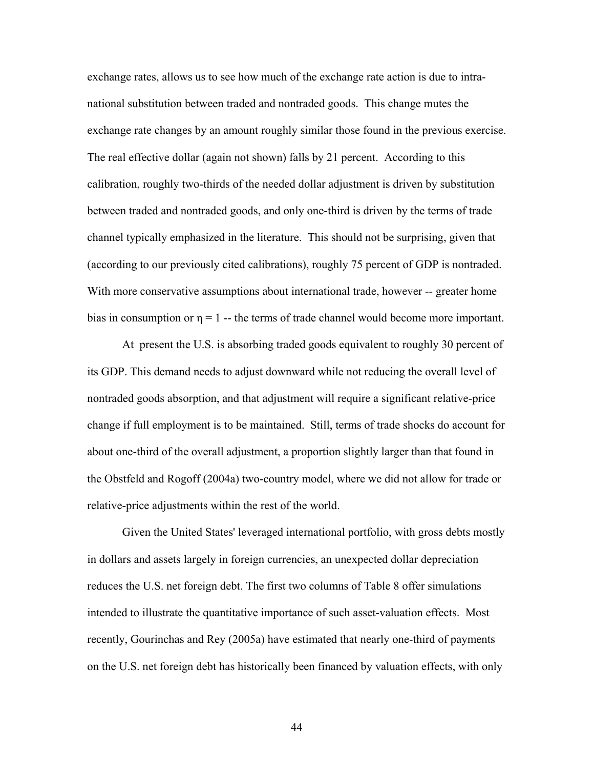exchange rates, allows us to see how much of the exchange rate action is due to intranational substitution between traded and nontraded goods. This change mutes the exchange rate changes by an amount roughly similar those found in the previous exercise. The real effective dollar (again not shown) falls by 21 percent. According to this calibration, roughly two-thirds of the needed dollar adjustment is driven by substitution between traded and nontraded goods, and only one-third is driven by the terms of trade channel typically emphasized in the literature. This should not be surprising, given that (according to our previously cited calibrations), roughly 75 percent of GDP is nontraded. With more conservative assumptions about international trade, however -- greater home bias in consumption or  $\eta = 1$  -- the terms of trade channel would become more important.

At present the U.S. is absorbing traded goods equivalent to roughly 30 percent of its GDP. This demand needs to adjust downward while not reducing the overall level of nontraded goods absorption, and that adjustment will require a significant relative-price change if full employment is to be maintained. Still, terms of trade shocks do account for about one-third of the overall adjustment, a proportion slightly larger than that found in the Obstfeld and Rogoff (2004a) two-country model, where we did not allow for trade or relative-price adjustments within the rest of the world.

Given the United States' leveraged international portfolio, with gross debts mostly in dollars and assets largely in foreign currencies, an unexpected dollar depreciation reduces the U.S. net foreign debt. The first two columns of Table 8 offer simulations intended to illustrate the quantitative importance of such asset-valuation effects. Most recently, Gourinchas and Rey (2005a) have estimated that nearly one-third of payments on the U.S. net foreign debt has historically been financed by valuation effects, with only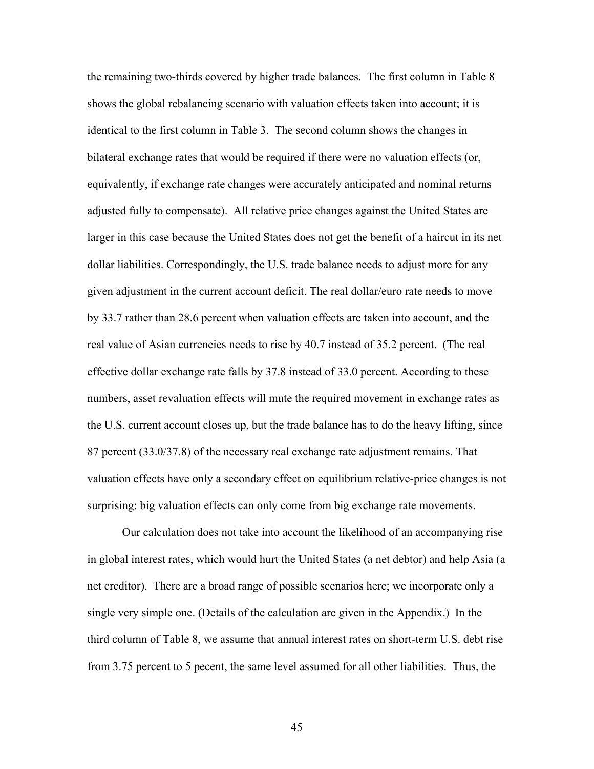the remaining two-thirds covered by higher trade balances. The first column in Table 8 shows the global rebalancing scenario with valuation effects taken into account; it is identical to the first column in Table 3. The second column shows the changes in bilateral exchange rates that would be required if there were no valuation effects (or, equivalently, if exchange rate changes were accurately anticipated and nominal returns adjusted fully to compensate). All relative price changes against the United States are larger in this case because the United States does not get the benefit of a haircut in its net dollar liabilities. Correspondingly, the U.S. trade balance needs to adjust more for any given adjustment in the current account deficit. The real dollar/euro rate needs to move by 33.7 rather than 28.6 percent when valuation effects are taken into account, and the real value of Asian currencies needs to rise by 40.7 instead of 35.2 percent. (The real effective dollar exchange rate falls by 37.8 instead of 33.0 percent. According to these numbers, asset revaluation effects will mute the required movement in exchange rates as the U.S. current account closes up, but the trade balance has to do the heavy lifting, since 87 percent (33.0/37.8) of the necessary real exchange rate adjustment remains. That valuation effects have only a secondary effect on equilibrium relative-price changes is not surprising: big valuation effects can only come from big exchange rate movements.

Our calculation does not take into account the likelihood of an accompanying rise in global interest rates, which would hurt the United States (a net debtor) and help Asia (a net creditor). There are a broad range of possible scenarios here; we incorporate only a single very simple one. (Details of the calculation are given in the Appendix.) In the third column of Table 8, we assume that annual interest rates on short-term U.S. debt rise from 3.75 percent to 5 pecent, the same level assumed for all other liabilities. Thus, the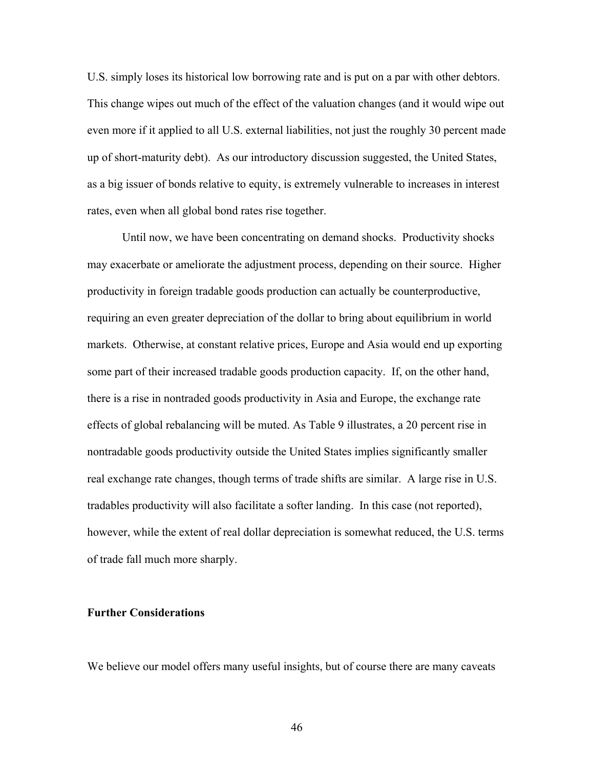U.S. simply loses its historical low borrowing rate and is put on a par with other debtors. This change wipes out much of the effect of the valuation changes (and it would wipe out even more if it applied to all U.S. external liabilities, not just the roughly 30 percent made up of short-maturity debt). As our introductory discussion suggested, the United States, as a big issuer of bonds relative to equity, is extremely vulnerable to increases in interest rates, even when all global bond rates rise together.

Until now, we have been concentrating on demand shocks. Productivity shocks may exacerbate or ameliorate the adjustment process, depending on their source. Higher productivity in foreign tradable goods production can actually be counterproductive, requiring an even greater depreciation of the dollar to bring about equilibrium in world markets. Otherwise, at constant relative prices, Europe and Asia would end up exporting some part of their increased tradable goods production capacity. If, on the other hand, there is a rise in nontraded goods productivity in Asia and Europe, the exchange rate effects of global rebalancing will be muted. As Table 9 illustrates, a 20 percent rise in nontradable goods productivity outside the United States implies significantly smaller real exchange rate changes, though terms of trade shifts are similar. A large rise in U.S. tradables productivity will also facilitate a softer landing. In this case (not reported), however, while the extent of real dollar depreciation is somewhat reduced, the U.S. terms of trade fall much more sharply.

# **Further Considerations**

We believe our model offers many useful insights, but of course there are many caveats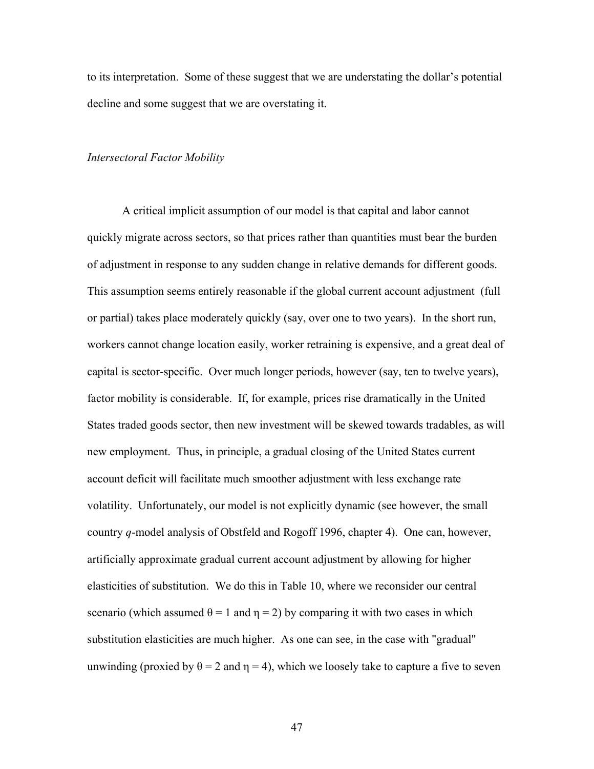to its interpretation. Some of these suggest that we are understating the dollar's potential decline and some suggest that we are overstating it.

### *Intersectoral Factor Mobility*

A critical implicit assumption of our model is that capital and labor cannot quickly migrate across sectors, so that prices rather than quantities must bear the burden of adjustment in response to any sudden change in relative demands for different goods. This assumption seems entirely reasonable if the global current account adjustment (full or partial) takes place moderately quickly (say, over one to two years). In the short run, workers cannot change location easily, worker retraining is expensive, and a great deal of capital is sector-specific. Over much longer periods, however (say, ten to twelve years), factor mobility is considerable. If, for example, prices rise dramatically in the United States traded goods sector, then new investment will be skewed towards tradables, as will new employment. Thus, in principle, a gradual closing of the United States current account deficit will facilitate much smoother adjustment with less exchange rate volatility. Unfortunately, our model is not explicitly dynamic (see however, the small country *q*-model analysis of Obstfeld and Rogoff 1996, chapter 4). One can, however, artificially approximate gradual current account adjustment by allowing for higher elasticities of substitution. We do this in Table 10, where we reconsider our central scenario (which assumed  $\theta = 1$  and  $\eta = 2$ ) by comparing it with two cases in which substitution elasticities are much higher. As one can see, in the case with "gradual" unwinding (proxied by  $\theta = 2$  and  $\eta = 4$ ), which we loosely take to capture a five to seven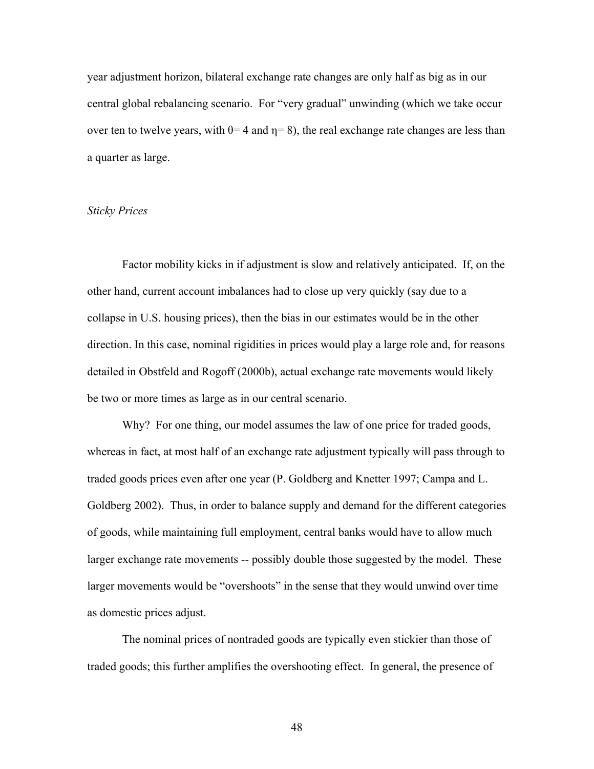year adjustment horizon, bilateral exchange rate changes are only half as big as in our central global rebalancing scenario. For "very gradual" unwinding (which we take occur over ten to twelve years, with  $\theta$ = 4 and  $\eta$ = 8), the real exchange rate changes are less than a quarter as large.

### *Sticky Prices*

Factor mobility kicks in if adjustment is slow and relatively anticipated. If, on the other hand, current account imbalances had to close up very quickly (say due to a collapse in U.S. housing prices), then the bias in our estimates would be in the other direction. In this case, nominal rigidities in prices would play a large role and, for reasons detailed in Obstfeld and Rogoff (2000b), actual exchange rate movements would likely be two or more times as large as in our central scenario.

Why? For one thing, our model assumes the law of one price for traded goods, whereas in fact, at most half of an exchange rate adjustment typically will pass through to traded goods prices even after one year (P. Goldberg and Knetter 1997; Campa and L. Goldberg 2002). Thus, in order to balance supply and demand for the different categories of goods, while maintaining full employment, central banks would have to allow much larger exchange rate movements -- possibly double those suggested by the model. These larger movements would be "overshoots" in the sense that they would unwind over time as domestic prices adjust.

The nominal prices of nontraded goods are typically even stickier than those of traded goods; this further amplifies the overshooting effect. In general, the presence of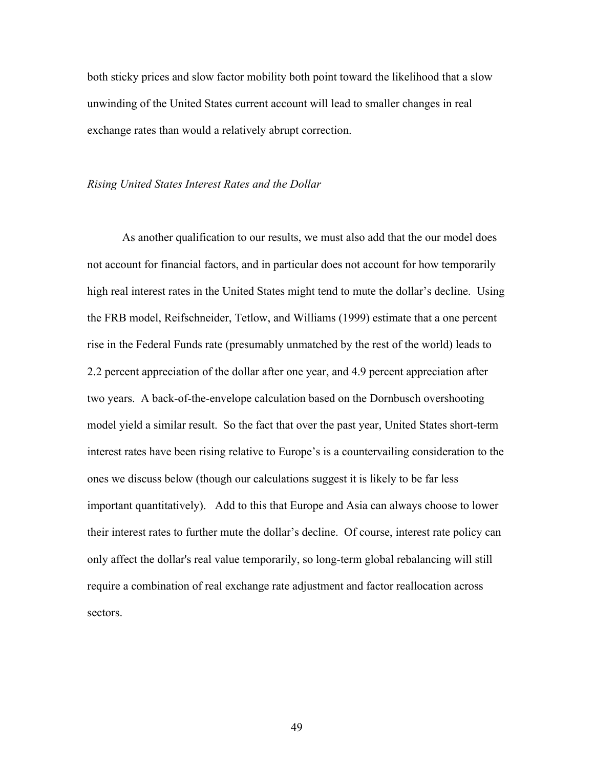both sticky prices and slow factor mobility both point toward the likelihood that a slow unwinding of the United States current account will lead to smaller changes in real exchange rates than would a relatively abrupt correction.

### *Rising United States Interest Rates and the Dollar*

As another qualification to our results, we must also add that the our model does not account for financial factors, and in particular does not account for how temporarily high real interest rates in the United States might tend to mute the dollar's decline. Using the FRB model, Reifschneider, Tetlow, and Williams (1999) estimate that a one percent rise in the Federal Funds rate (presumably unmatched by the rest of the world) leads to 2.2 percent appreciation of the dollar after one year, and 4.9 percent appreciation after two years. A back-of-the-envelope calculation based on the Dornbusch overshooting model yield a similar result. So the fact that over the past year, United States short-term interest rates have been rising relative to Europe's is a countervailing consideration to the ones we discuss below (though our calculations suggest it is likely to be far less important quantitatively). Add to this that Europe and Asia can always choose to lower their interest rates to further mute the dollar's decline. Of course, interest rate policy can only affect the dollar's real value temporarily, so long-term global rebalancing will still require a combination of real exchange rate adjustment and factor reallocation across sectors.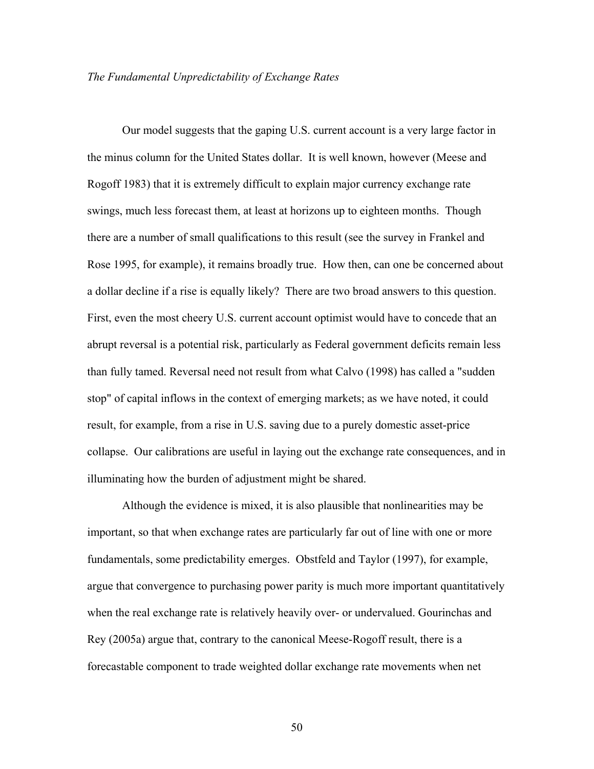### *The Fundamental Unpredictability of Exchange Rates*

Our model suggests that the gaping U.S. current account is a very large factor in the minus column for the United States dollar. It is well known, however (Meese and Rogoff 1983) that it is extremely difficult to explain major currency exchange rate swings, much less forecast them, at least at horizons up to eighteen months. Though there are a number of small qualifications to this result (see the survey in Frankel and Rose 1995, for example), it remains broadly true. How then, can one be concerned about a dollar decline if a rise is equally likely? There are two broad answers to this question. First, even the most cheery U.S. current account optimist would have to concede that an abrupt reversal is a potential risk, particularly as Federal government deficits remain less than fully tamed. Reversal need not result from what Calvo (1998) has called a "sudden stop" of capital inflows in the context of emerging markets; as we have noted, it could result, for example, from a rise in U.S. saving due to a purely domestic asset-price collapse. Our calibrations are useful in laying out the exchange rate consequences, and in illuminating how the burden of adjustment might be shared.

Although the evidence is mixed, it is also plausible that nonlinearities may be important, so that when exchange rates are particularly far out of line with one or more fundamentals, some predictability emerges. Obstfeld and Taylor (1997), for example, argue that convergence to purchasing power parity is much more important quantitatively when the real exchange rate is relatively heavily over- or undervalued. Gourinchas and Rey (2005a) argue that, contrary to the canonical Meese-Rogoff result, there is a forecastable component to trade weighted dollar exchange rate movements when net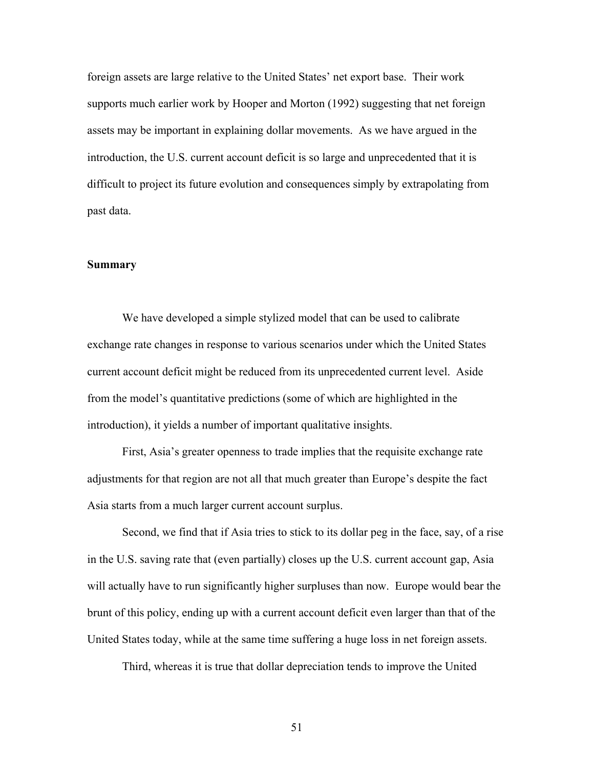foreign assets are large relative to the United States' net export base. Their work supports much earlier work by Hooper and Morton (1992) suggesting that net foreign assets may be important in explaining dollar movements. As we have argued in the introduction, the U.S. current account deficit is so large and unprecedented that it is difficult to project its future evolution and consequences simply by extrapolating from past data.

#### **Summary**

We have developed a simple stylized model that can be used to calibrate exchange rate changes in response to various scenarios under which the United States current account deficit might be reduced from its unprecedented current level. Aside from the model's quantitative predictions (some of which are highlighted in the introduction), it yields a number of important qualitative insights.

First, Asia's greater openness to trade implies that the requisite exchange rate adjustments for that region are not all that much greater than Europe's despite the fact Asia starts from a much larger current account surplus.

Second, we find that if Asia tries to stick to its dollar peg in the face, say, of a rise in the U.S. saving rate that (even partially) closes up the U.S. current account gap, Asia will actually have to run significantly higher surpluses than now. Europe would bear the brunt of this policy, ending up with a current account deficit even larger than that of the United States today, while at the same time suffering a huge loss in net foreign assets.

Third, whereas it is true that dollar depreciation tends to improve the United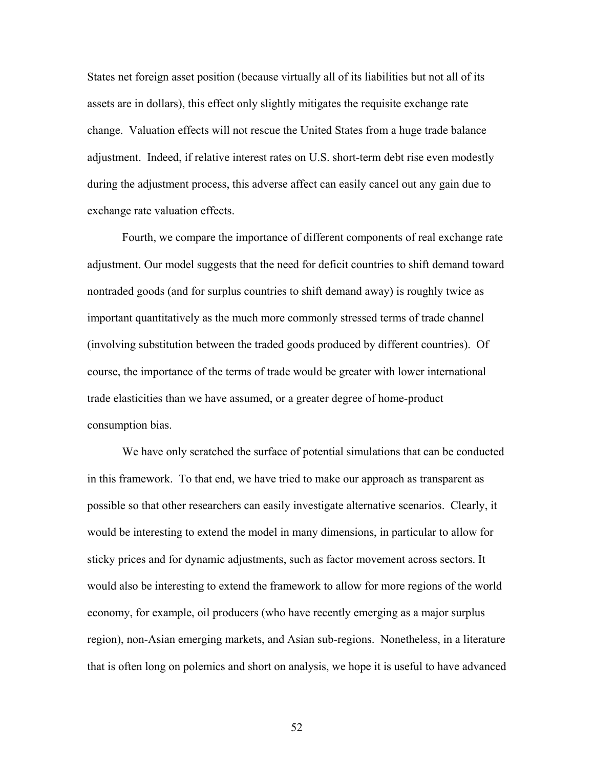States net foreign asset position (because virtually all of its liabilities but not all of its assets are in dollars), this effect only slightly mitigates the requisite exchange rate change. Valuation effects will not rescue the United States from a huge trade balance adjustment. Indeed, if relative interest rates on U.S. short-term debt rise even modestly during the adjustment process, this adverse affect can easily cancel out any gain due to exchange rate valuation effects.

Fourth, we compare the importance of different components of real exchange rate adjustment. Our model suggests that the need for deficit countries to shift demand toward nontraded goods (and for surplus countries to shift demand away) is roughly twice as important quantitatively as the much more commonly stressed terms of trade channel (involving substitution between the traded goods produced by different countries). Of course, the importance of the terms of trade would be greater with lower international trade elasticities than we have assumed, or a greater degree of home-product consumption bias.

We have only scratched the surface of potential simulations that can be conducted in this framework. To that end, we have tried to make our approach as transparent as possible so that other researchers can easily investigate alternative scenarios. Clearly, it would be interesting to extend the model in many dimensions, in particular to allow for sticky prices and for dynamic adjustments, such as factor movement across sectors. It would also be interesting to extend the framework to allow for more regions of the world economy, for example, oil producers (who have recently emerging as a major surplus region), non-Asian emerging markets, and Asian sub-regions. Nonetheless, in a literature that is often long on polemics and short on analysis, we hope it is useful to have advanced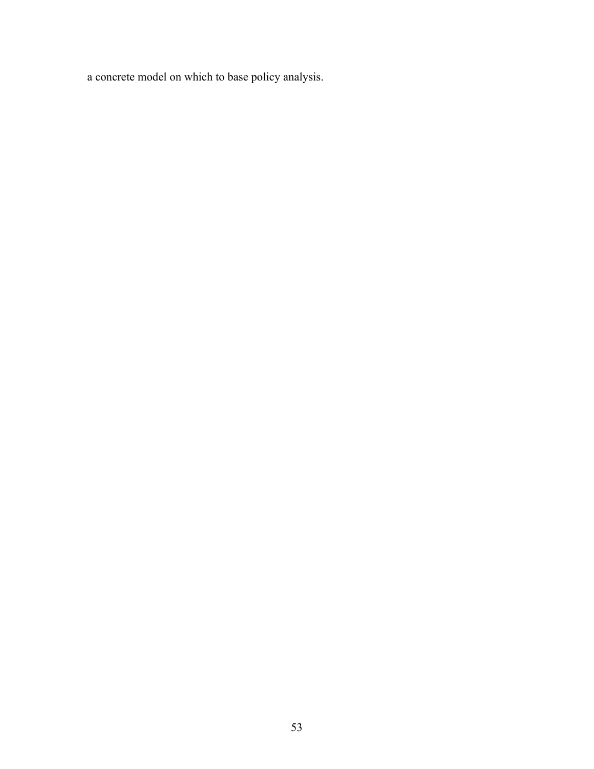a concrete model on which to base policy analysis.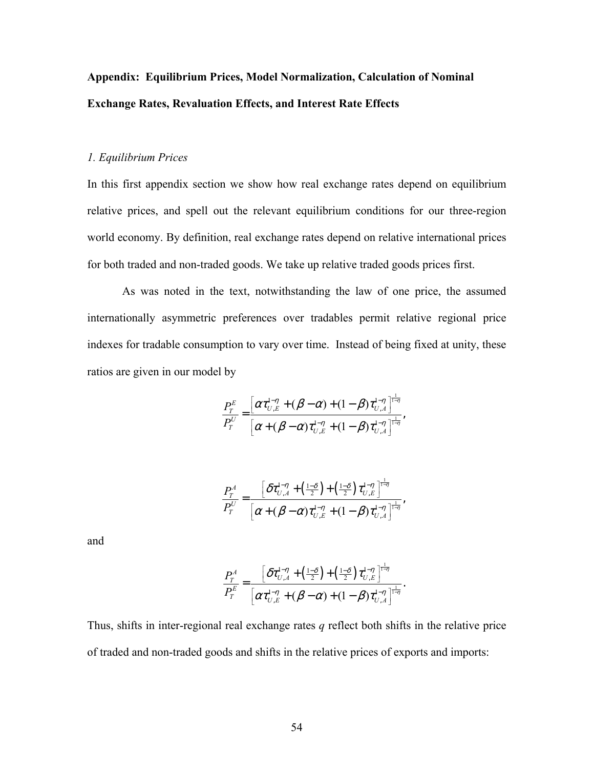# **Appendix: Equilibrium Prices, Model Normalization, Calculation of Nominal Exchange Rates, Revaluation Effects, and Interest Rate Effects**

### *1. Equilibrium Prices*

In this first appendix section we show how real exchange rates depend on equilibrium relative prices, and spell out the relevant equilibrium conditions for our three-region world economy. By definition, real exchange rates depend on relative international prices for both traded and non-traded goods. We take up relative traded goods prices first.

As was noted in the text, notwithstanding the law of one price, the assumed internationally asymmetric preferences over tradables permit relative regional price indexes for tradable consumption to vary over time. Instead of being fixed at unity, these ratios are given in our model by

$$
\frac{P_T^E}{P_T^U} = \frac{\left[\alpha \tau_{U,E}^{1-\eta} + (\beta - \alpha) + (1 - \beta) \tau_{U,A}^{1-\eta}\right]^{1-\eta}}{\left[\alpha + (\beta - \alpha) \tau_{U,E}^{1-\eta} + (1 - \beta) \tau_{U,A}^{1-\eta}\right]^{1-\eta}},
$$

$$
\frac{P_T^A}{P_T^U} = \frac{\left[\delta \tau_{U,A}^{1-\eta} + \left(\frac{1-\delta}{2}\right) + \left(\frac{1-\delta}{2}\right) \tau_{U,E}^{1-\eta}\right]^{\frac{1}{1-\eta}}}{\left[\alpha + (\beta - \alpha) \tau_{U,E}^{1-\eta} + (1-\beta) \tau_{U,A}^{1-\eta}\right]^{\frac{1}{1-\eta}}},\,
$$

and

$$
\frac{P_T^A}{P_T^E} = \frac{\left[\delta \tau_{U,A}^{1-\eta} + \left(\frac{1-\delta}{2}\right) + \left(\frac{1-\delta}{2}\right) \tau_{U,E}^{1-\eta}\right]^{\frac{1}{1-\eta}}}{\left[\alpha \tau_{U,E}^{1-\eta} + (\beta - \alpha) + (1-\beta) \tau_{U,A}^{1-\eta}\right]^{\frac{1}{1-\eta}}}.
$$

Thus, shifts in inter-regional real exchange rates *q* reflect both shifts in the relative price of traded and non-traded goods and shifts in the relative prices of exports and imports: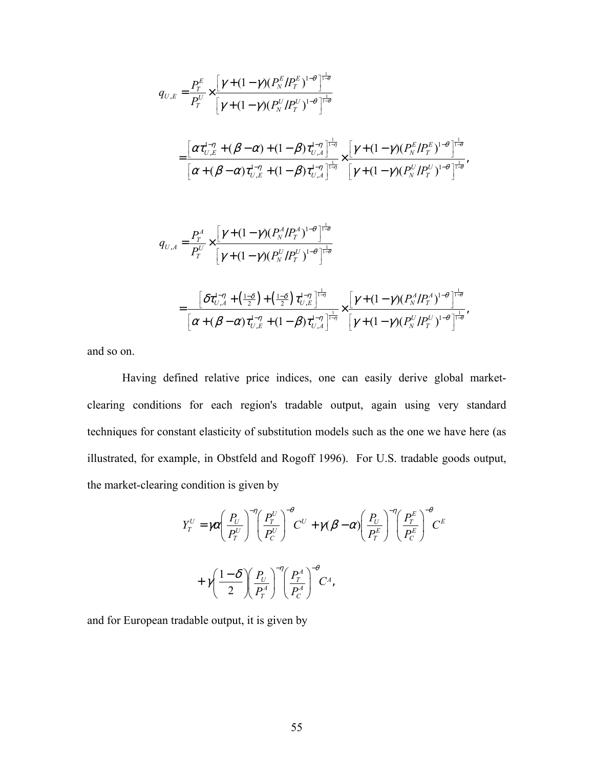$$
q_{U,E} = \frac{P_T^E}{P_Y^U} \times \frac{\left[\gamma + (1 - \gamma)(P_N^E/P_T^E)^{1-\theta}\right]^\frac{1}{1-\theta}}{\left[\gamma + (1 - \gamma)(P_N^U/P_T^U)^{1-\theta}\right]^\frac{1}{1-\theta}} \\
= \frac{\left[\alpha \tau_{U,E}^{1-\eta} + (\beta - \alpha) + (1 - \beta) \tau_{U,A}^{1-\eta}\right]^\frac{1}{1-\eta}}{\left[\alpha + (\beta - \alpha)\tau_{U,E}^{1-\eta} + (1 - \beta) \tau_{U,A}^{1-\eta}\right]^\frac{1}{1-\eta}} \times \frac{\left[\gamma + (1 - \gamma)(P_N^E/P_T^E)^{1-\theta}\right]^\frac{1}{1-\theta}}{\left[\gamma + (1 - \gamma)(P_N^U/P_T^U)^{1-\theta}\right]^\frac{1}{1-\theta}},
$$

$$
q_{U,A} = \frac{P_T^A}{P_Y^U} \times \frac{\left[\gamma + (1-\gamma)(P_N^A/P_T^A)^{1-\theta}\right]^{\frac{1}{1-\theta}}}{\left[\gamma + (1-\gamma)(P_N^U/P_T^U)^{1-\theta}\right]^{\frac{1}{1-\theta}}}
$$
  

$$
= \frac{\left[\delta \tau_{U,A}^{1-\eta} + \left(\frac{1-\delta}{2}\right) + \left(\frac{1-\delta}{2}\right) \tau_{U,E}^{1-\eta}\right]^{\frac{1}{1-\eta}}}{\left[\alpha + (\beta - \alpha)\tau_{U,E}^{1-\eta} + (1-\beta)\tau_{U,A}^{1-\eta}\right]^{\frac{1}{1-\eta}}} \times \frac{\left[\gamma + (1-\gamma)(P_N^A/P_T^A)^{1-\theta}\right]^{\frac{1}{1-\theta}}}{\left[\gamma + (1-\gamma)(P_N^U/P_T^U)^{1-\theta}\right]^{\frac{1}{1-\theta}}},
$$

and so on.

 Having defined relative price indices, one can easily derive global marketclearing conditions for each region's tradable output, again using very standard techniques for constant elasticity of substitution models such as the one we have here (as illustrated, for example, in Obstfeld and Rogoff 1996). For U.S. tradable goods output, the market-clearing condition is given by

$$
Y_T^U = \gamma \alpha \left(\frac{P_U}{P_T^U}\right)^{-\eta} \left(\frac{P_T^U}{P_C^U}\right)^{-\theta} C^U + \gamma (\beta - \alpha) \left(\frac{P_U}{P_T^E}\right)^{-\eta} \left(\frac{P_T^E}{P_C^E}\right)^{-\theta} C^E
$$
  
+  $\gamma \left(\frac{1-\delta}{2}\right) \left(\frac{P_U}{P_T^A}\right)^{-\eta} \left(\frac{P_T^A}{P_C^A}\right)^{-\theta} C^A,$ 

and for European tradable output, it is given by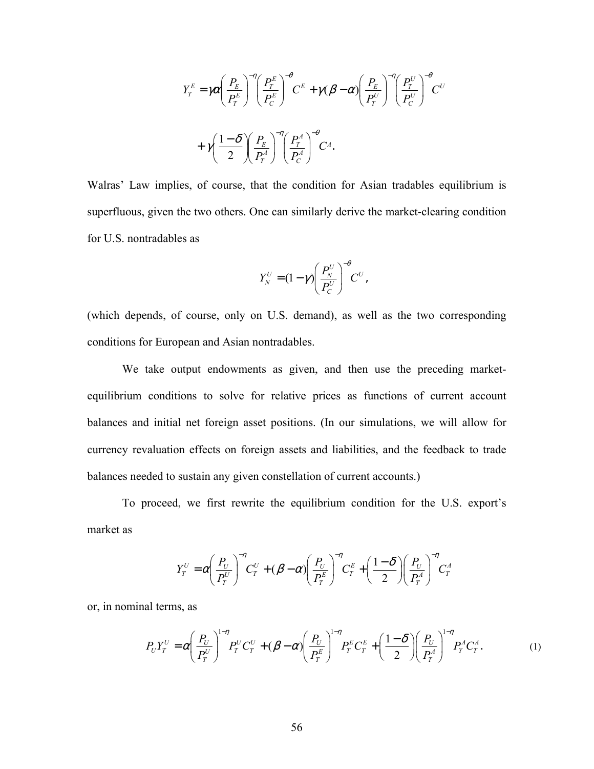$$
Y_T^E = \gamma \alpha \left(\frac{P_E}{P_T^E}\right)^{-\eta} \left(\frac{P_T^E}{P_C^E}\right)^{-\theta} C^E + \gamma (\beta - \alpha) \left(\frac{P_E}{P_T^U}\right)^{-\eta} \left(\frac{P_T^U}{P_C^U}\right)^{-\theta} C^U
$$

$$
+ \gamma \left(\frac{1 - \delta}{2}\right) \left(\frac{P_E}{P_T^A}\right)^{-\eta} \left(\frac{P_T^A}{P_C^A}\right)^{-\theta} C^A.
$$

Walras' Law implies, of course, that the condition for Asian tradables equilibrium is superfluous, given the two others. One can similarly derive the market-clearing condition for U.S. nontradables as

$$
Y_N^U=(1-\gamma)\left(\frac{P_N^U}{P_C^U}\right)^{-\theta}C^U,
$$

(which depends, of course, only on U.S. demand), as well as the two corresponding conditions for European and Asian nontradables.

 We take output endowments as given, and then use the preceding marketequilibrium conditions to solve for relative prices as functions of current account balances and initial net foreign asset positions. (In our simulations, we will allow for currency revaluation effects on foreign assets and liabilities, and the feedback to trade balances needed to sustain any given constellation of current accounts.)

To proceed, we first rewrite the equilibrium condition for the U.S. export's market as

$$
Y_T^U = \alpha \left(\frac{P_U}{P_T^U}\right)^{-\eta} C_T^U + (\beta - \alpha) \left(\frac{P_U}{P_T^E}\right)^{-\eta} C_T^E + \left(\frac{1-\delta}{2}\right) \left(\frac{P_U}{P_T^A}\right)^{-\eta} C_T^A
$$

or, in nominal terms, as

$$
P_U Y_T^U = \alpha \left(\frac{P_U}{P_T^U}\right)^{1-\eta} P_T^U C_T^U + (\beta - \alpha) \left(\frac{P_U}{P_T^E}\right)^{1-\eta} P_T^E C_T^E + \left(\frac{1-\delta}{2}\right) \left(\frac{P_U}{P_T^A}\right)^{1-\eta} P_T^A C_T^A.
$$
 (1)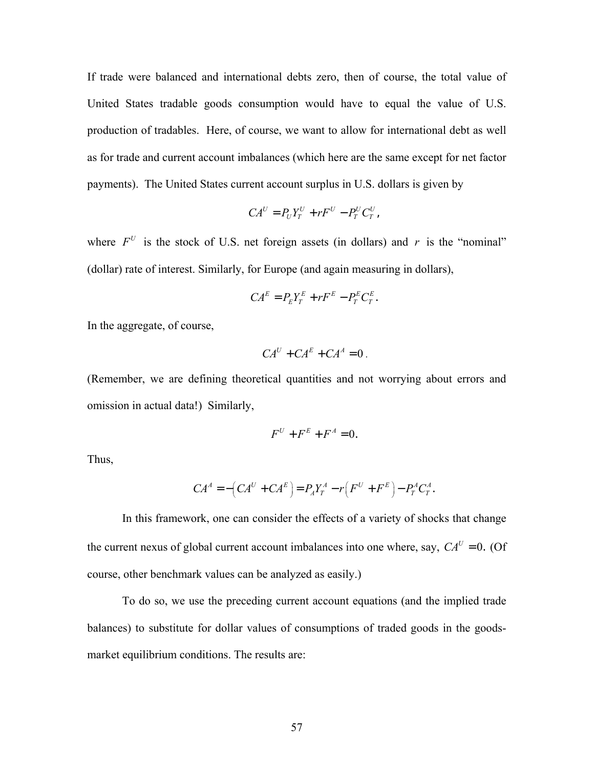If trade were balanced and international debts zero, then of course, the total value of United States tradable goods consumption would have to equal the value of U.S. production of tradables. Here, of course, we want to allow for international debt as well as for trade and current account imbalances (which here are the same except for net factor payments). The United States current account surplus in U.S. dollars is given by

$$
CA^U = P_U Y_T^U + rF^U - P_T^U C_T^U,
$$

where  $F^U$  is the stock of U.S. net foreign assets (in dollars) and *r* is the "nominal" (dollar) rate of interest. Similarly, for Europe (and again measuring in dollars),

$$
CA^E = P_E Y_T^E + rF^E - P_T^E C_T^E.
$$

In the aggregate, of course,

$$
CAU + CAE + CAA = 0.
$$

(Remember, we are defining theoretical quantities and not worrying about errors and omission in actual data!) Similarly,

$$
F^U + F^E + F^A = 0.
$$

Thus,

$$
CA^{A} = -\left(CA^{U} + CA^{E}\right) = P_{A}Y_{T}^{A} - r\left(F^{U} + F^{E}\right) - P_{T}^{A}C_{T}^{A}.
$$

In this framework, one can consider the effects of a variety of shocks that change the current nexus of global current account imbalances into one where, say,  $CA^U = 0$ . (Of course, other benchmark values can be analyzed as easily.)

 To do so, we use the preceding current account equations (and the implied trade balances) to substitute for dollar values of consumptions of traded goods in the goodsmarket equilibrium conditions. The results are: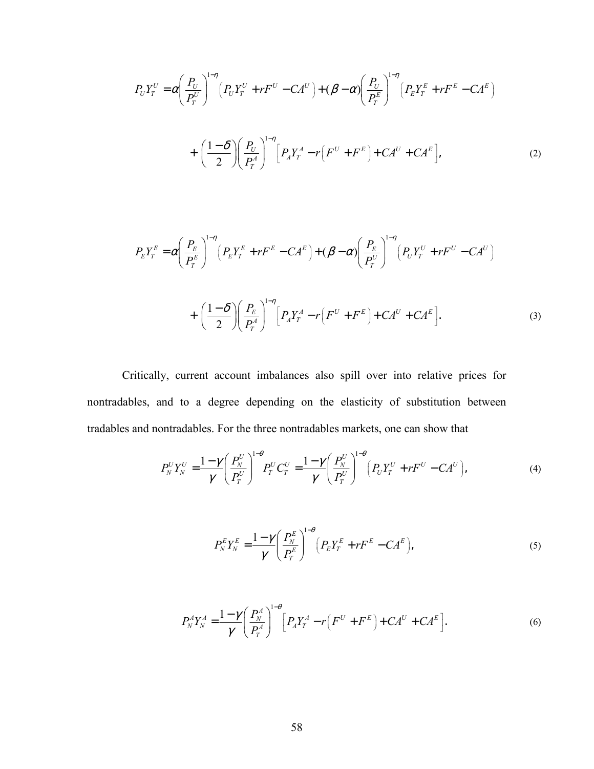$$
P_{U}Y_{T}^{U} = \alpha \left(\frac{P_{U}}{P_{T}^{U}}\right)^{1-\eta} \left(P_{U}Y_{T}^{U} + rF^{U} - CA^{U}\right) + (\beta - \alpha) \left(\frac{P_{U}}{P_{T}^{E}}\right)^{1-\eta} \left(P_{E}Y_{T}^{E} + rF^{E} - CA^{E}\right) + \left(\frac{1-\delta}{2}\right) \left(\frac{P_{U}}{P_{T}^{A}}\right)^{1-\eta} \left[P_{A}Y_{T}^{A} - r\left(F^{U} + F^{E}\right) + CA^{U} + CA^{E}\right],
$$
\n(2)

$$
P_{E}Y_{T}^{E} = \alpha \left(\frac{P_{E}}{P_{T}^{E}}\right)^{1-\eta} \left(P_{E}Y_{T}^{E} + rF^{E} - CA^{E}\right) + (\beta - \alpha) \left(\frac{P_{E}}{P_{T}^{U}}\right)^{1-\eta} \left(P_{U}Y_{T}^{U} + rF^{U} - CA^{U}\right) + \left(\frac{1-\delta}{2}\right) \left(\frac{P_{E}}{P_{T}^{A}}\right)^{1-\eta} \left[P_{A}Y_{T}^{A} - r\left(F^{U} + F^{E}\right) + CA^{U} + CA^{E}\right].
$$
\n(3)

Critically, current account imbalances also spill over into relative prices for nontradables, and to a degree depending on the elasticity of substitution between tradables and nontradables. For the three nontradables markets, one can show that

$$
P_N^U Y_N^U = \frac{1 - \gamma}{\gamma} \left( \frac{P_N^U}{P_T^U} \right)^{1 - \theta} P_T^U C_T^U = \frac{1 - \gamma}{\gamma} \left( \frac{P_N^U}{P_T^U} \right)^{1 - \theta} \left( P_U Y_T^U + rF^U - C A^U \right),\tag{4}
$$

$$
P_N^E Y_N^E = \frac{1 - \gamma}{\gamma} \left( \frac{P_N^E}{P_T^E} \right)^{1 - \theta} \left( P_E Y_T^E + rF^E - CA^E \right),\tag{5}
$$

$$
P_N^A Y_N^A = \frac{1 - \gamma}{\gamma} \left( \frac{P_N^A}{P_T^A} \right)^{1 - \theta} \left[ P_A Y_T^A - r \left( F^U + F^E \right) + C A^U + C A^E \right].
$$
 (6)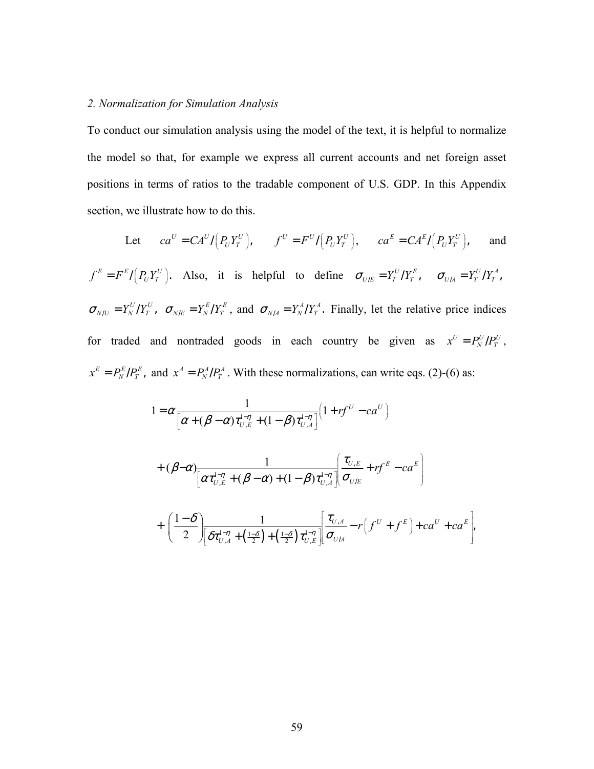# *2. Normalization for Simulation Analysis*

To conduct our simulation analysis using the model of the text, it is helpful to normalize the model so that, for example we express all current accounts and net foreign asset positions in terms of ratios to the tradable component of U.S. GDP. In this Appendix section, we illustrate how to do this.

Let 
$$
ca^U = CA^U / (P_U Y_T^U)
$$
,  $f^U = F^U / (P_U Y_T^U)$ ,  $ca^E = CA^E / (P_U Y_T^U)$ , and  
\n $f^E = F^E / (P_U Y_T^U)$ . Also, it is helpful to define  $\sigma_{U/E} = Y_T^U / Y_T^E$ ,  $\sigma_{U/A} = Y_T^U / Y_T^A$ ,  
\n $\sigma_{N/U} = Y_N^U / Y_T^U$ ,  $\sigma_{N/E} = Y_N^E / Y_T^E$ , and  $\sigma_{N/A} = Y_N^A / Y_T^A$ . Finally, let the relative price indices  
\nfor traded and nontraded goods in each country be given as  $x^U = P_N^U / P_T^U$ ,  
\n $x^E = P_N^E / P_T^E$ , and  $x^A = P_N^A / P_T^A$ . With these normalizations, can write eqs. (2)-(6) as:

$$
1 = \alpha \frac{1}{\left[\alpha + (\beta - \alpha)\tau_{U,E}^{1-\eta} + (1 - \beta)\tau_{U,A}^{1-\eta}\right]} \left(1 + rf^{U} - ca^{U}\right)
$$
  
+ 
$$
(\beta - \alpha) \frac{1}{\left[\alpha\tau_{U,E}^{1-\eta} + (\beta - \alpha) + (1 - \beta)\tau_{U,A}^{1-\eta}\right]} \left(\frac{\tau_{U,E}}{\sigma_{U,E}} + rf^{E} - ca^{E}\right)
$$
  
+ 
$$
\left(\frac{1 - \delta}{2}\right) \frac{1}{\left[\delta\tau_{U,A}^{1-\eta} + \left(\frac{1 - \delta}{2}\right) + \left(\frac{1 - \delta}{2}\right)\tau_{U,E}^{1-\eta}\right]} \left(\frac{\tau_{U,A}}{\sigma_{U,A}} - r\left(f^{U} + f^{E}\right) + ca^{U} + ca^{E}\right),
$$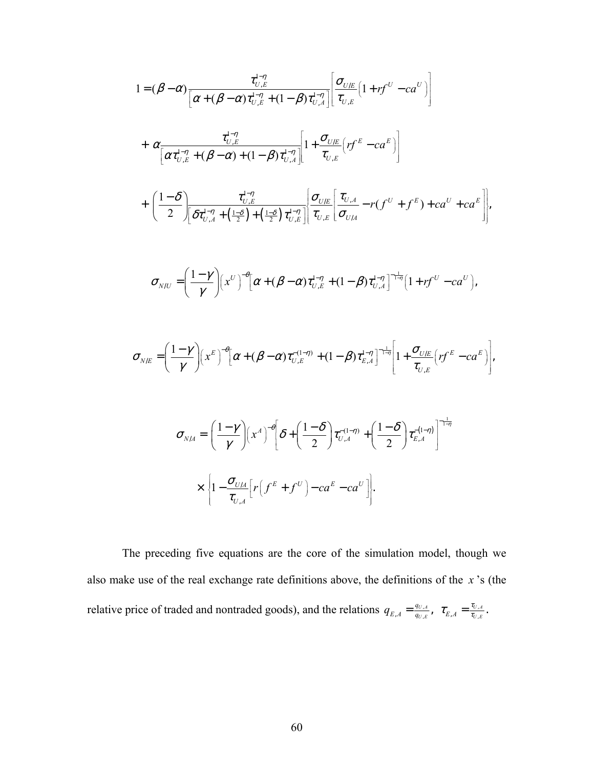$$
1 = (\beta - \alpha) \frac{\tau_{U,E}^{1-\eta}}{[\alpha + (\beta - \alpha)\tau_{U,E}^{1-\eta} + (1 - \beta)\tau_{U,A}^{1-\eta}]} \left[ \frac{\sigma_{U,E}}{\tau_{U,E}} \left( 1 + rf^{U} - ca^{U} \right) \right]
$$
  
+ 
$$
\alpha \frac{\tau_{U,E}^{1-\eta}}{[\alpha \tau_{U,E}^{1-\eta} + (\beta - \alpha) + (1 - \beta)\tau_{U,A}^{1-\eta}} \left[ 1 + \frac{\sigma_{U,E}}{\tau_{U,E}} \left( rf^{E} - ca^{E} \right) \right]
$$
  
+ 
$$
\left( \frac{1 - \delta}{2} \right) \frac{\tau_{U,E}^{1-\eta}}{[\delta \tau_{U,A}^{1-\eta} + (\frac{1 - \delta}{2}) + (\frac{1 - \delta}{2})\tau_{U,E}^{1-\eta}} \left[ \frac{\sigma_{U,E}}{\sigma_{U,A}} \left[ \frac{\tau_{U,A}}{\sigma_{U,A}} - r(f^{U} + f^{E}) + ca^{U} + ca^{E} \right] \right],
$$
  

$$
\sigma_{N/U} = \left( \frac{1 - \gamma}{\gamma} \right) \left( x^{U} \right)^{-\theta} [\alpha + (\beta - \alpha)\tau_{U,E}^{1-\eta} + (1 - \beta)\tau_{U,A}^{1-\eta} \right]^{-\frac{1}{1-\eta}} \left[ 1 + rf^{U} - ca^{U} \right],
$$
  

$$
\sigma_{N/E} = \left( \frac{1 - \gamma}{\gamma} \right) \left( x^{E} \right)^{-\theta} [\alpha + (\beta - \alpha)\tau_{U,E}^{-(1-\eta)} + (1 - \beta)\tau_{E,A}^{1-\eta} \right]^{-\frac{1}{1-\eta}} \left[ 1 + \frac{\sigma_{U,E}}{\tau_{U,E}} \left( rf^{E} - ca^{E} \right) \right],
$$
  

$$
\sigma_{N/A} = \left( \frac{1 - \gamma}{\gamma} \right) \left( x^{A} \right)^{-\theta} \left[ \delta + \left( \frac{1 - \delta}{2} \right) \tau_{U,A}^{-(1-\eta)} + \left( \frac{1 - \delta}{2} \right) \tau_{E,A}^{-(1-\eta)} \right]^{-\frac{1}{1-\eta}}
$$
  

$$
\times \left[ 1 - \frac{\sigma_{U,A}}{\tau_{U,A}} \left[ r \left( f^{E} + f^{
$$

 The preceding five equations are the core of the simulation model, though we also make use of the real exchange rate definitions above, the definitions of the *x* 's (the relative price of traded and nontraded goods), and the relations  $q_{E,A} = \frac{q_{U,A}}{q_{U,E}}$  $q_{E,A} = \frac{q_{U,A}}{q_{U,E}}, \;\; \tau_{E,A} = \frac{\tau_{U,A}}{\tau_{U,E}}.$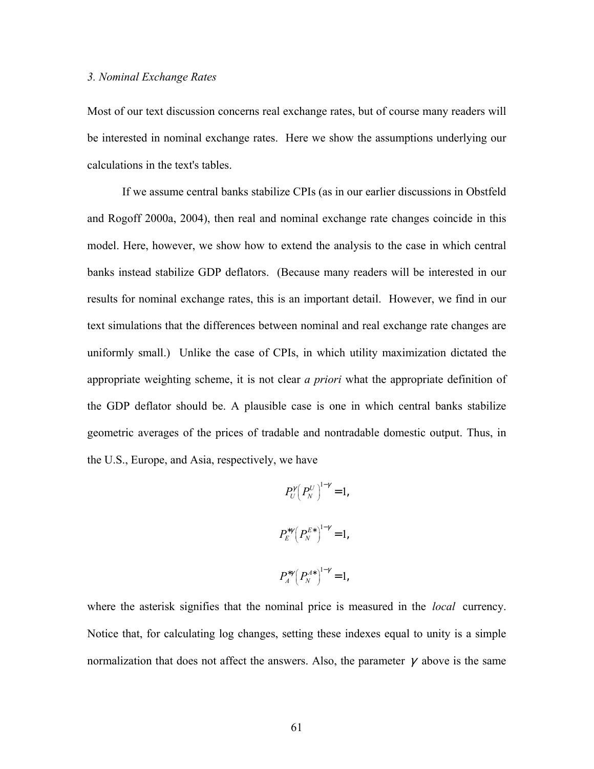# *3. Nominal Exchange Rates*

Most of our text discussion concerns real exchange rates, but of course many readers will be interested in nominal exchange rates. Here we show the assumptions underlying our calculations in the text's tables.

If we assume central banks stabilize CPIs (as in our earlier discussions in Obstfeld and Rogoff 2000a, 2004), then real and nominal exchange rate changes coincide in this model. Here, however, we show how to extend the analysis to the case in which central banks instead stabilize GDP deflators. (Because many readers will be interested in our results for nominal exchange rates, this is an important detail. However, we find in our text simulations that the differences between nominal and real exchange rate changes are uniformly small.) Unlike the case of CPIs, in which utility maximization dictated the appropriate weighting scheme, it is not clear *a priori* what the appropriate definition of the GDP deflator should be. A plausible case is one in which central banks stabilize geometric averages of the prices of tradable and nontradable domestic output. Thus, in the U.S., Europe, and Asia, respectively, we have

$$
P_U^{\gamma} (P_N^{U})^{1-\gamma} = 1,
$$
  

$$
P_E^{*\gamma} (P_N^{E*})^{1-\gamma} = 1,
$$
  

$$
P_A^{*\gamma} (P_N^{A*})^{1-\gamma} = 1,
$$

where the asterisk signifies that the nominal price is measured in the *local* currency. Notice that, for calculating log changes, setting these indexes equal to unity is a simple normalization that does not affect the answers. Also, the parameter  $\gamma$  above is the same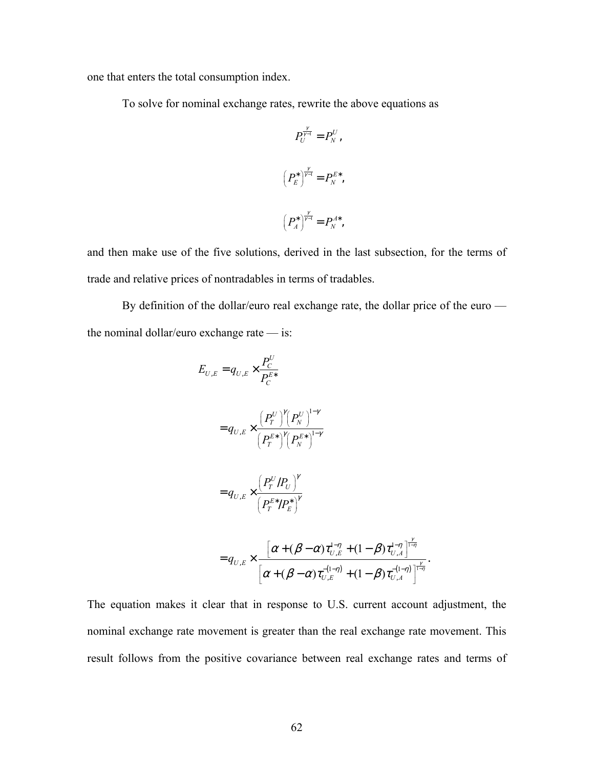one that enters the total consumption index.

To solve for nominal exchange rates, rewrite the above equations as

$$
P_U^{\frac{\gamma}{\gamma-1}} = P_N^U,
$$
  

$$
\left(P_E^*\right)^{\frac{\gamma}{\gamma-1}} = P_N^{E*},
$$
  

$$
\left(P_A^*\right)^{\frac{\gamma}{\gamma-1}} = P_N^{A*},
$$

and then make use of the five solutions, derived in the last subsection, for the terms of trade and relative prices of nontradables in terms of tradables.

By definition of the dollar/euro real exchange rate, the dollar price of the euro the nominal dollar/euro exchange rate — is:

$$
E_{U,E} = q_{U,E} \times \frac{P_C^U}{P_C^{E*}}
$$
  
=  $q_{U,E} \times \frac{\left(P_T^U\right)^{\gamma}\left(P_N^U\right)^{1-\gamma}}{\left(P_T^{E*}\right)^{\gamma}\left(P_N^{E*}\right)^{1-\gamma}}$   
=  $q_{U,E} \times \frac{\left(P_T^U/P_U\right)^{\gamma}}{\left(P_T^{E*}/P_E^*\right)^{\gamma}}$   
=  $q_{U,E} \times \frac{\left[\alpha + (\beta - \alpha)\tau_{U,E}^{1-\eta} + (1-\beta)\tau_{U,A}^{1-\eta}\right]^{\frac{\gamma}{1-\eta}}}{\left[\alpha + (\beta - \alpha)\tau_{U,E}^{1-\eta} + (1-\beta)\tau_{U,A}^{-(1-\eta)}\right]^{\frac{\gamma}{1-\eta}}}$ .

The equation makes it clear that in response to U.S. current account adjustment, the nominal exchange rate movement is greater than the real exchange rate movement. This result follows from the positive covariance between real exchange rates and terms of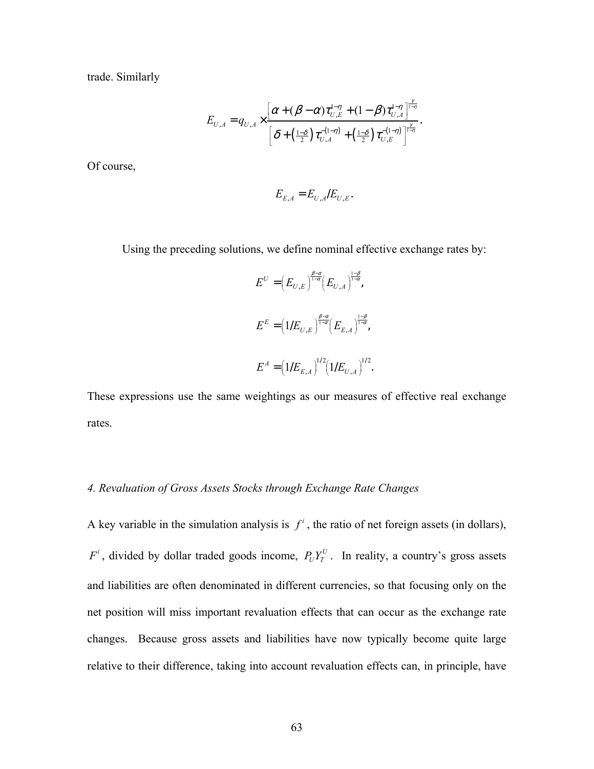trade. Similarly

$$
E_{U,A} = q_{U,A} \times \frac{\left[\alpha + (\beta - \alpha)\tau_{U,E}^{1-\eta} + (1-\beta)\tau_{U,A}^{1-\eta}\right]_{-\eta}^{\frac{\gamma}{1-\eta}}}{\left[\delta + \left(\frac{1-\delta}{2}\right)\tau_{U,A}^{-(1-\eta)} + \left(\frac{1-\delta}{2}\right)\tau_{U,E}^{-(1-\eta)}\right]_{-\eta}^{\frac{\gamma}{1-\eta}}}.
$$

Of course,

$$
E_{E,A} = E_{U,A}/E_{U,E}.
$$

Using the preceding solutions, we define nominal effective exchange rates by:

$$
E^{U} = (E_{U,E})^{\frac{\beta-\alpha}{1-\alpha}} (E_{U,A})^{\frac{1-\beta}{1-\alpha}},
$$
  

$$
E^{E} = (1/E_{U,E})^{\frac{\beta-\alpha}{1-\alpha}} (E_{E,A})^{\frac{1-\beta}{1-\alpha}},
$$
  

$$
E^{A} = (1/E_{E,A})^{1/2} (1/E_{U,A})^{1/2}.
$$

These expressions use the same weightings as our measures of effective real exchange rates.

# *4. Revaluation of Gross Assets Stocks through Exchange Rate Changes*

A key variable in the simulation analysis is  $f^i$ , the ratio of net foreign assets (in dollars),  $F^i$ , divided by dollar traded goods income,  $P_U Y_T^U$ . In reality, a country's gross assets and liabilities are often denominated in different currencies, so that focusing only on the net position will miss important revaluation effects that can occur as the exchange rate changes. Because gross assets and liabilities have now typically become quite large relative to their difference, taking into account revaluation effects can, in principle, have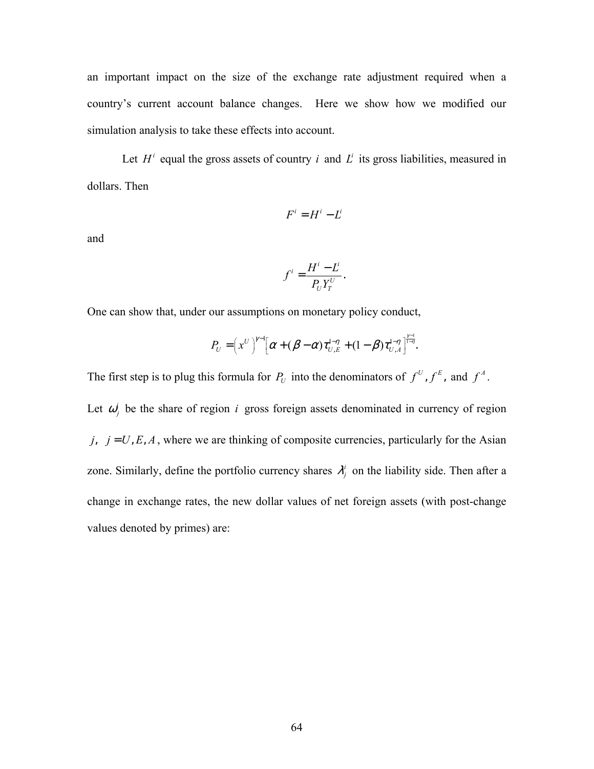an important impact on the size of the exchange rate adjustment required when a country's current account balance changes. Here we show how we modified our simulation analysis to take these effects into account.

Let  $H^i$  equal the gross assets of country *i* and  $L^i$  its gross liabilities, measured in dollars. Then

$$
F^i = H^i - L^i
$$

and

$$
f^i = \frac{H^i - L^i}{P_U Y_T^U}.
$$

One can show that, under our assumptions on monetary policy conduct,

$$
P_U = \left(x^U\right)^{\gamma-1} \left[\alpha + (\beta - \alpha) \tau_{U,E}^{1-\eta} + (1-\beta) \tau_{U,A}^{1-\eta}\right]^{\frac{\gamma-1}{1-\eta}}.
$$

The first step is to plug this formula for  $P_U$  into the denominators of  $f^U, f^E$ , and  $f^A$ .

Let  $\omega_j^i$  be the share of region *i* gross foreign assets denominated in currency of region *j*,  $j = U, E, A$ , where we are thinking of composite currencies, particularly for the Asian zone. Similarly, define the portfolio currency shares  $\lambda_j^i$  on the liability side. Then after a change in exchange rates, the new dollar values of net foreign assets (with post-change values denoted by primes) are: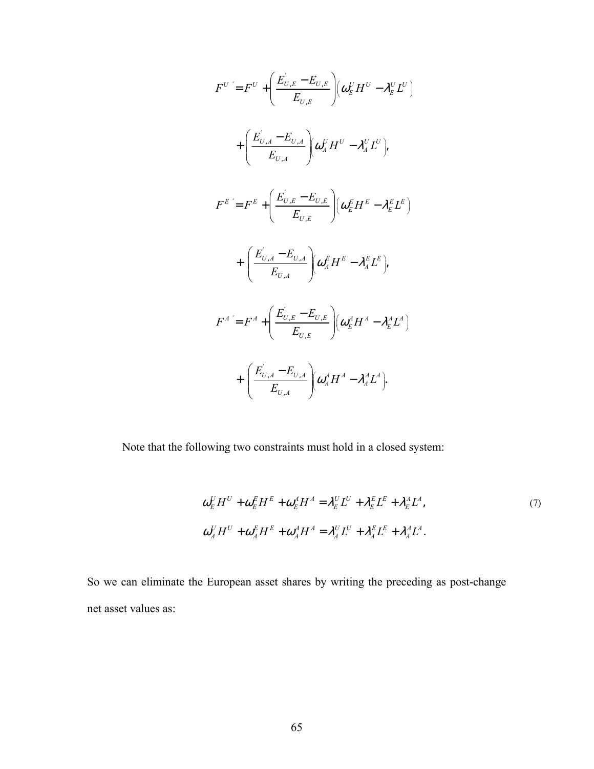$$
F^{U} = F^{U} + \left(\frac{E_{U,E}^{'} - E_{U,E}}{E_{U,E}}\right) \left(\omega_{E}^{U} H^{U} - \lambda_{E}^{U} L^{U}\right)
$$
  
+ 
$$
\left(\frac{E_{U,A}^{'} - E_{U,A}}{E_{U,A}}\right) \left(\omega_{A}^{U} H^{U} - \lambda_{A}^{U} L^{U}\right),
$$
  

$$
F^{E} = F^{E} + \left(\frac{E_{U,E}^{'} - E_{U,E}}{E_{U,E}}\right) \left(\omega_{E}^{E} H^{E} - \lambda_{E}^{E} L^{E}\right)
$$
  
+ 
$$
\left(\frac{E_{U,A}^{'} - E_{U,A}}{E_{U,A}}\right) \left(\omega_{A}^{E} H^{E} - \lambda_{A}^{E} L^{E}\right),
$$
  

$$
F^{A} = F^{A} + \left(\frac{E_{U,E}^{'} - E_{U,E}}{E_{U,E}}\right) \left(\omega_{E}^{A} H^{A} - \lambda_{E}^{A} L^{A}\right)
$$
  
+ 
$$
\left(\frac{E_{U,A}^{'} - E_{U,A}}{E_{U,A}}\right) \left(\omega_{A}^{A} H^{A} - \lambda_{A}^{A} L^{A}\right).
$$

Note that the following two constraints must hold in a closed system:

$$
\omega_E^U H^U + \omega_E^E H^E + \omega_E^A H^A = \lambda_E^U L^U + \lambda_E^E L^E + \lambda_E^A L^A,
$$
  
\n
$$
\omega_A^U H^U + \omega_A^E H^E + \omega_A^A H^A = \lambda_A^U L^U + \lambda_A^E L^E + \lambda_A^A L^A.
$$
\n(7)

So we can eliminate the European asset shares by writing the preceding as post-change net asset values as: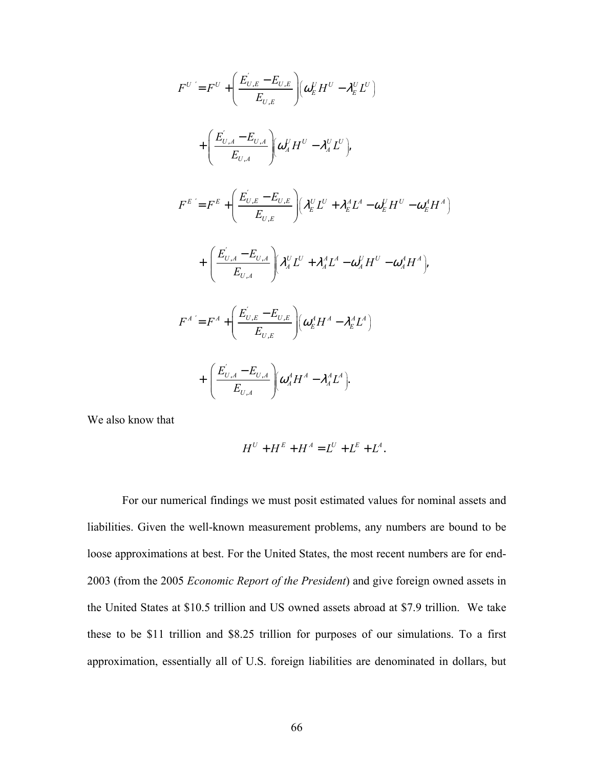$$
F^{U} = F^{U} + \left(\frac{E_{U,E}^{'} - E_{U,E}}{E_{U,A}}\right) \left(\omega_{E}^{U} H^{U} - \lambda_{E}^{U} L^{U}\right)
$$
  
+ 
$$
\left(\frac{E_{U,A}^{'} - E_{U,A}}{E_{U,A}}\right) \left(\omega_{A}^{U} H^{U} - \lambda_{A}^{U} L^{U}\right),
$$
  

$$
F^{E} = F^{E} + \left(\frac{E_{U,E}^{'} - E_{U,E}}{E_{U,E}}\right) \left(\lambda_{E}^{U} L^{U} + \lambda_{E}^{A} L^{A} - \omega_{E}^{U} H^{U} - \omega_{E}^{A} H^{A}\right)
$$
  
+ 
$$
\left(\frac{E_{U,A}^{'} - E_{U,A}}{E_{U,A}}\right) \left(\lambda_{A}^{U} L^{U} + \lambda_{A}^{A} L^{A} - \omega_{A}^{U} H^{U} - \omega_{A}^{A} H^{A}\right),
$$
  

$$
F^{A} = F^{A} + \left(\frac{E_{U,E}^{'} - E_{U,E}}{E_{U,E}}\right) \left(\omega_{E}^{A} H^{A} - \lambda_{E}^{A} L^{A}\right)
$$
  
+ 
$$
\left(\frac{E_{U,A}^{'} - E_{U,A}}{E_{U,A}}\right) \left(\omega_{A}^{A} H^{A} - \lambda_{A}^{A} L^{A}\right).
$$

We also know that

$$
H^{U} + H^{E} + H^{A} = L^{U} + L^{E} + L^{A}.
$$

For our numerical findings we must posit estimated values for nominal assets and liabilities. Given the well-known measurement problems, any numbers are bound to be loose approximations at best. For the United States, the most recent numbers are for end-2003 (from the 2005 *Economic Report of the President*) and give foreign owned assets in the United States at \$10.5 trillion and US owned assets abroad at \$7.9 trillion. We take these to be \$11 trillion and \$8.25 trillion for purposes of our simulations. To a first approximation, essentially all of U.S. foreign liabilities are denominated in dollars, but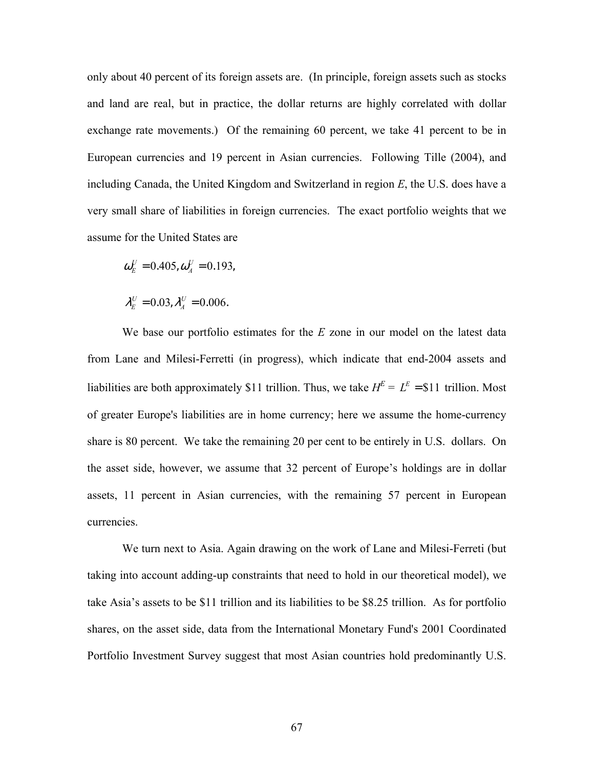only about 40 percent of its foreign assets are. (In principle, foreign assets such as stocks and land are real, but in practice, the dollar returns are highly correlated with dollar exchange rate movements.) Of the remaining 60 percent, we take 41 percent to be in European currencies and 19 percent in Asian currencies. Following Tille (2004), and including Canada, the United Kingdom and Switzerland in region *E*, the U.S. does have a very small share of liabilities in foreign currencies. The exact portfolio weights that we assume for the United States are

$$
\omega_{E}^{U}=0.405, \omega_{A}^{U}=0.193,
$$

$$
\lambda_E^U=0.03, \lambda_A^U=0.006.
$$

We base our portfolio estimates for the *E* zone in our model on the latest data from Lane and Milesi-Ferretti (in progress), which indicate that end-2004 assets and liabilities are both approximately \$11 trillion. Thus, we take  $H^E = L^E = $11$  trillion. Most of greater Europe's liabilities are in home currency; here we assume the home-currency share is 80 percent. We take the remaining 20 per cent to be entirely in U.S. dollars. On the asset side, however, we assume that 32 percent of Europe's holdings are in dollar assets, 11 percent in Asian currencies, with the remaining 57 percent in European currencies.

We turn next to Asia. Again drawing on the work of Lane and Milesi-Ferreti (but taking into account adding-up constraints that need to hold in our theoretical model), we take Asia's assets to be \$11 trillion and its liabilities to be \$8.25 trillion. As for portfolio shares, on the asset side, data from the International Monetary Fund's 2001 Coordinated Portfolio Investment Survey suggest that most Asian countries hold predominantly U.S.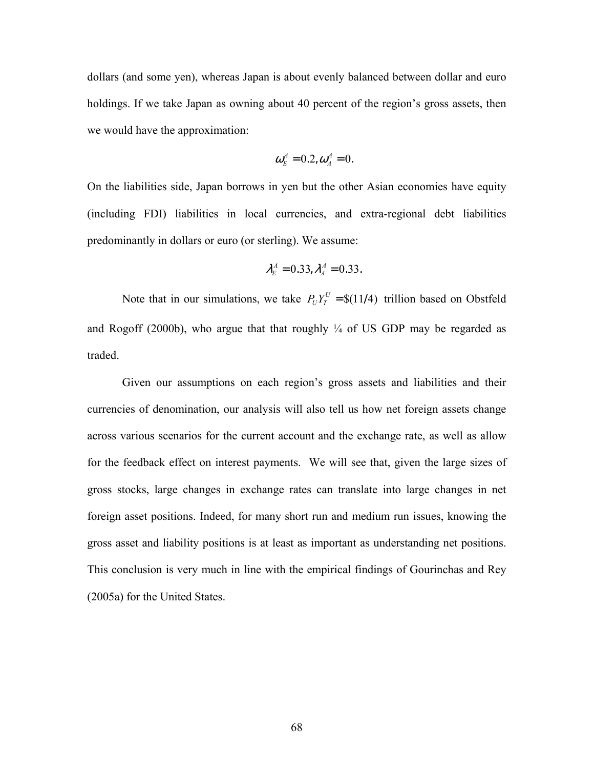dollars (and some yen), whereas Japan is about evenly balanced between dollar and euro holdings. If we take Japan as owning about 40 percent of the region's gross assets, then we would have the approximation:

$$
\boldsymbol{\omega}_{E}^{A}=0.2,\boldsymbol{\omega}_{A}^{A}=0.
$$

On the liabilities side, Japan borrows in yen but the other Asian economies have equity (including FDI) liabilities in local currencies, and extra-regional debt liabilities predominantly in dollars or euro (or sterling). We assume:

$$
\lambda_E^A = 0.33, \lambda_A^A = 0.33.
$$

Note that in our simulations, we take  $P_U Y_T^U = \frac{S(11/4)}{T}$  trillion based on Obstfeld and Rogoff (2000b), who argue that that roughly  $\frac{1}{4}$  of US GDP may be regarded as traded.

 Given our assumptions on each region's gross assets and liabilities and their currencies of denomination, our analysis will also tell us how net foreign assets change across various scenarios for the current account and the exchange rate, as well as allow for the feedback effect on interest payments. We will see that, given the large sizes of gross stocks, large changes in exchange rates can translate into large changes in net foreign asset positions. Indeed, for many short run and medium run issues, knowing the gross asset and liability positions is at least as important as understanding net positions. This conclusion is very much in line with the empirical findings of Gourinchas and Rey (2005a) for the United States.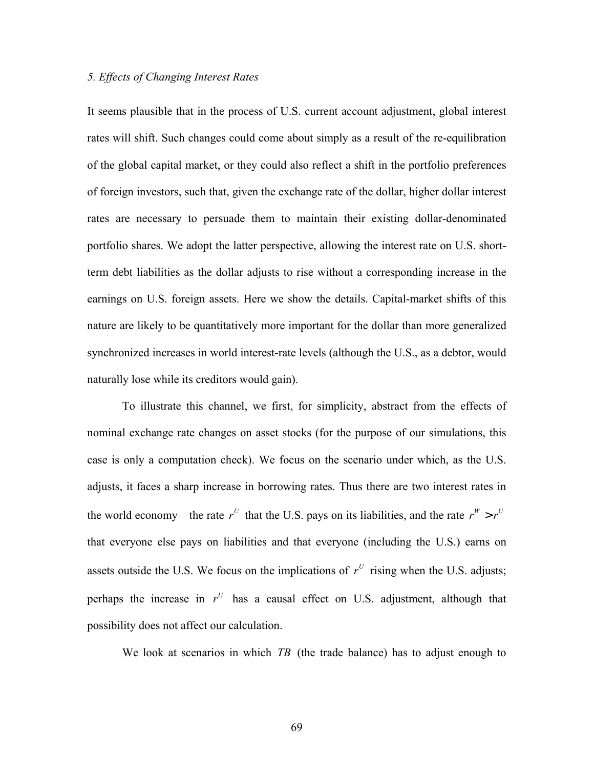# *5. Effects of Changing Interest Rates*

It seems plausible that in the process of U.S. current account adjustment, global interest rates will shift. Such changes could come about simply as a result of the re-equilibration of the global capital market, or they could also reflect a shift in the portfolio preferences of foreign investors, such that, given the exchange rate of the dollar, higher dollar interest rates are necessary to persuade them to maintain their existing dollar-denominated portfolio shares. We adopt the latter perspective, allowing the interest rate on U.S. shortterm debt liabilities as the dollar adjusts to rise without a corresponding increase in the earnings on U.S. foreign assets. Here we show the details. Capital-market shifts of this nature are likely to be quantitatively more important for the dollar than more generalized synchronized increases in world interest-rate levels (although the U.S., as a debtor, would naturally lose while its creditors would gain).

To illustrate this channel, we first, for simplicity, abstract from the effects of nominal exchange rate changes on asset stocks (for the purpose of our simulations, this case is only a computation check). We focus on the scenario under which, as the U.S. adjusts, it faces a sharp increase in borrowing rates. Thus there are two interest rates in the world economy—the rate  $r^U$  that the U.S. pays on its liabilities, and the rate  $r^W > r^U$ that everyone else pays on liabilities and that everyone (including the U.S.) earns on assets outside the U.S. We focus on the implications of  $r^U$  rising when the U.S. adjusts; perhaps the increase in  $r^U$  has a causal effect on U.S. adjustment, although that possibility does not affect our calculation.

We look at scenarios in which *TB* (the trade balance) has to adjust enough to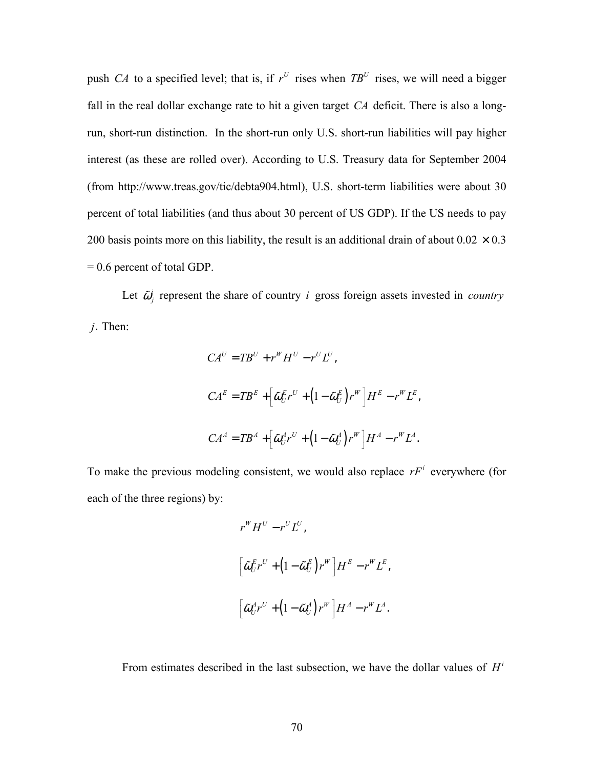push *CA* to a specified level; that is, if  $r^U$  rises when  $TB^U$  rises, we will need a bigger fall in the real dollar exchange rate to hit a given target *CA* deficit. There is also a longrun, short-run distinction. In the short-run only U.S. short-run liabilities will pay higher interest (as these are rolled over). According to U.S. Treasury data for September 2004 (from http://www.treas.gov/tic/debta904.html), U.S. short-term liabilities were about 30 percent of total liabilities (and thus about 30 percent of US GDP). If the US needs to pay 200 basis points more on this liability, the result is an additional drain of about  $0.02 \times 0.3$ = 0.6 percent of total GDP.

Let  $\tilde{\omega}_i^i$  represent the share of country *i* gross foreign assets invested in *country* 

*j*. Then:

$$
CA^{U} = TB^{U} + r^{W}H^{U} - r^{U}L^{U},
$$
  
\n
$$
CA^{E} = TB^{E} + \left[\tilde{\omega}_{U}^{E}r^{U} + \left(1 - \tilde{\omega}_{U}^{E}\right)r^{W}\right]H^{E} - r^{W}L^{E},
$$
  
\n
$$
CA^{A} = TB^{A} + \left[\tilde{\omega}_{U}^{A}r^{U} + \left(1 - \tilde{\omega}_{U}^{A}\right)r^{W}\right]H^{A} - r^{W}L^{A}.
$$

To make the previous modeling consistent, we would also replace  $rF^i$  everywhere (for each of the three regions) by:

$$
r^{W} H^{U} - r^{U} L^{U},
$$
  
\n
$$
\left[\tilde{\omega}_{U}^{E} r^{U} + (1 - \tilde{\omega}_{U}^{E}) r^{W}\right] H^{E} - r^{W} L^{E},
$$
  
\n
$$
\left[\tilde{\omega}_{U}^{A} r^{U} + (1 - \tilde{\omega}_{U}^{A}) r^{W}\right] H^{A} - r^{W} L^{A}.
$$

From estimates described in the last subsection, we have the dollar values of  $H^i$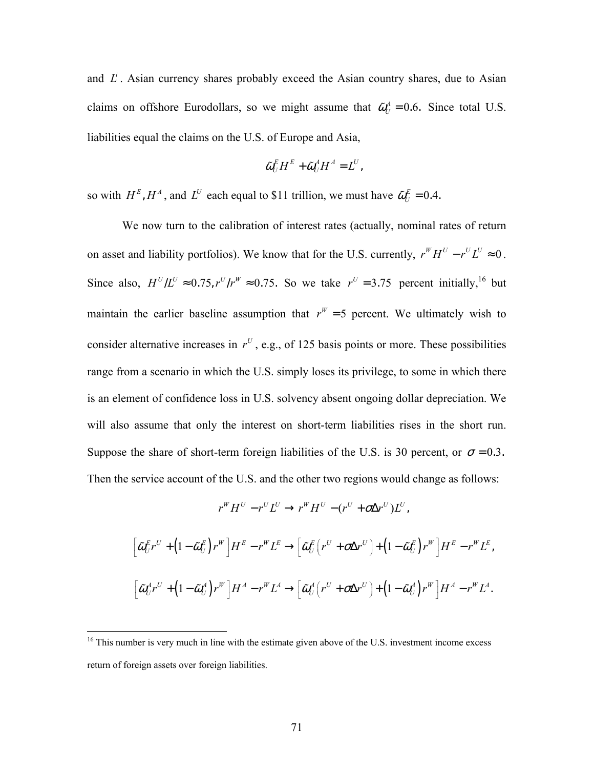and  $L^i$ . Asian currency shares probably exceed the Asian country shares, due to Asian claims on offshore Eurodollars, so we might assume that  $\tilde{\omega}_U^A = 0.6$ . Since total U.S. liabilities equal the claims on the U.S. of Europe and Asia,

$$
\tilde{\omega}_{U}^{E}H^{E}+\tilde{\omega}_{U}^{A}H^{A}=L^{U},
$$

so with  $H^E$ ,  $H^A$ , and  $L^U$  each equal to \$11 trillion, we must have  $\tilde{\omega}_U^E = 0.4$ .

 We now turn to the calibration of interest rates (actually, nominal rates of return on asset and liability portfolios). We know that for the U.S. currently,  $r^W H^U - r^U L^U \approx 0$ . Since also,  $H^U/L^U \approx 0.75$ ,  $r^U/r^W \approx 0.75$ . So we take  $r^U = 3.75$  percent initially,<sup>16</sup> but maintain the earlier baseline assumption that  $r^W = 5$  percent. We ultimately wish to consider alternative increases in  $r^U$ , e.g., of 125 basis points or more. These possibilities range from a scenario in which the U.S. simply loses its privilege, to some in which there is an element of confidence loss in U.S. solvency absent ongoing dollar depreciation. We will also assume that only the interest on short-term liabilities rises in the short run. Suppose the share of short-term foreign liabilities of the U.S. is 30 percent, or  $\sigma = 0.3$ . Then the service account of the U.S. and the other two regions would change as follows:

$$
r^W H^U - r^U L^U \rightarrow r^W H^U - (r^U + \sigma \Delta r^U) L^U,
$$

$$
\left[\tilde{\omega}_{U}^{E}r^{U}+\left(1-\tilde{\omega}_{U}^{E}\right)r^{W}\right]H^{E}-r^{W}L^{E}\rightarrow\left[\tilde{\omega}_{U}^{E}\left(r^{U}+\sigma\Delta r^{U}\right)+\left(1-\tilde{\omega}_{U}^{E}\right)r^{W}\right]H^{E}-r^{W}L^{E},
$$
\n
$$
\left[\tilde{\omega}_{U}^{A}r^{U}+\left(1-\tilde{\omega}_{U}^{A}\right)r^{W}\right]H^{A}-r^{W}L^{A}\rightarrow\left[\tilde{\omega}_{U}^{A}\left(r^{U}+\sigma\Delta r^{U}\right)+\left(1-\tilde{\omega}_{U}^{A}\right)r^{W}\right]H^{A}-r^{W}L^{A}.
$$

 $\overline{a}$ 

 $16$  This number is very much in line with the estimate given above of the U.S. investment income excess return of foreign assets over foreign liabilities.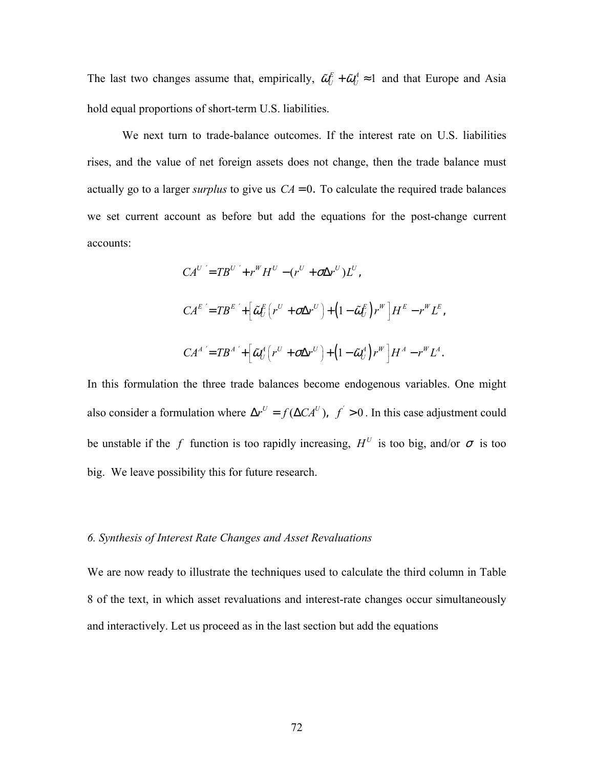The last two changes assume that, empirically,  $\tilde{\omega}_U^E + \tilde{\omega}_U^A \approx 1$  and that Europe and Asia hold equal proportions of short-term U.S. liabilities.

We next turn to trade-balance outcomes. If the interest rate on U.S. liabilities rises, and the value of net foreign assets does not change, then the trade balance must actually go to a larger *surplus* to give us  $CA = 0$ . To calculate the required trade balances we set current account as before but add the equations for the post-change current accounts:

$$
CA^{U'} = TB^{U'} + r^{W}H^{U} - (r^{U} + \sigma \Delta r^{U})L^{U},
$$
  
\n
$$
CA^{E'} = TB^{E'} + \left[\tilde{\omega}_{U}^{E}\left(r^{U} + \sigma \Delta r^{U}\right) + \left(1 - \tilde{\omega}_{U}^{E}\right)r^{W}\right]H^{E} - r^{W}L^{E},
$$
  
\n
$$
CA^{A'} = TB^{A'} + \left[\tilde{\omega}_{U}^{A}\left(r^{U} + \sigma \Delta r^{U}\right) + \left(1 - \tilde{\omega}_{U}^{A}\right)r^{W}\right]H^{A} - r^{W}L^{A}.
$$

In this formulation the three trade balances become endogenous variables. One might also consider a formulation where  $\Delta r^U = f(\Delta C A^U)$ ,  $f' > 0$ . In this case adjustment could be unstable if the *f* function is too rapidly increasing,  $H^U$  is too big, and/or  $\sigma$  is too big. We leave possibility this for future research.

#### *6. Synthesis of Interest Rate Changes and Asset Revaluations*

We are now ready to illustrate the techniques used to calculate the third column in Table 8 of the text, in which asset revaluations and interest-rate changes occur simultaneously and interactively. Let us proceed as in the last section but add the equations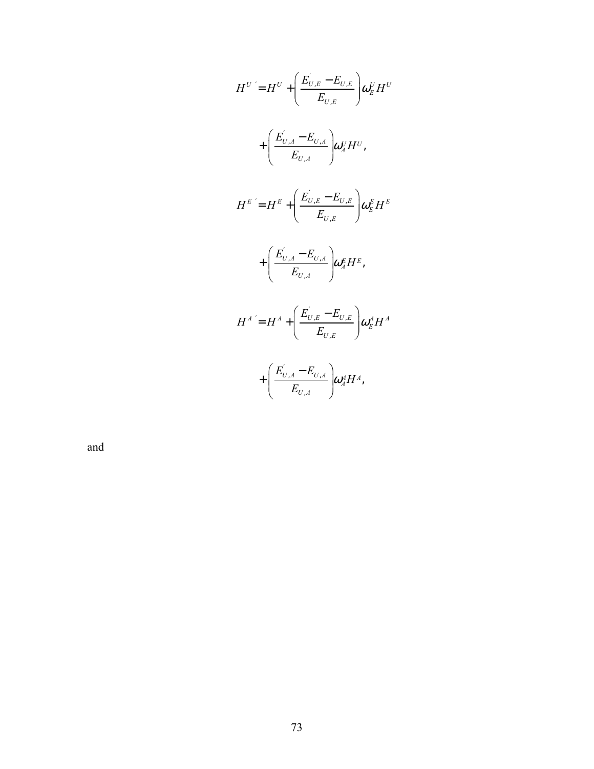$$
H^{U} = H^{U} + \left(\frac{E_{U,E}^{'} - E_{U,E}}{E_{U,E}}\right) \omega_{E}^{U} H^{U}
$$
  
+ 
$$
\left(\frac{E_{U,A}^{'} - E_{U,A}}{E_{U,A}}\right) \omega_{A}^{U} H^{U},
$$
  

$$
H^{E} = H^{E} + \left(\frac{E_{U,E}^{'} - E_{U,E}}{E_{U,E}}\right) \omega_{E}^{E} H^{E}
$$
  
+ 
$$
\left(\frac{E_{U,A}^{'} - E_{U,A}}{E_{U,A}}\right) \omega_{A}^{E} H^{E},
$$
  

$$
H^{A} = H^{A} + \left(\frac{E_{U,E}^{'} - E_{U,E}}{E_{U,E}}\right) \omega_{E}^{A} H^{A}
$$
  
+ 
$$
\left(\frac{E_{U,A}^{'} - E_{U,A}}{E_{U,A}}\right) \omega_{A}^{A} H^{A},
$$

and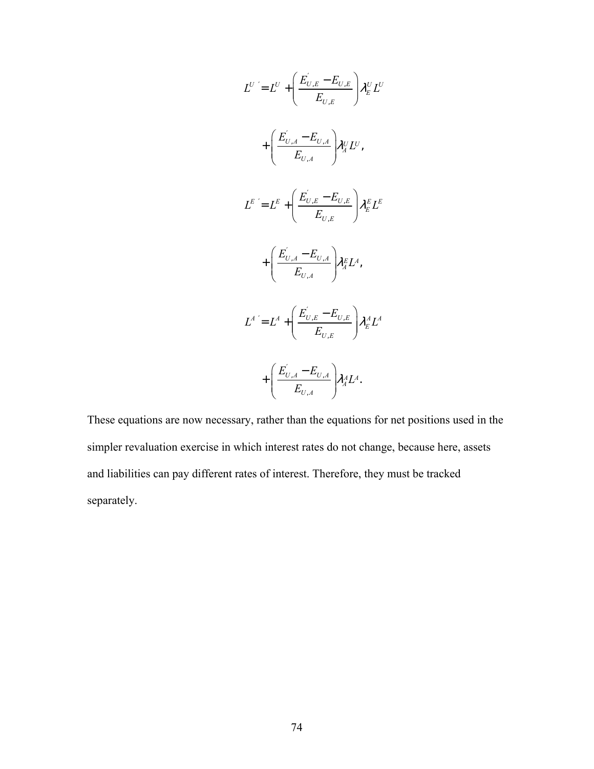$$
L^{U'} = L^{U} + \left(\frac{E_{U,E}^{'} - E_{U,E}}{E_{U,E}}\right) \lambda_{E}^{U} L^{U}
$$

$$
+ \left(\frac{E_{U,A}^{'} - E_{U,A}}{E_{U,A}}\right) \lambda_{A}^{U} L^{U},
$$

$$
L^{E'} = L^{E} + \left(\frac{E_{U,E}^{'} - E_{U,E}}{E_{U,E}}\right) \lambda_{E}^{E} L^{E}
$$

$$
+ \left(\frac{E_{U,A}^{'} - E_{U,A}}{E_{U,A}}\right) \lambda_{A}^{E} L^{A},
$$

$$
L^{A'} = L^{A} + \left(\frac{E_{U,E}^{'} - E_{U,E}}{E_{U,E}}\right) \lambda_{E}^{A} L^{A}
$$

$$
+ \left(\frac{E_{U,A}^{'} - E_{U,A}}{E_{U,A}}\right) \lambda_{A}^{A} L^{A}.
$$

These equations are now necessary, rather than the equations for net positions used in the simpler revaluation exercise in which interest rates do not change, because here, assets and liabilities can pay different rates of interest. Therefore, they must be tracked separately.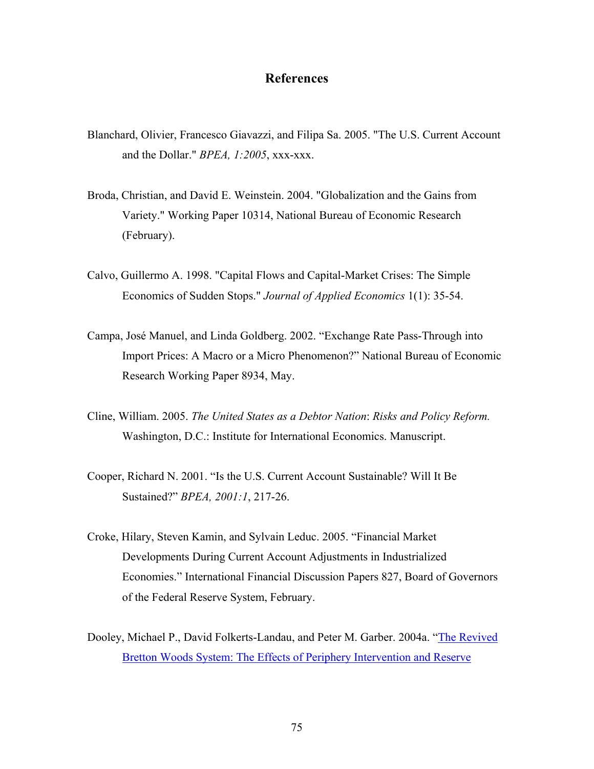#### **References**

- Blanchard, Olivier, Francesco Giavazzi, and Filipa Sa. 2005. "The U.S. Current Account and the Dollar." *BPEA, 1:2005*, xxx-xxx.
- Broda, Christian, and David E. Weinstein. 2004. "Globalization and the Gains from Variety." Working Paper 10314, National Bureau of Economic Research (February).
- Calvo, Guillermo A. 1998. "Capital Flows and Capital-Market Crises: The Simple Economics of Sudden Stops." *Journal of Applied Economics* 1(1): 35-54.
- Campa, José Manuel, and Linda Goldberg. 2002. "Exchange Rate Pass-Through into Import Prices: A Macro or a Micro Phenomenon?" National Bureau of Economic Research Working Paper 8934, May.
- Cline, William. 2005. *The United States as a Debtor Nation*: *Risks and Policy Reform.*  Washington, D.C.: Institute for International Economics. Manuscript.
- Cooper, Richard N. 2001. "Is the U.S. Current Account Sustainable? Will It Be Sustained?" *BPEA, 2001:1*, 217-26.
- Croke, Hilary, Steven Kamin, and Sylvain Leduc. 2005. "Financial Market Developments During Current Account Adjustments in Industrialized Economies." International Financial Discussion Papers 827, Board of Governors of the Federal Reserve System, February.
- Dooley, Michael P., David Folkerts-Landau, and Peter M. Garber. 2004a. "The Revived Bretton Woods System: The Effects of Periphery Intervention and Reserve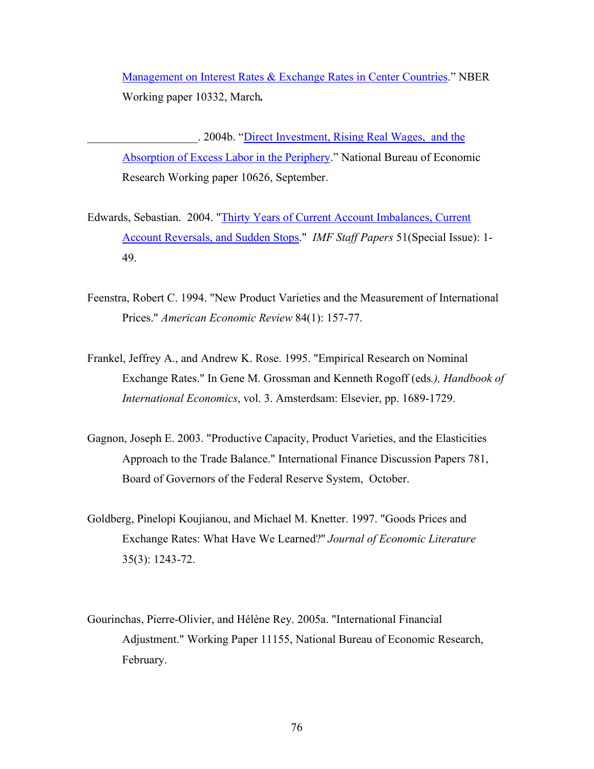Management on Interest Rates & Exchange Rates in Center Countries." NBER Working paper 10332, March*.* 

. 2004b. "Direct Investment, Rising Real Wages, and the Absorption of Excess Labor in the Periphery." National Bureau of Economic Research Working paper 10626, September.

- Edwards, Sebastian. 2004. "Thirty Years of Current Account Imbalances, Current Account Reversals, and Sudden Stops." *IMF Staff Papers* 51(Special Issue): 1- 49.
- Feenstra, Robert C. 1994. "New Product Varieties and the Measurement of International Prices." *American Economic Review* 84(1): 157-77.
- Frankel, Jeffrey A., and Andrew K. Rose. 1995. "Empirical Research on Nominal Exchange Rates." In Gene M. Grossman and Kenneth Rogoff (eds*.), Handbook of International Economics*, vol. 3. Amsterdsam: Elsevier, pp. 1689-1729.
- Gagnon, Joseph E. 2003. "Productive Capacity, Product Varieties, and the Elasticities Approach to the Trade Balance." International Finance Discussion Papers 781, Board of Governors of the Federal Reserve System, October.
- Goldberg, Pinelopi Koujianou, and Michael M. Knetter. 1997. "Goods Prices and Exchange Rates: What Have We Learned?'' *Journal of Economic Literature* 35(3): 1243-72.
- Gourinchas, Pierre-Olivier, and Hélène Rey. 2005a. "International Financial Adjustment." Working Paper 11155, National Bureau of Economic Research, February.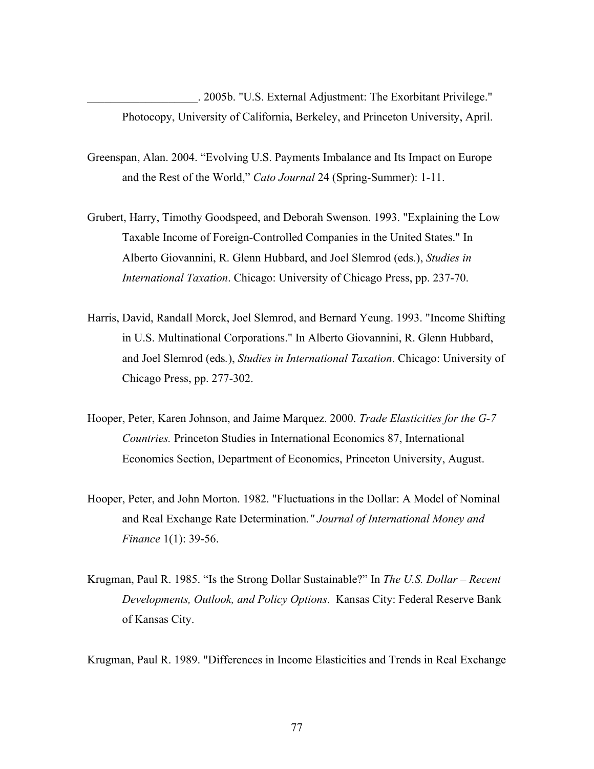\_\_\_\_\_\_\_\_\_\_\_\_\_\_\_\_\_\_\_. 2005b. "U.S. External Adjustment: The Exorbitant Privilege." Photocopy, University of California, Berkeley, and Princeton University, April.

- Greenspan, Alan. 2004. "Evolving U.S. Payments Imbalance and Its Impact on Europe and the Rest of the World," *Cato Journal* 24 (Spring-Summer): 1-11.
- Grubert, Harry, Timothy Goodspeed, and Deborah Swenson. 1993. "Explaining the Low Taxable Income of Foreign-Controlled Companies in the United States." In Alberto Giovannini, R. Glenn Hubbard, and Joel Slemrod (eds*.*), *Studies in International Taxation*. Chicago: University of Chicago Press, pp. 237-70.
- Harris, David, Randall Morck, Joel Slemrod, and Bernard Yeung. 1993. "Income Shifting in U.S. Multinational Corporations." In Alberto Giovannini, R. Glenn Hubbard, and Joel Slemrod (eds*.*), *Studies in International Taxation*. Chicago: University of Chicago Press, pp. 277-302.
- Hooper, Peter, Karen Johnson, and Jaime Marquez. 2000. *Trade Elasticities for the G-7 Countries.* Princeton Studies in International Economics 87, International Economics Section, Department of Economics, Princeton University, August.
- Hooper, Peter, and John Morton. 1982. "Fluctuations in the Dollar: A Model of Nominal and Real Exchange Rate Determination*." Journal of International Money and Finance* 1(1): 39-56.
- Krugman, Paul R. 1985. "Is the Strong Dollar Sustainable?" In *The U.S. Dollar Recent Developments, Outlook, and Policy Options*. Kansas City: Federal Reserve Bank of Kansas City.

Krugman, Paul R. 1989. "Differences in Income Elasticities and Trends in Real Exchange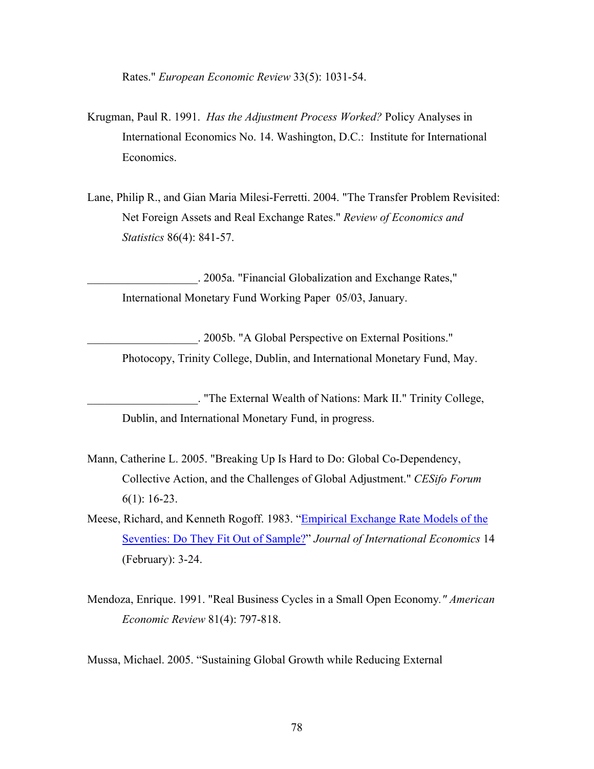Rates." *European Economic Review* 33(5): 1031-54.

- Krugman, Paul R. 1991. *Has the Adjustment Process Worked?* Policy Analyses in International Economics No. 14. Washington, D.C.: Institute for International Economics.
- Lane, Philip R., and Gian Maria Milesi-Ferretti. 2004. "The Transfer Problem Revisited: Net Foreign Assets and Real Exchange Rates." *Review of Economics and Statistics* 86(4): 841-57.

\_\_\_\_\_\_\_\_\_\_\_\_\_\_\_\_\_\_\_. 2005a. "Financial Globalization and Exchange Rates," International Monetary Fund Working Paper 05/03, January.

\_\_\_\_\_\_\_\_\_\_\_\_\_\_\_\_\_\_\_. 2005b. "A Global Perspective on External Positions." Photocopy, Trinity College, Dublin, and International Monetary Fund, May.

\_\_\_\_\_\_\_\_\_\_\_\_\_\_\_\_\_\_\_. "The External Wealth of Nations: Mark II." Trinity College, Dublin, and International Monetary Fund, in progress.

- Mann, Catherine L. 2005. "Breaking Up Is Hard to Do: Global Co-Dependency, Collective Action, and the Challenges of Global Adjustment." *CESifo Forum* 6(1): 16-23.
- Meese, Richard, and Kenneth Rogoff. 1983. "Empirical Exchange Rate Models of the Seventies: Do They Fit Out of Sample?" *Journal of International Economics* 14 (February): 3-24.
- Mendoza, Enrique. 1991. "Real Business Cycles in a Small Open Economy*." American Economic Review* 81(4): 797-818.

Mussa, Michael. 2005. "Sustaining Global Growth while Reducing External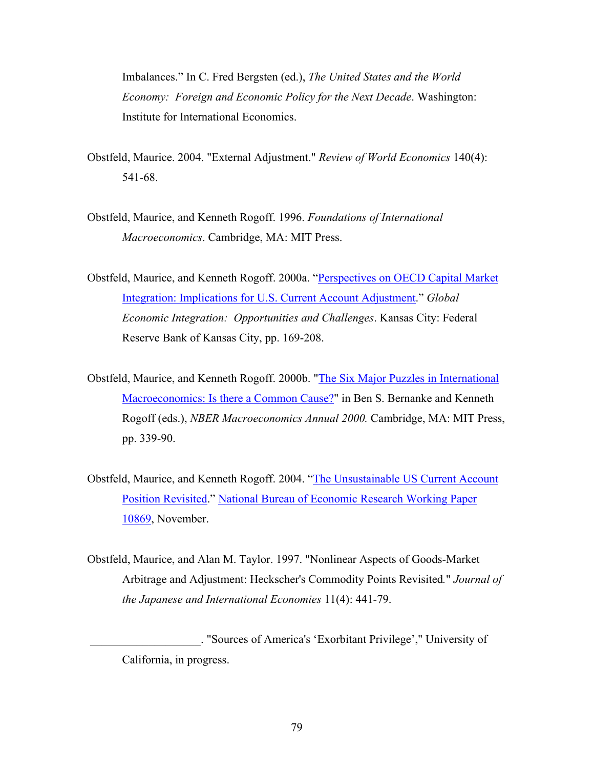Imbalances." In C. Fred Bergsten (ed.), *The United States and the World Economy: Foreign and Economic Policy for the Next Decade*. Washington: Institute for International Economics.

- Obstfeld, Maurice. 2004. "External Adjustment." *Review of World Economics* 140(4): 541-68.
- Obstfeld, Maurice, and Kenneth Rogoff. 1996. *Foundations of International Macroeconomics*. Cambridge, MA: MIT Press.
- Obstfeld, Maurice, and Kenneth Rogoff. 2000a. "Perspectives on OECD Capital Market Integration: Implications for U.S. Current Account Adjustment." *Global Economic Integration: Opportunities and Challenges*. Kansas City: Federal Reserve Bank of Kansas City, pp. 169-208.
- Obstfeld, Maurice, and Kenneth Rogoff. 2000b. "The Six Major Puzzles in International Macroeconomics: Is there a Common Cause?" in Ben S. Bernanke and Kenneth Rogoff (eds.), *NBER Macroeconomics Annual 2000.* Cambridge, MA: MIT Press, pp. 339-90.
- Obstfeld, Maurice, and Kenneth Rogoff. 2004. "The Unsustainable US Current Account Position Revisited." National Bureau of Economic Research Working Paper 10869, November.
- Obstfeld, Maurice, and Alan M. Taylor. 1997. "Nonlinear Aspects of Goods-Market Arbitrage and Adjustment: Heckscher's Commodity Points Revisited*.*" *Journal of the Japanese and International Economies* 11(4): 441-79.

 \_\_\_\_\_\_\_\_\_\_\_\_\_\_\_\_\_\_\_. "Sources of America's 'Exorbitant Privilege'," University of California, in progress.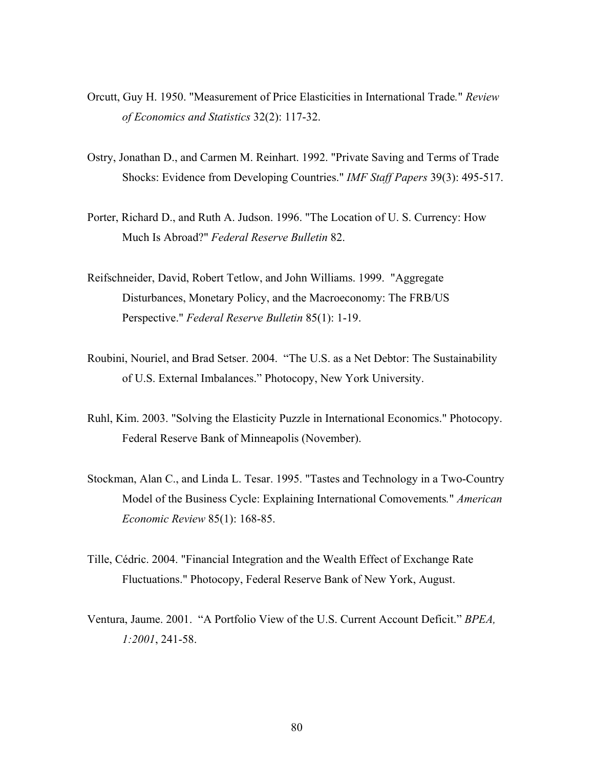- Orcutt, Guy H. 1950. "Measurement of Price Elasticities in International Trade*.*" *Review of Economics and Statistics* 32(2): 117-32.
- Ostry, Jonathan D., and Carmen M. Reinhart. 1992. "Private Saving and Terms of Trade Shocks: Evidence from Developing Countries." *IMF Staff Papers* 39(3): 495-517.
- Porter, Richard D., and Ruth A. Judson. 1996. "The Location of U. S. Currency: How Much Is Abroad?" *Federal Reserve Bulletin* 82.
- Reifschneider, David, Robert Tetlow, and John Williams. 1999. "Aggregate Disturbances, Monetary Policy, and the Macroeconomy: The FRB/US Perspective." *Federal Reserve Bulletin* 85(1): 1-19.
- Roubini, Nouriel, and Brad Setser. 2004. "The U.S. as a Net Debtor: The Sustainability of U.S. External Imbalances." Photocopy, New York University.
- Ruhl, Kim. 2003. "Solving the Elasticity Puzzle in International Economics." Photocopy. Federal Reserve Bank of Minneapolis (November).
- Stockman, Alan C., and Linda L. Tesar. 1995. "Tastes and Technology in a Two-Country Model of the Business Cycle: Explaining International Comovements*.*" *American Economic Review* 85(1): 168-85.
- Tille, Cédric. 2004. "Financial Integration and the Wealth Effect of Exchange Rate Fluctuations." Photocopy, Federal Reserve Bank of New York, August.
- Ventura, Jaume. 2001. "A Portfolio View of the U.S. Current Account Deficit." *BPEA, 1:2001*, 241-58.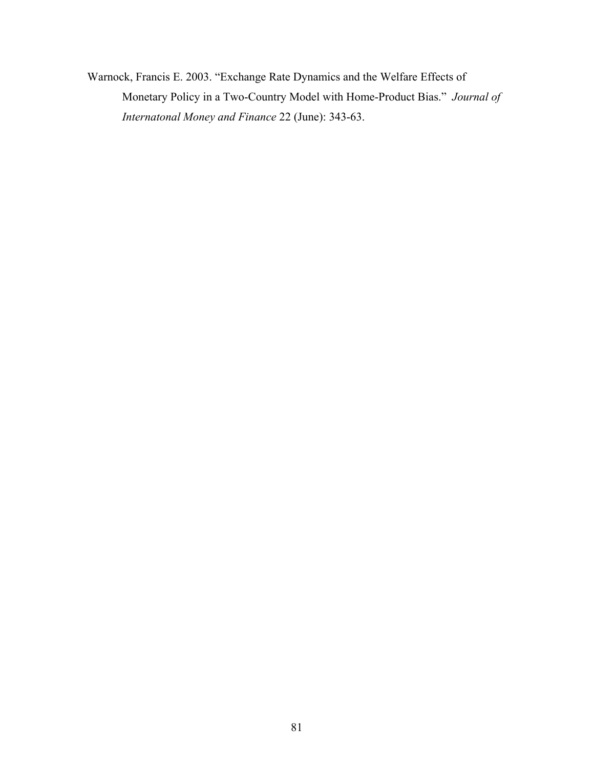Warnock, Francis E. 2003. "Exchange Rate Dynamics and the Welfare Effects of Monetary Policy in a Two-Country Model with Home-Product Bias." *Journal of Internatonal Money and Finance* 22 (June): 343-63.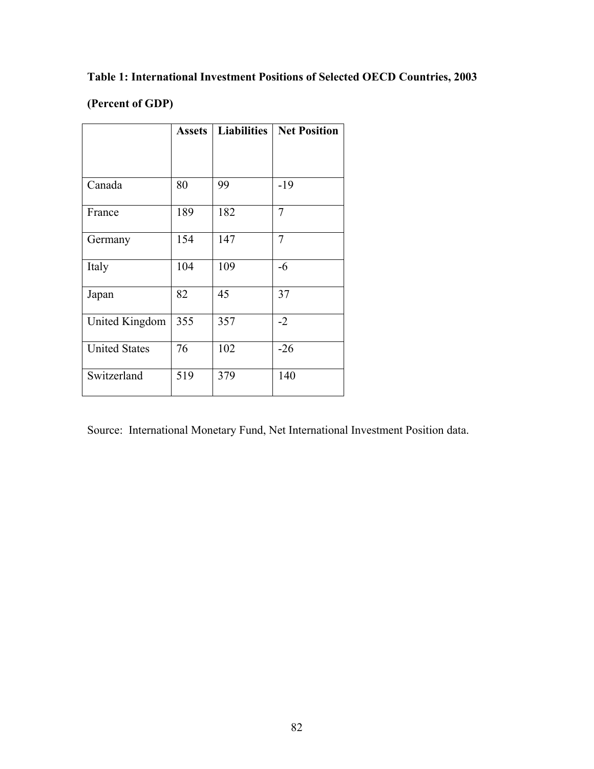### **Table 1: International Investment Positions of Selected OECD Countries, 2003**

### **(Percent of GDP)**

|                      | <b>Assets</b> | <b>Liabilities</b> | <b>Net Position</b> |
|----------------------|---------------|--------------------|---------------------|
|                      |               |                    |                     |
|                      |               |                    |                     |
| Canada               | 80            | 99                 | $-19$               |
| France               | 189           | 182                | $\overline{7}$      |
| Germany              | 154           | 147                | 7                   |
| Italy                | 104           | 109                | -6                  |
| Japan                | 82            | 45                 | 37                  |
| United Kingdom       | 355           | 357                | $-2$                |
| <b>United States</b> | 76            | 102                | $-26$               |
| Switzerland          | 519           | 379                | 140                 |

Source: International Monetary Fund, Net International Investment Position data.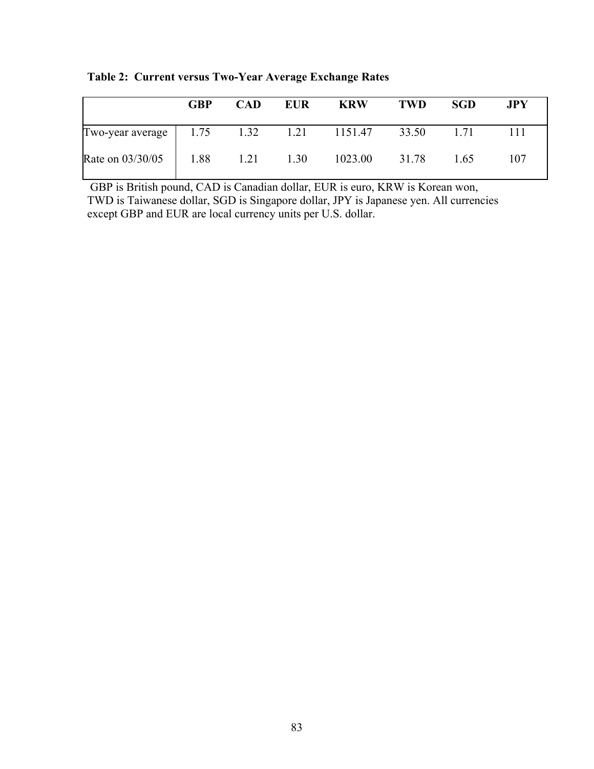|                                                      | <b>GBP</b> | <b>CAD</b> | <b>EUR</b> | <b>KRW</b>    | <b>TWD</b> | <b>SGD</b> | <b>JPY</b> |
|------------------------------------------------------|------------|------------|------------|---------------|------------|------------|------------|
| Two-year average   1.75 1.32 1.21 1151.47 33.50 1.71 |            |            |            |               |            |            |            |
| Rate on 03/30/05 1.88 1.21                           |            |            | 1.30       | 1023.00 31.78 |            | 1.65       | 107        |

**Table 2: Current versus Two-Year Average Exchange Rates** 

 GBP is British pound, CAD is Canadian dollar, EUR is euro, KRW is Korean won, TWD is Taiwanese dollar, SGD is Singapore dollar, JPY is Japanese yen. All currencies except GBP and EUR are local currency units per U.S. dollar.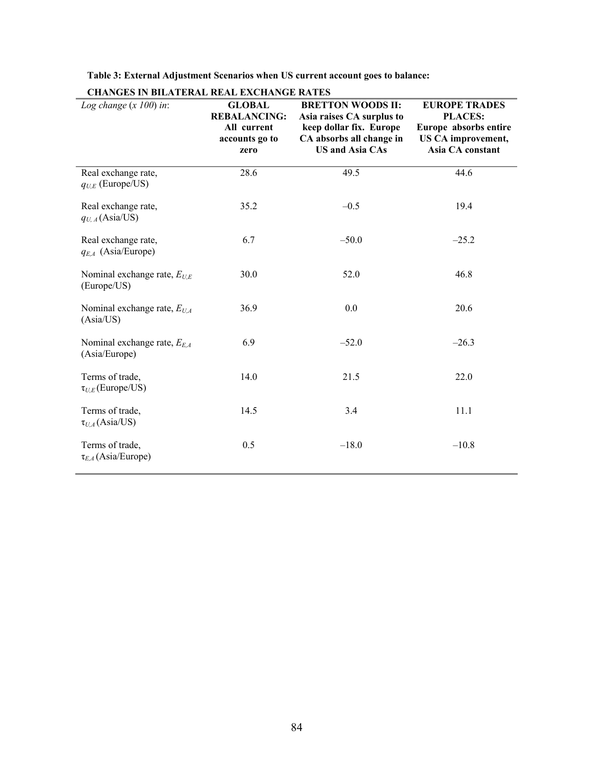| <b>CHANGES IN BILATERAL REAL EXCHANGE RATES</b>   |                                                                               |                                                                                                                                        |                                                                                                                  |
|---------------------------------------------------|-------------------------------------------------------------------------------|----------------------------------------------------------------------------------------------------------------------------------------|------------------------------------------------------------------------------------------------------------------|
| Log change $(x 100)$ in:                          | <b>GLOBAL</b><br><b>REBALANCING:</b><br>All current<br>accounts go to<br>zero | <b>BRETTON WOODS II:</b><br>Asia raises CA surplus to<br>keep dollar fix. Europe<br>CA absorbs all change in<br><b>US and Asia CAs</b> | <b>EUROPE TRADES</b><br><b>PLACES:</b><br>Europe absorbs entire<br><b>US CA improvement,</b><br>Asia CA constant |
| Real exchange rate,<br>$q_{U,E}$ (Europe/US)      | 28.6                                                                          | 49.5                                                                                                                                   | 44.6                                                                                                             |
| Real exchange rate,<br>$q_{U, A}$ (Asia/US)       | 35.2                                                                          | $-0.5$                                                                                                                                 | 19.4                                                                                                             |
| Real exchange rate,<br>$q_{E,A}$ (Asia/Europe)    | 6.7                                                                           | $-50.0$                                                                                                                                | $-25.2$                                                                                                          |
| Nominal exchange rate, $E_{U,E}$<br>(Europe/US)   | 30.0                                                                          | 52.0                                                                                                                                   | 46.8                                                                                                             |
| Nominal exchange rate, $E_{U,A}$<br>(Asia/US)     | 36.9                                                                          | 0.0                                                                                                                                    | 20.6                                                                                                             |
| Nominal exchange rate, $E_{E,A}$<br>(Asia/Europe) | 6.9                                                                           | $-52.0$                                                                                                                                | $-26.3$                                                                                                          |
| Terms of trade,<br>$\tau_{U,E}$ (Europe/US)       | 14.0                                                                          | 21.5                                                                                                                                   | 22.0                                                                                                             |
| Terms of trade,<br>$\tau_{U.A}$ (Asia/US)         | 14.5                                                                          | 3.4                                                                                                                                    | 11.1                                                                                                             |
| Terms of trade,<br>$\tau_{E,A}$ (Asia/Europe)     | 0.5                                                                           | $-18.0$                                                                                                                                | $-10.8$                                                                                                          |

#### **Table 3: External Adjustment Scenarios when US current account goes to balance:**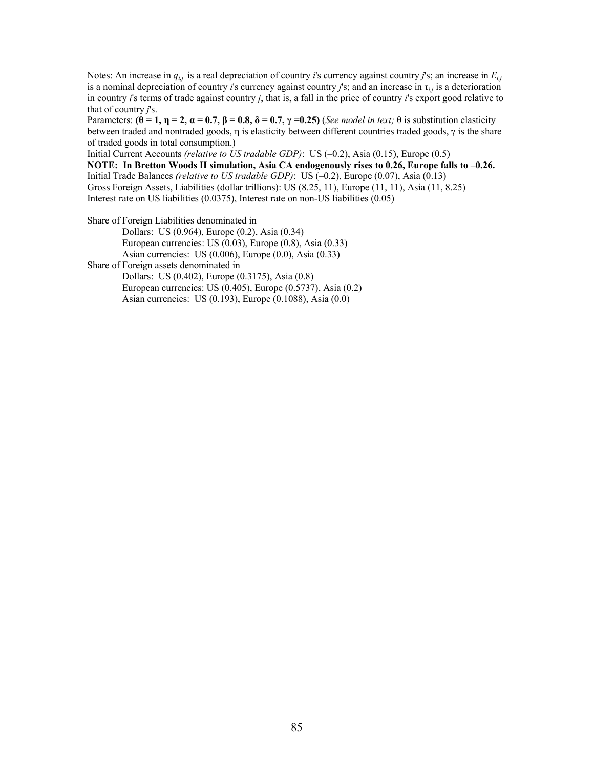Notes: An increase in *qi,j* is a real depreciation of country *i*'s currency against country *j*'s; an increase in *Ei,j*  is a nominal depreciation of country *i*'s currency against country *j*'s; and an increase in  $\tau_{i,j}$  is a deterioration in country *i*'s terms of trade against country *j*, that is, a fall in the price of country *i*'s export good relative to that of country *j*'s.

Parameters:  $(\theta = 1, \eta = 2, \alpha = 0.7, \beta = 0.8, \delta = 0.7, \gamma = 0.25)$  (*See model in text;*  $\theta$  is substitution elasticity between traded and nontraded goods, η is elasticity between different countries traded goods, γ is the share of traded goods in total consumption.)

Initial Current Accounts *(relative to US tradable GDP)*: US (–0.2), Asia (0.15), Europe (0.5)

**NOTE: In Bretton Woods II simulation, Asia CA endogenously rises to 0.26, Europe falls to –0.26.** Initial Trade Balances *(relative to US tradable GDP)*: US (–0.2), Europe (0.07), Asia (0.13) Gross Foreign Assets, Liabilities (dollar trillions): US (8.25, 11), Europe (11, 11), Asia (11, 8.25) Interest rate on US liabilities (0.0375), Interest rate on non-US liabilities (0.05)

Share of Foreign Liabilities denominated in

Dollars: US (0.964), Europe (0.2), Asia (0.34) European currencies: US (0.03), Europe (0.8), Asia (0.33) Asian currencies: US (0.006), Europe (0.0), Asia (0.33) Share of Foreign assets denominated in Dollars: US (0.402), Europe (0.3175), Asia (0.8) European currencies: US (0.405), Europe (0.5737), Asia (0.2) Asian currencies: US (0.193), Europe (0.1088), Asia (0.0)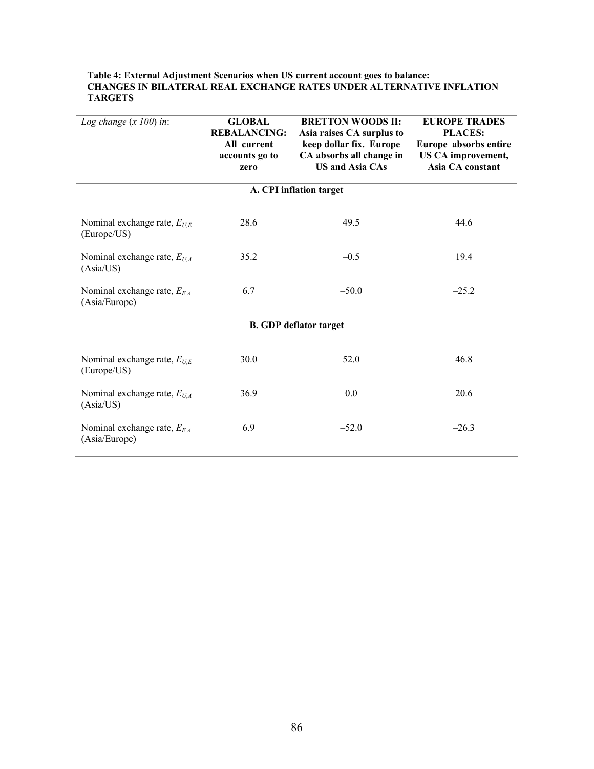| Log change $(x 100)$ in:                          | <b>GLOBAL</b><br><b>REBALANCING:</b><br>All current<br>accounts go to<br>zero | <b>BRETTON WOODS II:</b><br>Asia raises CA surplus to<br>keep dollar fix. Europe<br>CA absorbs all change in<br><b>US and Asia CAs</b> | <b>EUROPE TRADES</b><br><b>PLACES:</b><br>Europe absorbs entire<br>US CA improvement,<br>Asia CA constant |
|---------------------------------------------------|-------------------------------------------------------------------------------|----------------------------------------------------------------------------------------------------------------------------------------|-----------------------------------------------------------------------------------------------------------|
|                                                   |                                                                               | A. CPI inflation target                                                                                                                |                                                                                                           |
| Nominal exchange rate, $E_{U,E}$<br>(Europe/US)   | 28.6                                                                          | 49.5                                                                                                                                   | 44.6                                                                                                      |
| Nominal exchange rate, $E_{U,A}$<br>(Asia/US)     | 35.2                                                                          | $-0.5$                                                                                                                                 | 19.4                                                                                                      |
| Nominal exchange rate, $E_{E,A}$<br>(Asia/Europe) | 6.7                                                                           | $-50.0$                                                                                                                                | $-25.2$                                                                                                   |
|                                                   |                                                                               | <b>B. GDP deflator target</b>                                                                                                          |                                                                                                           |
| Nominal exchange rate, $E_{UE}$<br>(Europe/US)    | 30.0                                                                          | 52.0                                                                                                                                   | 46.8                                                                                                      |
| Nominal exchange rate, $E_{U,A}$<br>(Asia/US)     | 36.9                                                                          | 0.0                                                                                                                                    | 20.6                                                                                                      |
| Nominal exchange rate, $E_{EA}$<br>(Asia/Europe)  | 6.9                                                                           | $-52.0$                                                                                                                                | $-26.3$                                                                                                   |

#### **Table 4: External Adjustment Scenarios when US current account goes to balance: CHANGES IN BILATERAL REAL EXCHANGE RATES UNDER ALTERNATIVE INFLATION TARGETS**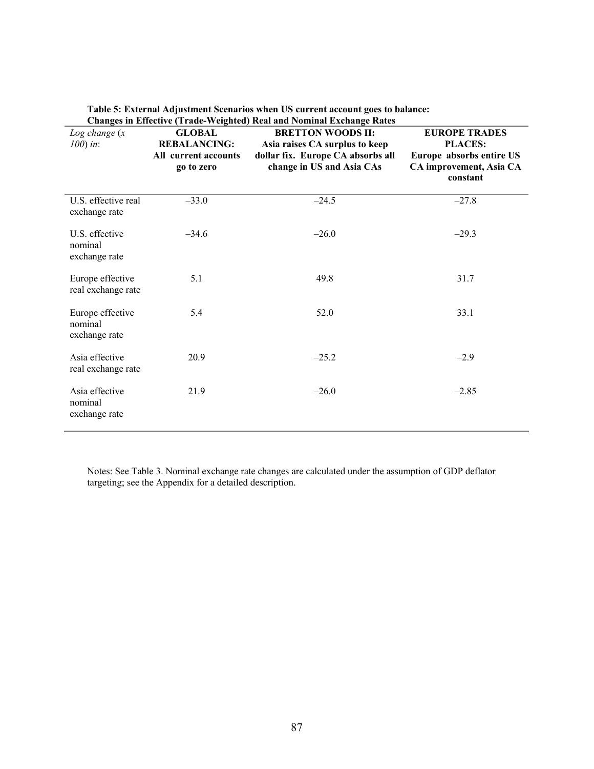| Log change(x)<br>$100$ ) in:                 | <b>GLOBAL</b><br><b>REBALANCING:</b><br>All current accounts<br>go to zero | <b>BRETTON WOODS II:</b><br>Asia raises CA surplus to keep<br>dollar fix. Europe CA absorbs all<br>change in US and Asia CAs | <b>EUROPE TRADES</b><br><b>PLACES:</b><br>Europe absorbs entire US<br>CA improvement, Asia CA<br>constant |
|----------------------------------------------|----------------------------------------------------------------------------|------------------------------------------------------------------------------------------------------------------------------|-----------------------------------------------------------------------------------------------------------|
| U.S. effective real<br>exchange rate         | $-33.0$                                                                    | $-24.5$                                                                                                                      | $-27.8$                                                                                                   |
| U.S. effective<br>nominal<br>exchange rate   | $-34.6$                                                                    | $-26.0$                                                                                                                      | $-29.3$                                                                                                   |
| Europe effective<br>real exchange rate       | 5.1                                                                        | 49.8                                                                                                                         | 31.7                                                                                                      |
| Europe effective<br>nominal<br>exchange rate | 5.4                                                                        | 52.0                                                                                                                         | 33.1                                                                                                      |
| Asia effective<br>real exchange rate         | 20.9                                                                       | $-25.2$                                                                                                                      | $-2.9$                                                                                                    |
| Asia effective<br>nominal<br>exchange rate   | 21.9                                                                       | $-26.0$                                                                                                                      | $-2.85$                                                                                                   |

**Table 5: External Adjustment Scenarios when US current account goes to balance: Changes in Effective (Trade-Weighted) Real and Nominal Exchange Rates** 

Notes: See Table 3. Nominal exchange rate changes are calculated under the assumption of GDP deflator targeting; see the Appendix for a detailed description.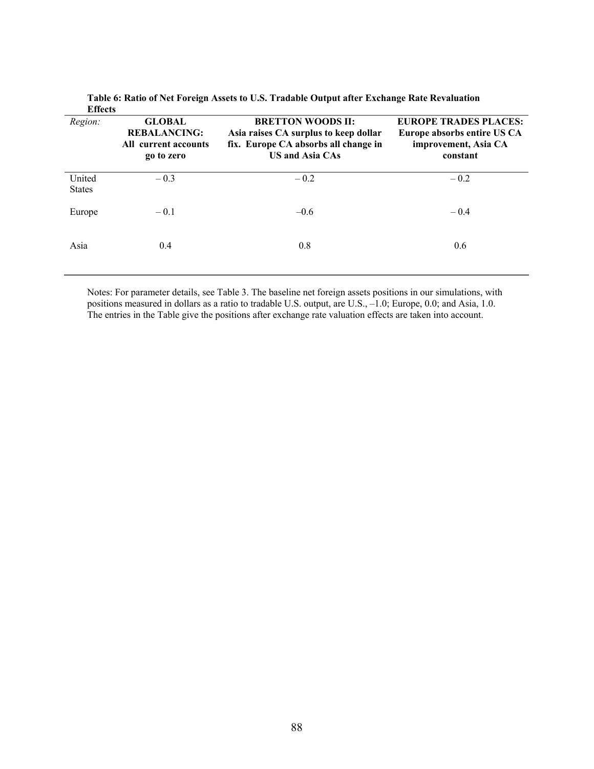| енесь                   |                                                                            |                                                                                                                                     |                                                                                                 |
|-------------------------|----------------------------------------------------------------------------|-------------------------------------------------------------------------------------------------------------------------------------|-------------------------------------------------------------------------------------------------|
| Region:                 | <b>GLOBAL</b><br><b>REBALANCING:</b><br>All current accounts<br>go to zero | <b>BRETTON WOODS II:</b><br>Asia raises CA surplus to keep dollar<br>fix. Europe CA absorbs all change in<br><b>US and Asia CAs</b> | <b>EUROPE TRADES PLACES:</b><br>Europe absorbs entire US CA<br>improvement, Asia CA<br>constant |
| United<br><b>States</b> | $-0.3$                                                                     | $-0.2$                                                                                                                              | $-0.2$                                                                                          |
| Europe                  | $-0.1$                                                                     | $-0.6$                                                                                                                              | $-0.4$                                                                                          |
| Asia                    | 0.4                                                                        | 0.8                                                                                                                                 | 0.6                                                                                             |

**Table 6: Ratio of Net Foreign Assets to U.S. Tradable Output after Exchange Rate Revaluation Effects** 

Notes: For parameter details, see Table 3. The baseline net foreign assets positions in our simulations, with positions measured in dollars as a ratio to tradable U.S. output, are U.S., –1.0; Europe, 0.0; and Asia, 1.0. The entries in the Table give the positions after exchange rate valuation effects are taken into account.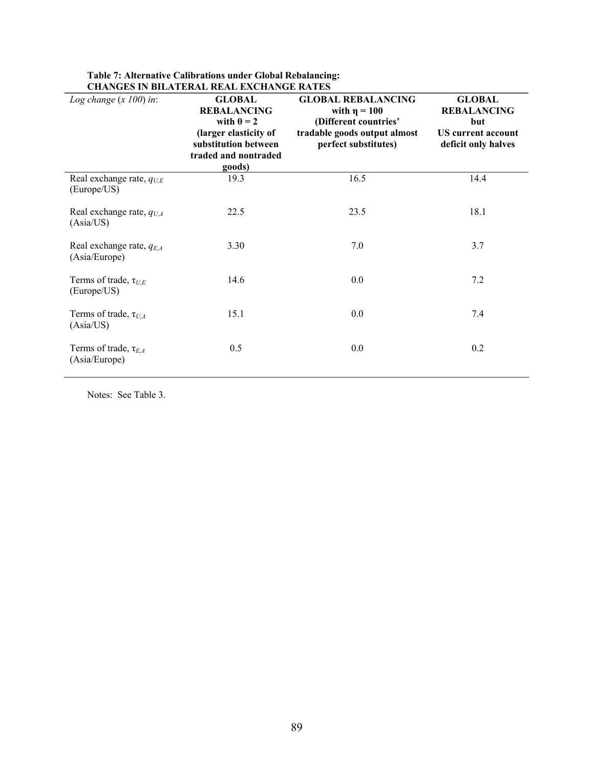| Log change $(x 100)$ in:                       | <b>GLOBAL</b><br><b>REBALANCING</b><br>with $\theta = 2$<br>(larger elasticity of<br>substitution between<br>traded and nontraded<br>goods) | <b>GLOBAL REBALANCING</b><br>with $\eta = 100$<br>(Different countries'<br>tradable goods output almost<br>perfect substitutes) | <b>GLOBAL</b><br><b>REBALANCING</b><br>but<br><b>US</b> current account<br>deficit only halves |
|------------------------------------------------|---------------------------------------------------------------------------------------------------------------------------------------------|---------------------------------------------------------------------------------------------------------------------------------|------------------------------------------------------------------------------------------------|
| Real exchange rate, $q_{U,E}$<br>(Europe/US)   | 19.3                                                                                                                                        | 16.5                                                                                                                            | 14.4                                                                                           |
| Real exchange rate, $q_{U,A}$<br>(Asia/US)     | 22.5                                                                                                                                        | 23.5                                                                                                                            | 18.1                                                                                           |
| Real exchange rate, $q_{E,A}$<br>(Asia/Europe) | 3.30                                                                                                                                        | 7.0                                                                                                                             | 3.7                                                                                            |
| Terms of trade, $\tau_{U,E}$<br>(Europe/US)    | 14.6                                                                                                                                        | 0.0                                                                                                                             | 7.2                                                                                            |
| Terms of trade, $\tau_{U.A}$<br>(Asia/US)      | 15.1                                                                                                                                        | 0.0                                                                                                                             | 7.4                                                                                            |
| Terms of trade, $\tau_{E.A}$<br>(Asia/Europe)  | 0.5                                                                                                                                         | 0.0                                                                                                                             | 0.2                                                                                            |

#### **Table 7: Alternative Calibrations under Global Rebalancing: CHANGES IN BILATERAL REAL EXCHANGE RATES**

Notes: See Table 3.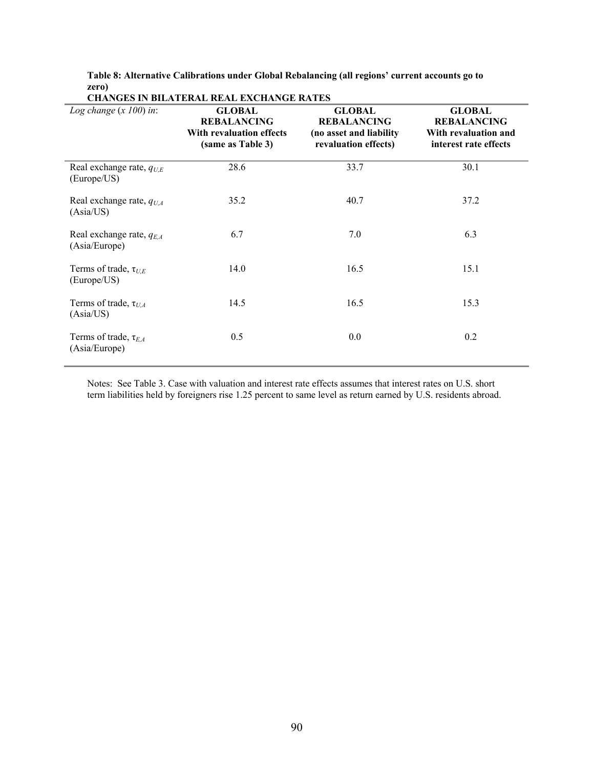**Table 8: Alternative Calibrations under Global Rebalancing (all regions' current accounts go to zero)** 

| Log change $(x 100)$ in:                       | <b>GLOBAL</b><br><b>REBALANCING</b><br>With revaluation effects<br>(same as Table 3) | <b>GLOBAL</b><br><b>REBALANCING</b><br>(no asset and liability<br>revaluation effects) | <b>GLOBAL</b><br><b>REBALANCING</b><br>With revaluation and<br>interest rate effects |
|------------------------------------------------|--------------------------------------------------------------------------------------|----------------------------------------------------------------------------------------|--------------------------------------------------------------------------------------|
| Real exchange rate, $q_{U,E}$<br>(Europe/US)   | 28.6                                                                                 | 33.7                                                                                   | 30.1                                                                                 |
| Real exchange rate, $q_{UA}$<br>(Asia/US)      | 35.2                                                                                 | 40.7                                                                                   | 37.2                                                                                 |
| Real exchange rate, $q_{E,A}$<br>(Asia/Europe) | 6.7                                                                                  | 7.0                                                                                    | 6.3                                                                                  |
| Terms of trade, $\tau_{UE}$<br>(Europe/US)     | 14.0                                                                                 | 16.5                                                                                   | 15.1                                                                                 |
| Terms of trade, $\tau_{U.A}$<br>(Asia/US)      | 14.5                                                                                 | 16.5                                                                                   | 15.3                                                                                 |
| Terms of trade, $\tau_{E.A}$<br>(Asia/Europe)  | 0.5                                                                                  | 0.0                                                                                    | 0.2                                                                                  |

**CHANGES IN BILATERAL REAL EXCHANGE RATES** 

Notes: See Table 3. Case with valuation and interest rate effects assumes that interest rates on U.S. short term liabilities held by foreigners rise 1.25 percent to same level as return earned by U.S. residents abroad.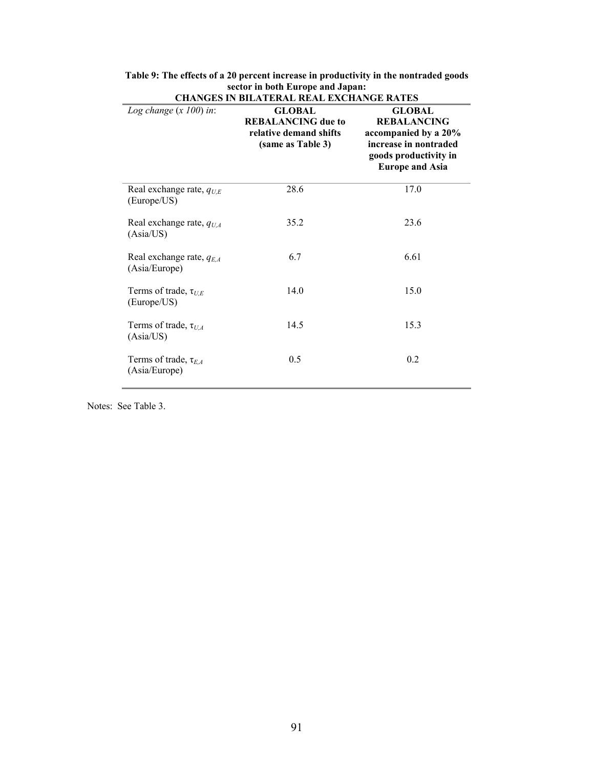| <b>CHANGES IN BILATERAL REAL EXCHANGE RATES</b> |                                                                                           |                                                                                                                                         |  |
|-------------------------------------------------|-------------------------------------------------------------------------------------------|-----------------------------------------------------------------------------------------------------------------------------------------|--|
| Log change $(x 100)$ in:                        | <b>GLOBAL</b><br><b>REBALANCING</b> due to<br>relative demand shifts<br>(same as Table 3) | <b>GLOBAL</b><br><b>REBALANCING</b><br>accompanied by a 20%<br>increase in nontraded<br>goods productivity in<br><b>Europe and Asia</b> |  |
| Real exchange rate, $q_{UE}$<br>(Europe/US)     | 28.6                                                                                      | 17.0                                                                                                                                    |  |
| Real exchange rate, $q_{U,A}$<br>(Asia/US)      | 35.2                                                                                      | 23.6                                                                                                                                    |  |
| Real exchange rate, $q_{E,A}$<br>(Asia/Europe)  | 6.7                                                                                       | 6.61                                                                                                                                    |  |
| Terms of trade, $\tau_{UE}$<br>(Europe/US)      | 14.0                                                                                      | 15.0                                                                                                                                    |  |
| Terms of trade, $\tau_{U,A}$<br>(Asia/US)       | 14.5                                                                                      | 15.3                                                                                                                                    |  |
| Terms of trade, $\tau_{E,A}$<br>(Asia/Europe)   | 0.5                                                                                       | 0.2                                                                                                                                     |  |

| Table 9: The effects of a 20 percent increase in productivity in the nontraded goods |  |  |
|--------------------------------------------------------------------------------------|--|--|
| sector in both Europe and Japan:                                                     |  |  |

Notes: See Table 3.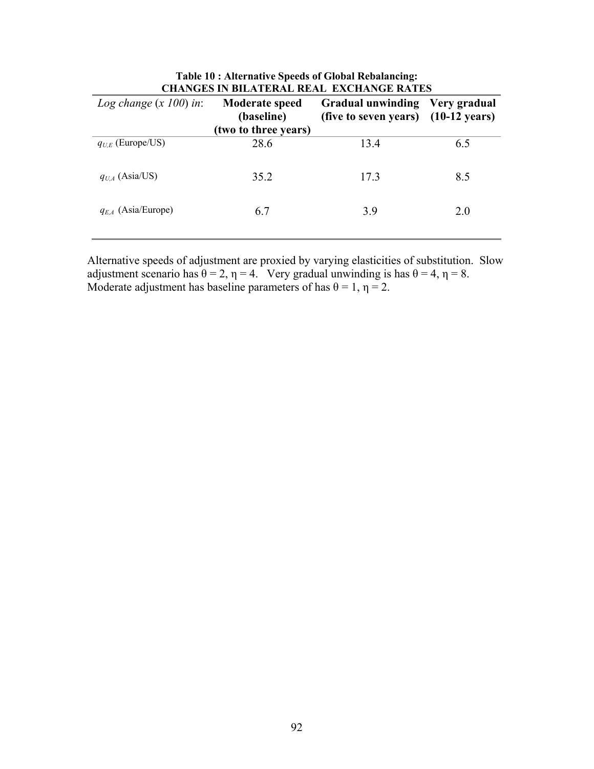| UNANGES IN DILATERAL REAL-EAUNANGE RATES |                                                             |                                                                 |              |
|------------------------------------------|-------------------------------------------------------------|-----------------------------------------------------------------|--------------|
| Log change $(x 100)$ in:                 | <b>Moderate speed</b><br>(baseline)<br>(two to three years) | <b>Gradual unwinding</b><br>(five to seven years) (10-12 years) | Very gradual |
| $q_{UE}$ (Europe/US)                     | 28.6                                                        | 13.4                                                            | 6.5          |
| $q_{U,A}$ (Asia/US)                      | 35.2                                                        | 17.3                                                            | 8.5          |
| $q_{E,A}$ (Asia/Europe)                  | 6.7                                                         | 3.9                                                             | 2.0          |

| <b>Table 10: Alternative Speeds of Global Rebalancing:</b> |  |
|------------------------------------------------------------|--|
| <b>CHANGES IN BILATERAL REAL EXCHANGE RATES</b>            |  |

Alternative speeds of adjustment are proxied by varying elasticities of substitution. Slow adjustment scenario has  $\theta = 2$ ,  $\eta = 4$ . Very gradual unwinding is has  $\theta = 4$ ,  $\eta = 8$ . Moderate adjustment has baseline parameters of has  $\theta = 1$ ,  $\eta = 2$ .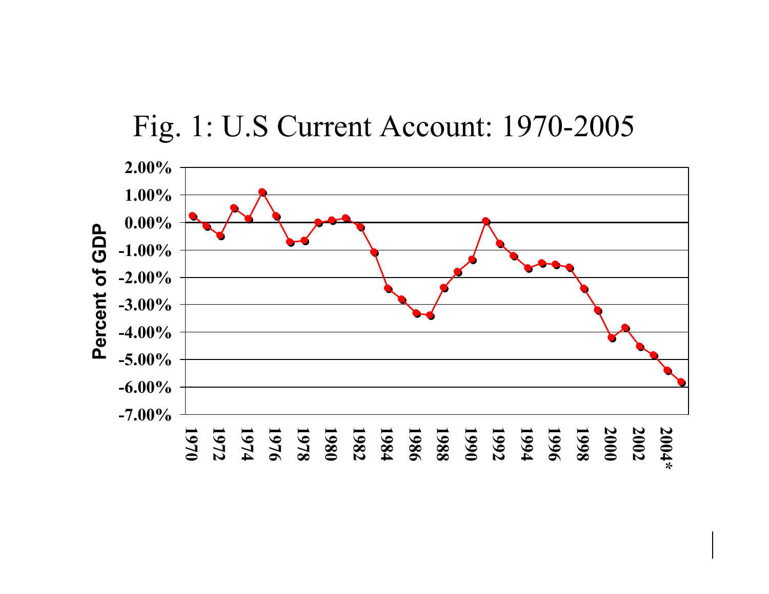# Fig. 1: U.S Current Account: 1970-2005

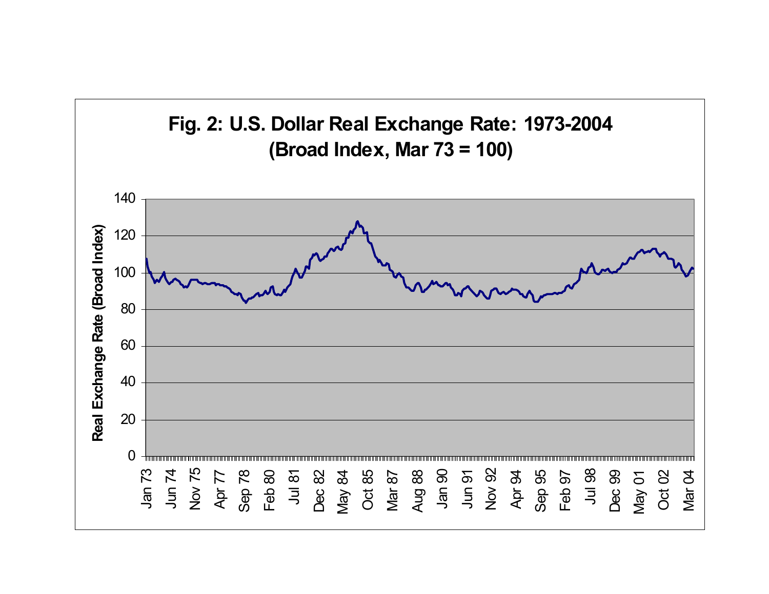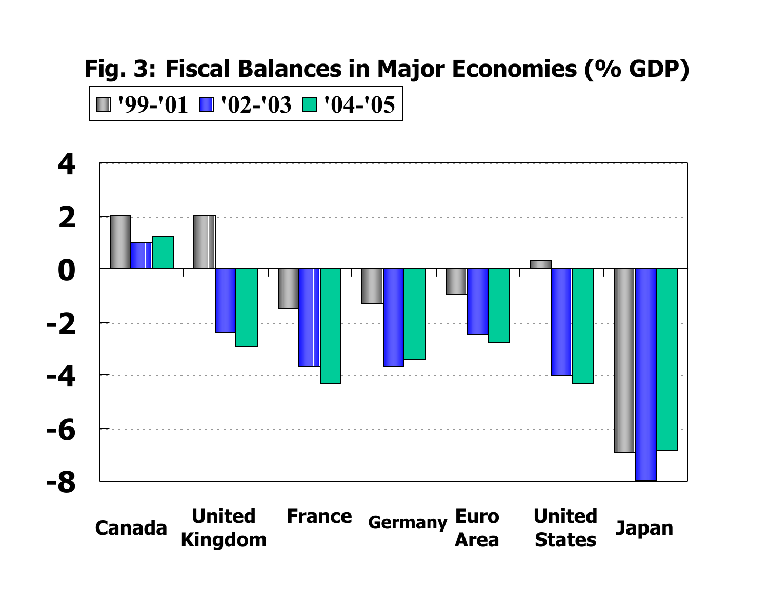# **Fig. 3: Fiscal Balances in Major Economies (% GDP)**

## **'99-'01 '02-'03 '04-'05**



**United StatesJapan Euro Area Canada United Kingdom France Germany**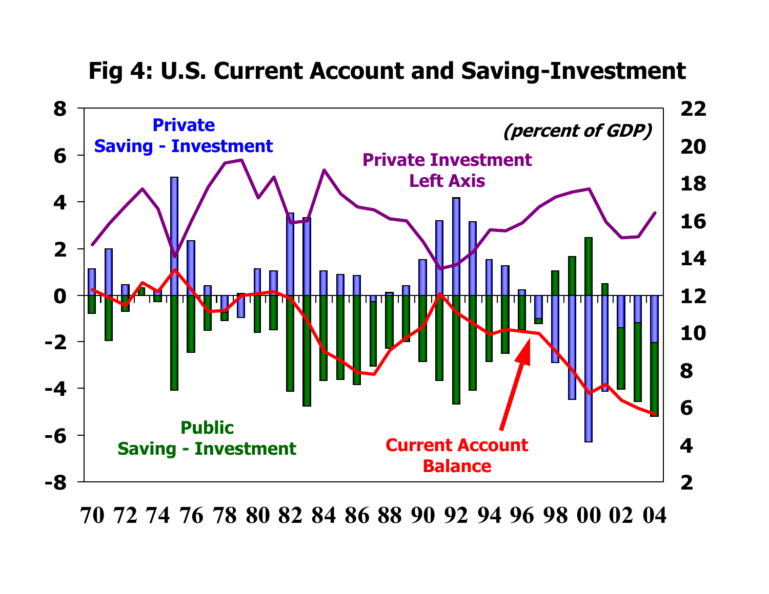## **Fig 4: U.S. Current Account and Saving-Investment**



70 72 74 76 78 80 82 84 86 88 90 92 94 96 98 00 02 04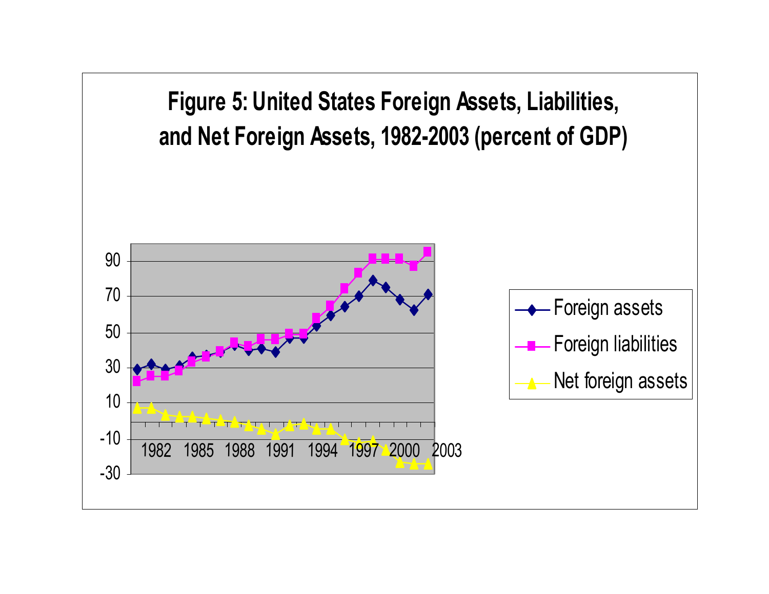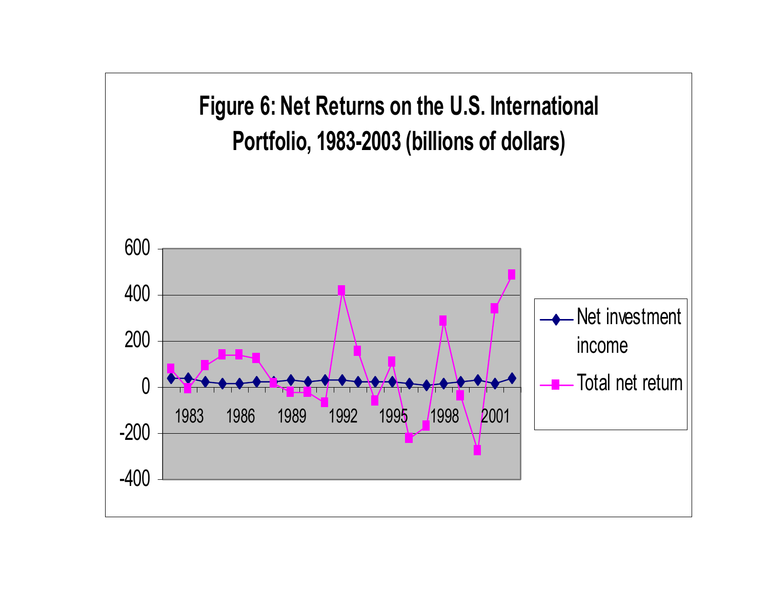